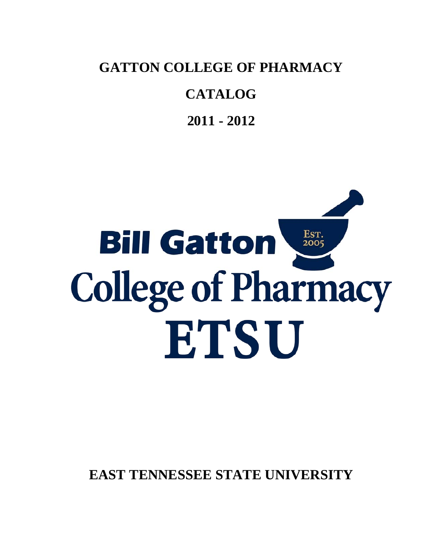**GATTON COLLEGE OF PHARMACY** 

# **CATALOG**

**2011 - 2012**

# Est.<br>2005 **Bill Gatton College of Pharmacy** ETSU

**EAST TENNESSEE STATE UNIVERSITY**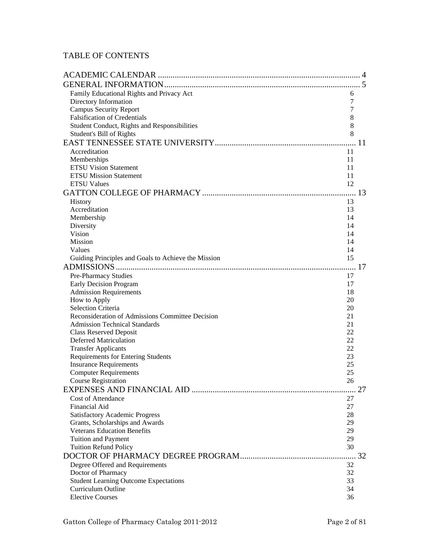### TABLE OF CONTENTS

| Family Educational Rights and Privacy Act           | 6  |  |
|-----------------------------------------------------|----|--|
| Directory Information                               | 7  |  |
| <b>Campus Security Report</b>                       | 7  |  |
| <b>Falsification of Credentials</b>                 | 8  |  |
| Student Conduct, Rights and Responsibilities        | 8  |  |
| Student's Bill of Rights                            | 8  |  |
|                                                     |    |  |
| Accreditation                                       | 11 |  |
| Memberships                                         | 11 |  |
| <b>ETSU Vision Statement</b>                        | 11 |  |
| <b>ETSU Mission Statement</b>                       | 11 |  |
| <b>ETSU Values</b>                                  | 12 |  |
|                                                     |    |  |
| <b>History</b>                                      | 13 |  |
| Accreditation                                       | 13 |  |
| Membership                                          | 14 |  |
| Diversity                                           | 14 |  |
| Vision                                              | 14 |  |
| <b>Mission</b>                                      | 14 |  |
| Values                                              | 14 |  |
| Guiding Principles and Goals to Achieve the Mission | 15 |  |
|                                                     |    |  |
| <b>Pre-Pharmacy Studies</b>                         | 17 |  |
| Early Decision Program                              | 17 |  |
| <b>Admission Requirements</b>                       | 18 |  |
| How to Apply                                        | 20 |  |
| <b>Selection Criteria</b>                           | 20 |  |
| Reconsideration of Admissions Committee Decision    | 21 |  |
| <b>Admission Technical Standards</b>                | 21 |  |
| <b>Class Reserved Deposit</b>                       | 22 |  |
| <b>Deferred Matriculation</b>                       | 22 |  |
| <b>Transfer Applicants</b>                          | 22 |  |
| <b>Requirements for Entering Students</b>           | 23 |  |
| <b>Insurance Requirements</b>                       | 25 |  |
| <b>Computer Requirements</b>                        | 25 |  |
| <b>Course Registration</b>                          | 26 |  |
|                                                     |    |  |
| <b>Cost of Attendance</b>                           | 27 |  |
| Financial Aid                                       | 27 |  |
| <b>Satisfactory Academic Progress</b>               | 28 |  |
| Grants, Scholarships and Awards                     | 29 |  |
| <b>Veterans Education Benefits</b>                  | 29 |  |
| Tuition and Payment                                 | 29 |  |
| <b>Tuition Refund Policy</b>                        | 30 |  |
|                                                     |    |  |
| Degree Offered and Requirements                     | 32 |  |
| Doctor of Pharmacy                                  | 32 |  |
| <b>Student Learning Outcome Expectations</b>        | 33 |  |
| Curriculum Outline                                  | 34 |  |
| <b>Elective Courses</b>                             | 36 |  |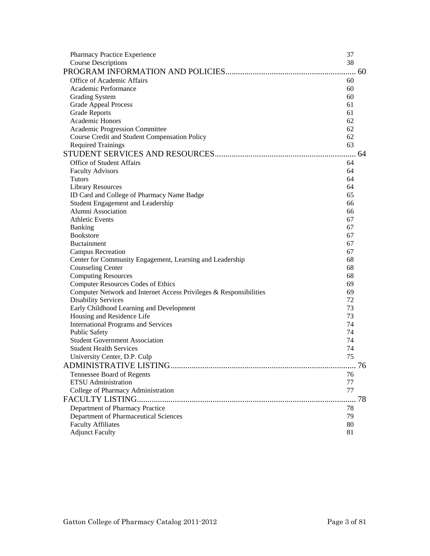| Pharmacy Practice Experience                                       | 37 |    |
|--------------------------------------------------------------------|----|----|
| <b>Course Descriptions</b>                                         | 38 |    |
|                                                                    |    |    |
| Office of Academic Affairs                                         | 60 |    |
| Academic Performance                                               | 60 |    |
| <b>Grading System</b>                                              | 60 |    |
| <b>Grade Appeal Process</b>                                        | 61 |    |
| <b>Grade Reports</b>                                               | 61 |    |
| Academic Honors                                                    | 62 |    |
| Academic Progression Committee                                     | 62 |    |
| Course Credit and Student Compensation Policy                      | 62 |    |
| <b>Required Trainings</b>                                          | 63 |    |
|                                                                    |    |    |
| <b>Office of Student Affairs</b>                                   | 64 |    |
| <b>Faculty Advisors</b>                                            | 64 |    |
| <b>Tutors</b>                                                      | 64 |    |
| <b>Library Resources</b>                                           | 64 |    |
| ID Card and College of Pharmacy Name Badge                         | 65 |    |
| Student Engagement and Leadership                                  | 66 |    |
| Alumni Association                                                 | 66 |    |
| <b>Athletic Events</b>                                             | 67 |    |
| Banking                                                            | 67 |    |
| <b>Bookstore</b>                                                   | 67 |    |
| <b>Buctainment</b>                                                 | 67 |    |
| <b>Campus Recreation</b>                                           | 67 |    |
| Center for Community Engagement, Learning and Leadership           | 68 |    |
| <b>Counseling Center</b>                                           | 68 |    |
| <b>Computing Resources</b>                                         | 68 |    |
| <b>Computer Resources Codes of Ethics</b>                          | 69 |    |
| Computer Network and Internet Access Privileges & Responsibilities | 69 |    |
| <b>Disability Services</b>                                         | 72 |    |
| Early Childhood Learning and Development                           | 73 |    |
| Housing and Residence Life                                         | 73 |    |
| <b>International Programs and Services</b>                         | 74 |    |
| <b>Public Safety</b>                                               | 74 |    |
| <b>Student Government Association</b>                              | 74 |    |
| <b>Student Health Services</b>                                     | 74 |    |
| University Center, D.P. Culp                                       | 75 |    |
| <b>ADMINISTRATIVE LISTING</b>                                      |    | 76 |
| Tennessee Board of Regents                                         | 76 |    |
| <b>ETSU</b> Administration                                         | 77 |    |
| College of Pharmacy Administration                                 | 77 |    |
| <b>FACULTY LISTING</b>                                             |    | 78 |
| Department of Pharmacy Practice                                    | 78 |    |
| Department of Pharmaceutical Sciences                              | 79 |    |
| <b>Faculty Affiliates</b>                                          | 80 |    |
| <b>Adjunct Faculty</b>                                             | 81 |    |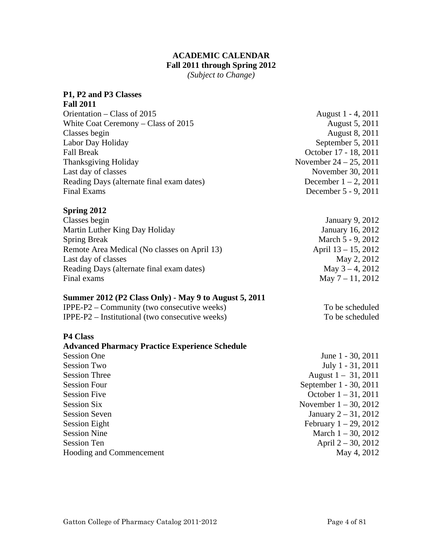#### **ACADEMIC CALENDAR Fall 2011 through Spring 2012**

*(Subject to Change)* 

#### <span id="page-3-0"></span>**P1, P2 and P3 Classes**

| <b>Fall 2011</b>                          |                           |
|-------------------------------------------|---------------------------|
| Orientation – Class of 2015               | August 1 - 4, 2011        |
| White Coat Ceremony $-$ Class of 2015     | August 5, 2011            |
| Classes begin                             | August 8, 2011            |
| Labor Day Holiday                         | September 5, 2011         |
| <b>Fall Break</b>                         | October 17 - 18, 2011     |
| <b>Thanksgiving Holiday</b>               | November $24 - 25$ , 2011 |
| Last day of classes                       | November 30, 2011         |
| Reading Days (alternate final exam dates) | December $1 - 2$ , 2011   |
| <b>Final Exams</b>                        | December 5 - 9, 2011      |

# **Spring 2012**

| Classes begin                                | January 9, 2012        |
|----------------------------------------------|------------------------|
| Martin Luther King Day Holiday               | January 16, 2012       |
| <b>Spring Break</b>                          | March 5 - 9, 2012      |
| Remote Area Medical (No classes on April 13) | April $13 - 15$ , 2012 |
| Last day of classes                          | May 2, 2012            |
| Reading Days (alternate final exam dates)    | May $3 - 4$ , 2012     |
| Final exams                                  | May $7 - 11$ , 2012    |

#### **Summer 2012 (P2 Class Only) - May 9 to August 5, 2011**

| IPPE-P2 – Community (two consecutive weeks)       |  |
|---------------------------------------------------|--|
| IPPE-P2 $-$ Institutional (two consecutive weeks) |  |

#### **P4 Class**

| <b>Advanced Pharmacy Practice Experience Schedule</b> |
|-------------------------------------------------------|
| <b>Session One</b>                                    |
| <b>Session Two</b>                                    |
| <b>Session Three</b>                                  |
| <b>Session Four</b>                                   |
| <b>Session Five</b>                                   |
| <b>Session Six</b>                                    |
| <b>Session Seven</b>                                  |
| <b>Session Eight</b>                                  |
| <b>Session Nine</b>                                   |
| <b>Session Ten</b>                                    |
| Hooding and Commencement                              |
|                                                       |

To be scheduled To be scheduled

June 1 - 30, 2011 July 1 - 31, 2011 August  $1 - 31, 2011$ September 1 - 30, 2011 October  $1 - 31$ , 2011 November  $1 - 30$ , 2012 January  $2 - 31$ , 2012 February  $1 - 29$ , 2012 March 1 – 30, 2012 April  $2 - 30$ , 2012 May 4, 2012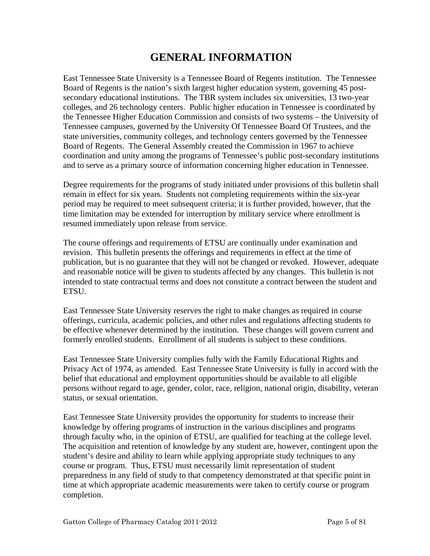# **GENERAL INFORMATION**

<span id="page-4-0"></span>East Tennessee State University is a Tennessee Board of Regents institution. The Tennessee Board of Regents is the nation's sixth largest higher education system, governing 45 postsecondary educational institutions. The TBR system includes six universities, 13 two-year colleges, and 26 technology centers. Public higher education in Tennessee is coordinated by the Tennessee Higher Education Commission and consists of two systems – the University of Tennessee campuses, governed by the University Of Tennessee Board Of Trustees, and the state universities, community colleges, and technology centers governed by the Tennessee Board of Regents. The General Assembly created the Commission in 1967 to achieve coordination and unity among the programs of Tennessee's public post-secondary institutions and to serve as a primary source of information concerning higher education in Tennessee.

Degree requirements for the programs of study initiated under provisions of this bulletin shall remain in effect for six years. Students not completing requirements within the six-year period may be required to meet subsequent criteria; it is further provided, however, that the time limitation may be extended for interruption by military service where enrollment is resumed immediately upon release from service.

The course offerings and requirements of ETSU are continually under examination and revision. This bulletin presents the offerings and requirements in effect at the time of publication, but is no guarantee that they will not be changed or revoked. However, adequate and reasonable notice will be given to students affected by any changes. This bulletin is not intended to state contractual terms and does not constitute a contract between the student and **ETSU.** 

East Tennessee State University reserves the right to make changes as required in course offerings, curricula, academic policies, and other rules and regulations affecting students to be effective whenever determined by the institution. These changes will govern current and formerly enrolled students. Enrollment of all students is subject to these conditions.

East Tennessee State University complies fully with the Family Educational Rights and Privacy Act of 1974, as amended. East Tennessee State University is fully in accord with the belief that educational and employment opportunities should be available to all eligible persons without regard to age, gender, color, race, religion, national origin, disability, veteran status, or sexual orientation.

East Tennessee State University provides the opportunity for students to increase their knowledge by offering programs of instruction in the various disciplines and programs through faculty who, in the opinion of ETSU, are qualified for teaching at the college level. The acquisition and retention of knowledge by any student are, however, contingent upon the student's desire and ability to learn while applying appropriate study techniques to any course or program. Thus, ETSU must necessarily limit representation of student preparedness in any field of study to that competency demonstrated at that specific point in time at which appropriate academic measurements were taken to certify course or program completion.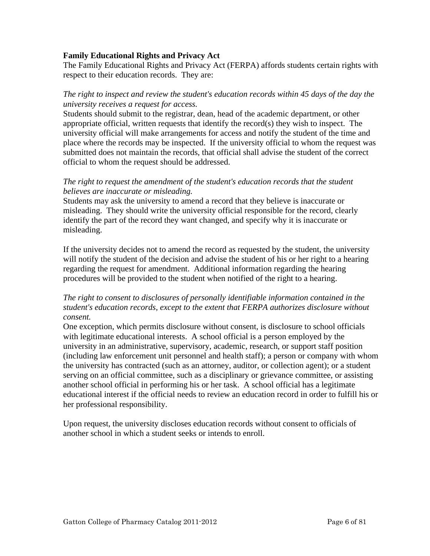#### <span id="page-5-0"></span>**Family Educational Rights and Privacy Act**

The Family Educational Rights and Privacy Act (FERPA) affords students certain rights with respect to their education records. They are:

#### *The right to inspect and review the student's education records within 45 days of the day the university receives a request for access.*

Students should submit to the registrar, dean, head of the academic department, or other appropriate official, written requests that identify the record(s) they wish to inspect. The university official will make arrangements for access and notify the student of the time and place where the records may be inspected. If the university official to whom the request was submitted does not maintain the records, that official shall advise the student of the correct official to whom the request should be addressed.

#### *The right to request the amendment of the student's education records that the student believes are inaccurate or misleading.*

Students may ask the university to amend a record that they believe is inaccurate or misleading. They should write the university official responsible for the record, clearly identify the part of the record they want changed, and specify why it is inaccurate or misleading.

If the university decides not to amend the record as requested by the student, the university will notify the student of the decision and advise the student of his or her right to a hearing regarding the request for amendment. Additional information regarding the hearing procedures will be provided to the student when notified of the right to a hearing.

#### *The right to consent to disclosures of personally identifiable information contained in the student's education records, except to the extent that FERPA authorizes disclosure without consent.*

One exception, which permits disclosure without consent, is disclosure to school officials with legitimate educational interests. A school official is a person employed by the university in an administrative, supervisory, academic, research, or support staff position (including law enforcement unit personnel and health staff); a person or company with whom the university has contracted (such as an attorney, auditor, or collection agent); or a student serving on an official committee, such as a disciplinary or grievance committee, or assisting another school official in performing his or her task. A school official has a legitimate educational interest if the official needs to review an education record in order to fulfill his or her professional responsibility.

Upon request, the university discloses education records without consent to officials of another school in which a student seeks or intends to enroll.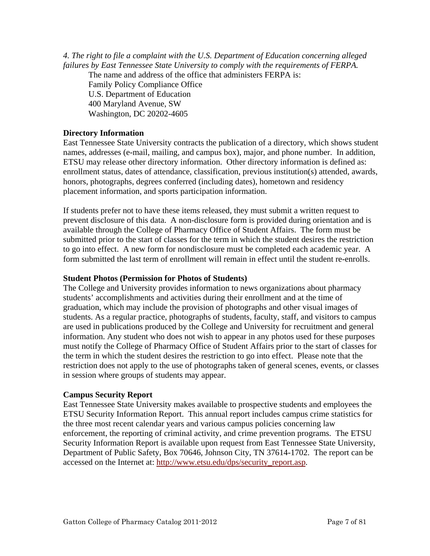<span id="page-6-0"></span>*4. The right to file a complaint with the U.S. Department of Education concerning alleged failures by East Tennessee State University to comply with the requirements of FERPA.* 

The name and address of the office that administers FERPA is: Family Policy Compliance Office U.S. Department of Education 400 Maryland Avenue, SW Washington, DC 20202-4605

#### **Directory Information**

East Tennessee State University contracts the publication of a directory, which shows student names, addresses (e-mail, mailing, and campus box), major, and phone number. In addition, ETSU may release other directory information. Other directory information is defined as: enrollment status, dates of attendance, classification, previous institution(s) attended, awards, honors, photographs, degrees conferred (including dates), hometown and residency placement information, and sports participation information.

If students prefer not to have these items released, they must submit a written request to prevent disclosure of this data. A non-disclosure form is provided during orientation and is available through the College of Pharmacy Office of Student Affairs. The form must be submitted prior to the start of classes for the term in which the student desires the restriction to go into effect. A new form for nondisclosure must be completed each academic year. A form submitted the last term of enrollment will remain in effect until the student re-enrolls.

#### **Student Photos (Permission for Photos of Students)**

The College and University provides information to news organizations about pharmacy students' accomplishments and activities during their enrollment and at the time of graduation, which may include the provision of photographs and other visual images of students. As a regular practice, photographs of students, faculty, staff, and visitors to campus are used in publications produced by the College and University for recruitment and general information. Any student who does not wish to appear in any photos used for these purposes must notify the College of Pharmacy Office of Student Affairs prior to the start of classes for the term in which the student desires the restriction to go into effect. Please note that the restriction does not apply to the use of photographs taken of general scenes, events, or classes in session where groups of students may appear.

#### **Campus Security Report**

East Tennessee State University makes available to prospective students and employees the ETSU Security Information Report. This annual report includes campus crime statistics for the three most recent calendar years and various campus policies concerning law enforcement, the reporting of criminal activity, and crime prevention programs. The ETSU Security Information Report is available upon request from East Tennessee State University, Department of Public Safety, Box 70646, Johnson City, TN 37614-1702. The report can be accessed on the Internet at: [http://www.etsu.edu/dps/security\\_report.asp](http://www.etsu.edu/dps/security_report.asp).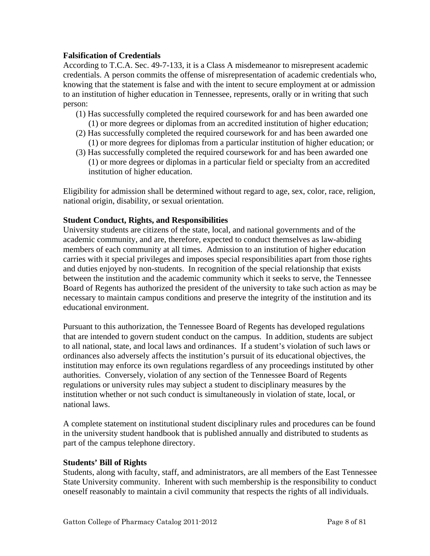#### <span id="page-7-0"></span>**Falsification of Credentials**

According to T.C.A. Sec. 49-7-133, it is a Class A misdemeanor to misrepresent academic credentials. A person commits the offense of misrepresentation of academic credentials who, knowing that the statement is false and with the intent to secure employment at or admission to an institution of higher education in Tennessee, represents, orally or in writing that such person:

- (1) Has successfully completed the required coursework for and has been awarded one (1) or more degrees or diplomas from an accredited institution of higher education;
- (2) Has successfully completed the required coursework for and has been awarded one (1) or more degrees for diplomas from a particular institution of higher education; or
- (3) Has successfully completed the required coursework for and has been awarded one (1) or more degrees or diplomas in a particular field or specialty from an accredited institution of higher education.

Eligibility for admission shall be determined without regard to age, sex, color, race, religion, national origin, disability, or sexual orientation.

#### **Student Conduct, Rights, and Responsibilities**

University students are citizens of the state, local, and national governments and of the academic community, and are, therefore, expected to conduct themselves as law-abiding members of each community at all times. Admission to an institution of higher education carries with it special privileges and imposes special responsibilities apart from those rights and duties enjoyed by non-students. In recognition of the special relationship that exists between the institution and the academic community which it seeks to serve, the Tennessee Board of Regents has authorized the president of the university to take such action as may be necessary to maintain campus conditions and preserve the integrity of the institution and its educational environment.

Pursuant to this authorization, the Tennessee Board of Regents has developed regulations that are intended to govern student conduct on the campus. In addition, students are subject to all national, state, and local laws and ordinances. If a student's violation of such laws or ordinances also adversely affects the institution's pursuit of its educational objectives, the institution may enforce its own regulations regardless of any proceedings instituted by other authorities. Conversely, violation of any section of the Tennessee Board of Regents regulations or university rules may subject a student to disciplinary measures by the institution whether or not such conduct is simultaneously in violation of state, local, or national laws.

A complete statement on institutional student disciplinary rules and procedures can be found in the university student handbook that is published annually and distributed to students as part of the campus telephone directory.

#### **Students' Bill of Rights**

Students, along with faculty, staff, and administrators, are all members of the East Tennessee State University community. Inherent with such membership is the responsibility to conduct oneself reasonably to maintain a civil community that respects the rights of all individuals.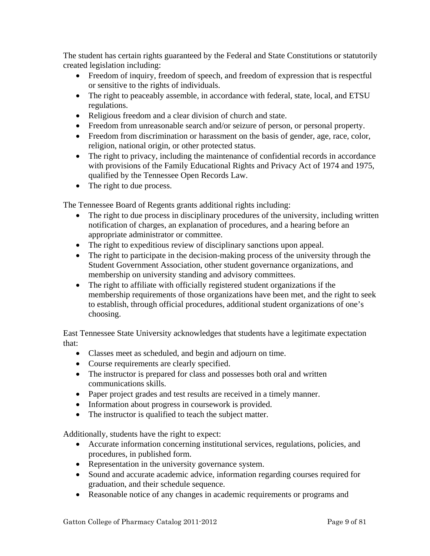The student has certain rights guaranteed by the Federal and State Constitutions or statutorily created legislation including:

- Freedom of inquiry, freedom of speech, and freedom of expression that is respectful or sensitive to the rights of individuals.
- The right to peaceably assemble, in accordance with federal, state, local, and ETSU regulations.
- Religious freedom and a clear division of church and state.
- Freedom from unreasonable search and/or seizure of person, or personal property.
- Freedom from discrimination or harassment on the basis of gender, age, race, color, religion, national origin, or other protected status.
- The right to privacy, including the maintenance of confidential records in accordance with provisions of the Family Educational Rights and Privacy Act of 1974 and 1975, qualified by the Tennessee Open Records Law.
- The right to due process.

The Tennessee Board of Regents grants additional rights including:

- The right to due process in disciplinary procedures of the university, including written notification of charges, an explanation of procedures, and a hearing before an appropriate administrator or committee.
- The right to expeditious review of disciplinary sanctions upon appeal.
- The right to participate in the decision-making process of the university through the Student Government Association, other student governance organizations, and membership on university standing and advisory committees.
- The right to affiliate with officially registered student organizations if the membership requirements of those organizations have been met, and the right to seek to establish, through official procedures, additional student organizations of one's choosing.

East Tennessee State University acknowledges that students have a legitimate expectation that:

- Classes meet as scheduled, and begin and adjourn on time.
- Course requirements are clearly specified.
- The instructor is prepared for class and possesses both oral and written communications skills.
- Paper project grades and test results are received in a timely manner.
- Information about progress in coursework is provided.
- The instructor is qualified to teach the subject matter.

Additionally, students have the right to expect:

- Accurate information concerning institutional services, regulations, policies, and procedures, in published form.
- Representation in the university governance system.
- Sound and accurate academic advice, information regarding courses required for graduation, and their schedule sequence.
- Reasonable notice of any changes in academic requirements or programs and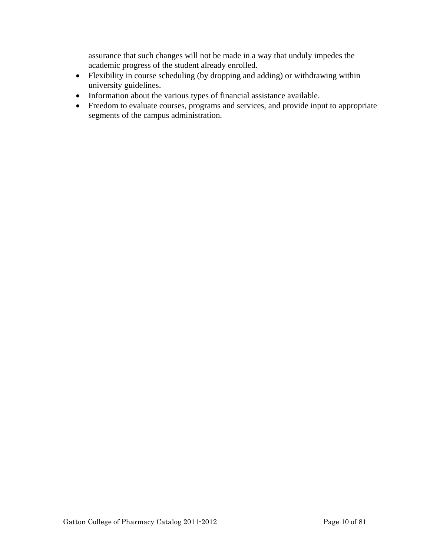assurance that such changes will not be made in a way that unduly impedes the academic progress of the student already enrolled.

- Flexibility in course scheduling (by dropping and adding) or withdrawing within university guidelines.
- Information about the various types of financial assistance available.
- Freedom to evaluate courses, programs and services, and provide input to appropriate segments of the campus administration.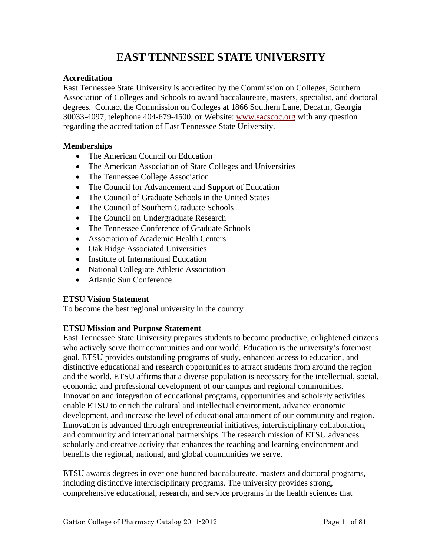# **EAST TENNESSEE STATE UNIVERSITY**

#### <span id="page-10-0"></span>**Accreditation**

East Tennessee State University is accredited by the Commission on Colleges, Southern Association of Colleges and Schools to award baccalaureate, masters, specialist, and doctoral degrees. Contact the Commission on Colleges at 1866 Southern Lane, Decatur, Georgia 30033-4097, telephone 404-679-4500, or Website: [www.sacscoc.org](http://www.sacscoc.org/) with any question regarding the accreditation of East Tennessee State University.

#### **Memberships**

- The American Council on Education
- The American Association of State Colleges and Universities
- The Tennessee College Association
- The Council for Advancement and Support of Education
- The Council of Graduate Schools in the United States
- The Council of Southern Graduate Schools
- The Council on Undergraduate Research
- The Tennessee Conference of Graduate Schools
- Association of Academic Health Centers
- Oak Ridge Associated Universities
- Institute of International Education
- National Collegiate Athletic Association
- Atlantic Sun Conference

#### **ETSU Vision Statement**

To become the best regional university in the country

#### **ETSU Mission and Purpose Statement**

East Tennessee State University prepares students to become productive, enlightened citizens who actively serve their communities and our world. Education is the university's foremost goal. ETSU provides outstanding programs of study, enhanced access to education, and distinctive educational and research opportunities to attract students from around the region and the world. ETSU affirms that a diverse population is necessary for the intellectual, social, economic, and professional development of our campus and regional communities. Innovation and integration of educational programs, opportunities and scholarly activities enable ETSU to enrich the cultural and intellectual environment, advance economic development, and increase the level of educational attainment of our community and region. Innovation is advanced through entrepreneurial initiatives, interdisciplinary collaboration, and community and international partnerships. The research mission of ETSU advances scholarly and creative activity that enhances the teaching and learning environment and benefits the regional, national, and global communities we serve.

ETSU awards degrees in over one hundred baccalaureate, masters and doctoral programs, including distinctive interdisciplinary programs. The university provides strong, comprehensive educational, research, and service programs in the health sciences that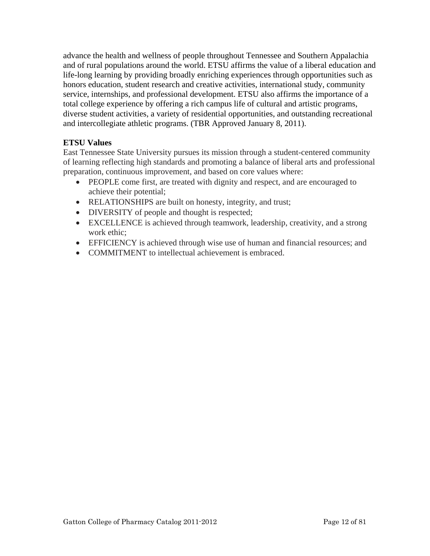<span id="page-11-0"></span>advance the health and wellness of people throughout Tennessee and Southern Appalachia and of rural populations around the world. ETSU affirms the value of a liberal education and life-long learning by providing broadly enriching experiences through opportunities such as honors education, student research and creative activities, international study, community service, internships, and professional development. ETSU also affirms the importance of a total college experience by offering a rich campus life of cultural and artistic programs, diverse student activities, a variety of residential opportunities, and outstanding recreational and intercollegiate athletic programs. (TBR Approved January 8, 2011).

#### **ETSU Values**

East Tennessee State University pursues its mission through a student-centered community of learning reflecting high standards and promoting a balance of liberal arts and professional preparation, continuous improvement, and based on core values where:

- PEOPLE come first, are treated with dignity and respect, and are encouraged to achieve their potential;
- RELATIONSHIPS are built on honesty, integrity, and trust;
- DIVERSITY of people and thought is respected;
- EXCELLENCE is achieved through teamwork, leadership, creativity, and a strong work ethic;
- EFFICIENCY is achieved through wise use of human and financial resources; and
- COMMITMENT to intellectual achievement is embraced.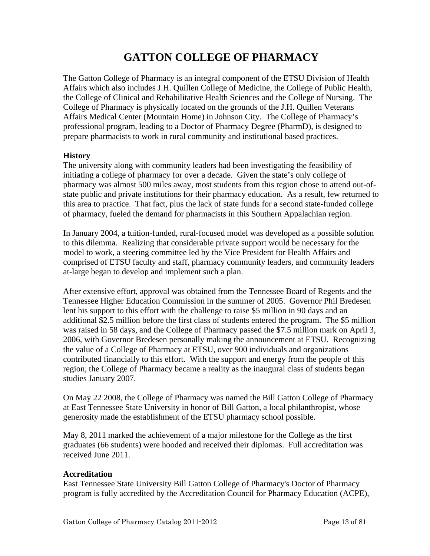# **GATTON COLLEGE OF PHARMACY**

<span id="page-12-0"></span>The Gatton College of Pharmacy is an integral component of the ETSU Division of Health Affairs which also includes J.H. Quillen College of Medicine, the College of Public Health, the College of Clinical and Rehabilitative Health Sciences and the College of Nursing. The College of Pharmacy is physically located on the grounds of the J.H. Quillen Veterans Affairs Medical Center (Mountain Home) in Johnson City. The College of Pharmacy's professional program, leading to a Doctor of Pharmacy Degree (PharmD), is designed to prepare pharmacists to work in rural community and institutional based practices.

#### **History**

The university along with community leaders had been investigating the feasibility of initiating a college of pharmacy for over a decade. Given the state's only college of pharmacy was almost 500 miles away, most students from this region chose to attend out-ofstate public and private institutions for their pharmacy education. As a result, few returned to this area to practice. That fact, plus the lack of state funds for a second state-funded college of pharmacy, fueled the demand for pharmacists in this Southern Appalachian region.

In January 2004, a tuition-funded, rural-focused model was developed as a possible solution to this dilemma. Realizing that considerable private support would be necessary for the model to work, a steering committee led by the Vice President for Health Affairs and comprised of ETSU faculty and staff, pharmacy community leaders, and community leaders at-large began to develop and implement such a plan.

After extensive effort, approval was obtained from the Tennessee Board of Regents and the Tennessee Higher Education Commission in the summer of 2005. Governor Phil Bredesen lent his support to this effort with the challenge to raise \$5 million in 90 days and an additional \$2.5 million before the first class of students entered the program. The \$5 million was raised in 58 days, and the College of Pharmacy passed the \$7.5 million mark on April 3, 2006, with Governor Bredesen personally making the announcement at ETSU. Recognizing the value of a College of Pharmacy at ETSU, over 900 individuals and organizations contributed financially to this effort. With the support and energy from the people of this region, the College of Pharmacy became a reality as the inaugural class of students began studies January 2007.

On May 22 2008, the College of Pharmacy was named the Bill Gatton College of Pharmacy at East Tennessee State University in honor of Bill Gatton, a local philanthropist, whose generosity made the establishment of the ETSU pharmacy school possible.

May 8, 2011 marked the achievement of a major milestone for the College as the first graduates (66 students) were hooded and received their diplomas. Full accreditation was received June 2011.

#### **Accreditation**

East Tennessee State University Bill Gatton College of Pharmacy's Doctor of Pharmacy program is fully accredited by the Accreditation Council for Pharmacy Education (ACPE),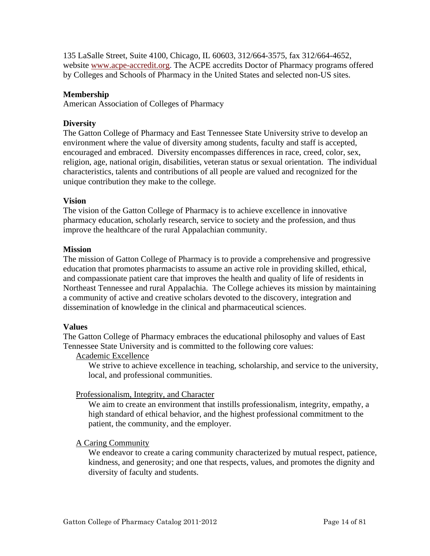<span id="page-13-0"></span>135 LaSalle Street, Suite 4100, Chicago, IL 60603, 312/664-3575, fax 312/664-4652, website [www.acpe-accredit.org.](http://www.acpe-accredit.org/) The ACPE accredits Doctor of Pharmacy programs offered by Colleges and Schools of Pharmacy in the United States and selected non-US sites.

#### **Membership**

American Association of Colleges of Pharmacy

#### **Diversity**

The Gatton College of Pharmacy and East Tennessee State University strive to develop an environment where the value of diversity among students, faculty and staff is accepted, encouraged and embraced. Diversity encompasses differences in race, creed, color, sex, religion, age, national origin, disabilities, veteran status or sexual orientation. The individual characteristics, talents and contributions of all people are valued and recognized for the unique contribution they make to the college.

#### **Vision**

The vision of the Gatton College of Pharmacy is to achieve excellence in innovative pharmacy education, scholarly research, service to society and the profession, and thus improve the healthcare of the rural Appalachian community.

#### **Mission**

The mission of Gatton College of Pharmacy is to provide a comprehensive and progressive education that promotes pharmacists to assume an active role in providing skilled, ethical, and compassionate patient care that improves the health and quality of life of residents in Northeast Tennessee and rural Appalachia. The College achieves its mission by maintaining a community of active and creative scholars devoted to the discovery, integration and dissemination of knowledge in the clinical and pharmaceutical sciences.

#### **Values**

The Gatton College of Pharmacy embraces the educational philosophy and values of East Tennessee State University and is committed to the following core values:

#### Academic Excellence

We strive to achieve excellence in teaching, scholarship, and service to the university, local, and professional communities.

#### Professionalism, Integrity, and Character

We aim to create an environment that instills professionalism, integrity, empathy, a high standard of ethical behavior, and the highest professional commitment to the patient, the community, and the employer.

#### A Caring Community

We endeavor to create a caring community characterized by mutual respect, patience, kindness, and generosity; and one that respects, values, and promotes the dignity and diversity of faculty and students.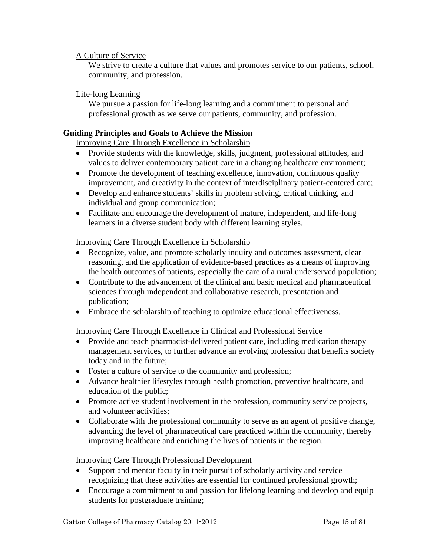#### <span id="page-14-0"></span>A Culture of Service

We strive to create a culture that values and promotes service to our patients, school, community, and profession.

#### Life-long Learning

We pursue a passion for life-long learning and a commitment to personal and professional growth as we serve our patients, community, and profession.

#### **Guiding Principles and Goals to Achieve the Mission**

Improving Care Through Excellence in Scholarship

- Provide students with the knowledge, skills, judgment, professional attitudes, and values to deliver contemporary patient care in a changing healthcare environment;
- Promote the development of teaching excellence, innovation, continuous quality improvement, and creativity in the context of interdisciplinary patient-centered care;
- Develop and enhance students' skills in problem solving, critical thinking, and individual and group communication;
- Facilitate and encourage the development of mature, independent, and life-long learners in a diverse student body with different learning styles.

#### Improving Care Through Excellence in Scholarship

- Recognize, value, and promote scholarly inquiry and outcomes assessment, clear reasoning, and the application of evidence-based practices as a means of improving the health outcomes of patients, especially the care of a rural underserved population;
- Contribute to the advancement of the clinical and basic medical and pharmaceutical sciences through independent and collaborative research, presentation and publication;
- Embrace the scholarship of teaching to optimize educational effectiveness.

Improving Care Through Excellence in Clinical and Professional Service

- Provide and teach pharmacist-delivered patient care, including medication therapy management services, to further advance an evolving profession that benefits society today and in the future;
- Foster a culture of service to the community and profession;
- Advance healthier lifestyles through health promotion, preventive healthcare, and education of the public;
- Promote active student involvement in the profession, community service projects, and volunteer activities;
- Collaborate with the professional community to serve as an agent of positive change, advancing the level of pharmaceutical care practiced within the community, thereby improving healthcare and enriching the lives of patients in the region.

#### Improving Care Through Professional Development

- Support and mentor faculty in their pursuit of scholarly activity and service recognizing that these activities are essential for continued professional growth;
- Encourage a commitment to and passion for lifelong learning and develop and equip students for postgraduate training;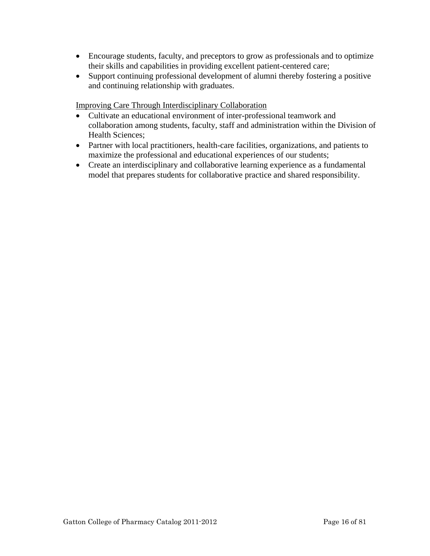- Encourage students, faculty, and preceptors to grow as professionals and to optimize their skills and capabilities in providing excellent patient-centered care;
- Support continuing professional development of alumni thereby fostering a positive and continuing relationship with graduates.

Improving Care Through Interdisciplinary Collaboration

- Cultivate an educational environment of inter-professional teamwork and collaboration among students, faculty, staff and administration within the Division of Health Sciences;
- Partner with local practitioners, health-care facilities, organizations, and patients to maximize the professional and educational experiences of our students;
- Create an interdisciplinary and collaborative learning experience as a fundamental model that prepares students for collaborative practice and shared responsibility.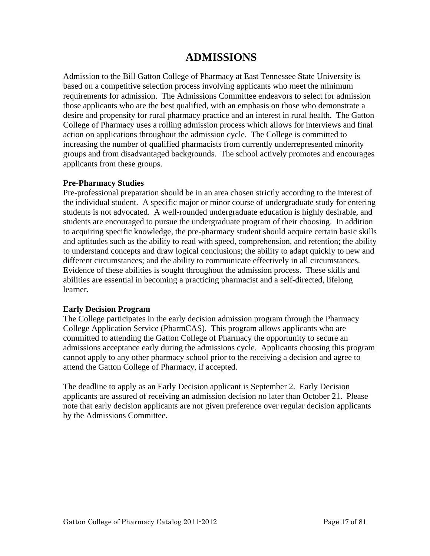## **ADMISSIONS**

<span id="page-16-0"></span>Admission to the Bill Gatton College of Pharmacy at East Tennessee State University is based on a competitive selection process involving applicants who meet the minimum requirements for admission. The Admissions Committee endeavors to select for admission those applicants who are the best qualified, with an emphasis on those who demonstrate a desire and propensity for rural pharmacy practice and an interest in rural health. The Gatton College of Pharmacy uses a rolling admission process which allows for interviews and final action on applications throughout the admission cycle. The College is committed to increasing the number of qualified pharmacists from currently underrepresented minority groups and from disadvantaged backgrounds. The school actively promotes and encourages applicants from these groups.

#### **Pre-Pharmacy Studies**

Pre-professional preparation should be in an area chosen strictly according to the interest of the individual student. A specific major or minor course of undergraduate study for entering students is not advocated. A well-rounded undergraduate education is highly desirable, and students are encouraged to pursue the undergraduate program of their choosing. In addition to acquiring specific knowledge, the pre-pharmacy student should acquire certain basic skills and aptitudes such as the ability to read with speed, comprehension, and retention; the ability to understand concepts and draw logical conclusions; the ability to adapt quickly to new and different circumstances; and the ability to communicate effectively in all circumstances. Evidence of these abilities is sought throughout the admission process. These skills and abilities are essential in becoming a practicing pharmacist and a self-directed, lifelong learner.

#### **Early Decision Program**

The College participates in the early decision admission program through the Pharmacy College Application Service (PharmCAS). This program allows applicants who are committed to attending the Gatton College of Pharmacy the opportunity to secure an admissions acceptance early during the admissions cycle. Applicants choosing this program cannot apply to any other pharmacy school prior to the receiving a decision and agree to attend the Gatton College of Pharmacy, if accepted.

The deadline to apply as an Early Decision applicant is September 2. Early Decision applicants are assured of receiving an admission decision no later than October 21. Please note that early decision applicants are not given preference over regular decision applicants by the Admissions Committee.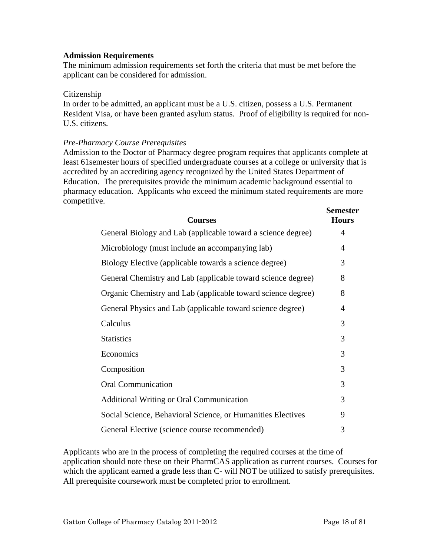#### <span id="page-17-0"></span>**Admission Requirements**

The minimum admission requirements set forth the criteria that must be met before the applicant can be considered for admission.

#### Citizenship

In order to be admitted, an applicant must be a U.S. citizen, possess a U.S. Permanent Resident Visa, or have been granted asylum status. Proof of eligibility is required for non-U.S. citizens.

#### *Pre-Pharmacy Course Prerequisites*

Admission to the Doctor of Pharmacy degree program requires that applicants complete at least 61semester hours of specified undergraduate courses at a college or university that is accredited by an accrediting agency recognized by the United States Department of Education. The prerequisites provide the minimum academic background essential to pharmacy education. Applicants who exceed the minimum stated requirements are more competitive.

| <b>Courses</b>                                               | <b>Semester</b><br><b>Hours</b> |
|--------------------------------------------------------------|---------------------------------|
| General Biology and Lab (applicable toward a science degree) | 4                               |
| Microbiology (must include an accompanying lab)              | 4                               |
| Biology Elective (applicable towards a science degree)       | 3                               |
| General Chemistry and Lab (applicable toward science degree) | 8                               |
| Organic Chemistry and Lab (applicable toward science degree) | 8                               |
| General Physics and Lab (applicable toward science degree)   | 4                               |
| Calculus                                                     | 3                               |
| <b>Statistics</b>                                            | 3                               |
| Economics                                                    | 3                               |
| Composition                                                  | 3                               |
| <b>Oral Communication</b>                                    | 3                               |
| <b>Additional Writing or Oral Communication</b>              | 3                               |
| Social Science, Behavioral Science, or Humanities Electives  | 9                               |
| General Elective (science course recommended)                | 3                               |

Applicants who are in the process of completing the required courses at the time of application should note these on their PharmCAS application as current courses. Courses for which the applicant earned a grade less than C- will NOT be utilized to satisfy prerequisites. All prerequisite coursework must be completed prior to enrollment.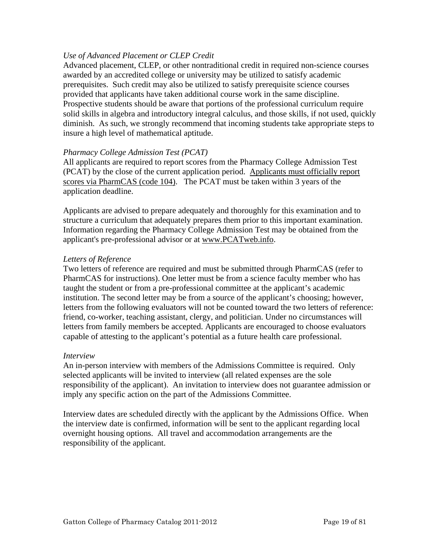#### *Use of Advanced Placement or CLEP Credit*

Advanced placement, CLEP, or other nontraditional credit in required non-science courses awarded by an accredited college or university may be utilized to satisfy academic prerequisites. Such credit may also be utilized to satisfy prerequisite science courses provided that applicants have taken additional course work in the same discipline. Prospective students should be aware that portions of the professional curriculum require solid skills in algebra and introductory integral calculus, and those skills, if not used, quickly diminish. As such, we strongly recommend that incoming students take appropriate steps to insure a high level of mathematical aptitude.

#### *Pharmacy College Admission Test (PCAT)*

All applicants are required to report scores from the Pharmacy College Admission Test (PCAT) by the close of the current application period. Applicants must officially report scores via PharmCAS (code 104). The PCAT must be taken within 3 years of the application deadline.

Applicants are advised to prepare adequately and thoroughly for this examination and to structure a curriculum that adequately prepares them prior to this important examination. Information regarding the Pharmacy College Admission Test may be obtained from the applicant's pre-professional advisor or at www.PCATweb.info.

#### *Letters of Reference*

Two letters of reference are required and must be submitted through PharmCAS (refer to PharmCAS for instructions). One letter must be from a science faculty member who has taught the student or from a pre-professional committee at the applicant's academic institution. The second letter may be from a source of the applicant's choosing; however, letters from the following evaluators will not be counted toward the two letters of reference: friend, co-worker, teaching assistant, clergy, and politician. Under no circumstances will letters from family members be accepted. Applicants are encouraged to choose evaluators capable of attesting to the applicant's potential as a future health care professional.

#### *Interview*

An in-person interview with members of the Admissions Committee is required. Only selected applicants will be invited to interview (all related expenses are the sole responsibility of the applicant). An invitation to interview does not guarantee admission or imply any specific action on the part of the Admissions Committee.

Interview dates are scheduled directly with the applicant by the Admissions Office. When the interview date is confirmed, information will be sent to the applicant regarding local overnight housing options. All travel and accommodation arrangements are the responsibility of the applicant.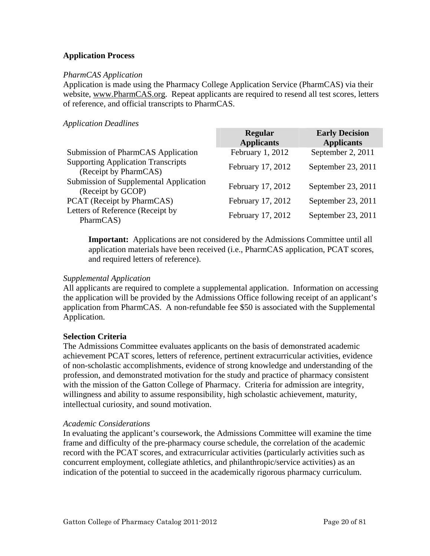#### <span id="page-19-0"></span>**Application Process**

#### *PharmCAS Application*

Application is made using the Pharmacy College Application Service (PharmCAS) via their website, www.PharmCAS.org. Repeat applicants are required to resend all test scores, letters of reference, and official transcripts to PharmCAS.

#### *Application Deadlines*

|                                                                    | <b>Regular</b><br><b>Applicants</b> | <b>Early Decision</b><br><b>Applicants</b> |
|--------------------------------------------------------------------|-------------------------------------|--------------------------------------------|
| Submission of PharmCAS Application                                 | February 1, 2012                    | September 2, 2011                          |
| <b>Supporting Application Transcripts</b><br>(Receipt by PharmCAS) | February 17, 2012                   | September 23, 2011                         |
| Submission of Supplemental Application<br>(Receipt by GCOP)        | February 17, 2012                   | September 23, 2011                         |
| PCAT (Receipt by PharmCAS)                                         | February 17, 2012                   | September 23, 2011                         |
| Letters of Reference (Receipt by<br>PharmCAS)                      | February 17, 2012                   | September 23, 2011                         |

**Important:** Applications are not considered by the Admissions Committee until all application materials have been received (i.e., PharmCAS application, PCAT scores, and required letters of reference).

#### *Supplemental Application*

All applicants are required to complete a supplemental application. Information on accessing the application will be provided by the Admissions Office following receipt of an applicant's application from PharmCAS. A non-refundable fee \$50 is associated with the Supplemental Application.

#### **Selection Criteria**

The Admissions Committee evaluates applicants on the basis of demonstrated academic achievement PCAT scores, letters of reference, pertinent extracurricular activities, evidence of non-scholastic accomplishments, evidence of strong knowledge and understanding of the profession, and demonstrated motivation for the study and practice of pharmacy consistent with the mission of the Gatton College of Pharmacy. Criteria for admission are integrity, willingness and ability to assume responsibility, high scholastic achievement, maturity, intellectual curiosity, and sound motivation.

#### *Academic Considerations*

In evaluating the applicant's coursework, the Admissions Committee will examine the time frame and difficulty of the pre-pharmacy course schedule, the correlation of the academic record with the PCAT scores, and extracurricular activities (particularly activities such as concurrent employment, collegiate athletics, and philanthropic/service activities) as an indication of the potential to succeed in the academically rigorous pharmacy curriculum.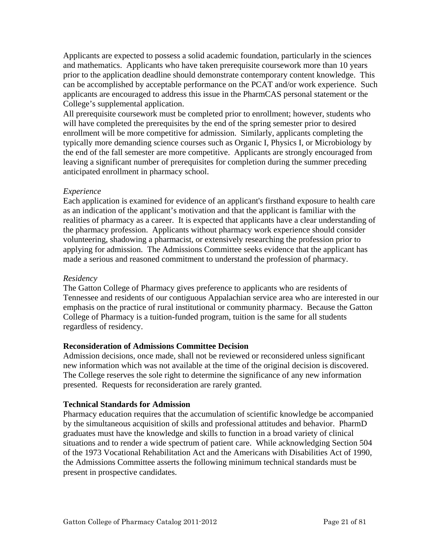<span id="page-20-0"></span>Applicants are expected to possess a solid academic foundation, particularly in the sciences and mathematics. Applicants who have taken prerequisite coursework more than 10 years prior to the application deadline should demonstrate contemporary content knowledge. This can be accomplished by acceptable performance on the PCAT and/or work experience. Such applicants are encouraged to address this issue in the PharmCAS personal statement or the College's supplemental application.

All prerequisite coursework must be completed prior to enrollment; however, students who will have completed the prerequisites by the end of the spring semester prior to desired enrollment will be more competitive for admission. Similarly, applicants completing the typically more demanding science courses such as Organic I, Physics I, or Microbiology by the end of the fall semester are more competitive. Applicants are strongly encouraged from leaving a significant number of prerequisites for completion during the summer preceding anticipated enrollment in pharmacy school.

#### *Experience*

Each application is examined for evidence of an applicant's firsthand exposure to health care as an indication of the applicant's motivation and that the applicant is familiar with the realities of pharmacy as a career. It is expected that applicants have a clear understanding of the pharmacy profession. Applicants without pharmacy work experience should consider volunteering, shadowing a pharmacist, or extensively researching the profession prior to applying for admission. The Admissions Committee seeks evidence that the applicant has made a serious and reasoned commitment to understand the profession of pharmacy.

#### *Residency*

The Gatton College of Pharmacy gives preference to applicants who are residents of Tennessee and residents of our contiguous Appalachian service area who are interested in our emphasis on the practice of rural institutional or community pharmacy. Because the Gatton College of Pharmacy is a tuition-funded program, tuition is the same for all students regardless of residency.

#### **Reconsideration of Admissions Committee Decision**

Admission decisions, once made, shall not be reviewed or reconsidered unless significant new information which was not available at the time of the original decision is discovered. The College reserves the sole right to determine the significance of any new information presented. Requests for reconsideration are rarely granted.

#### **Technical Standards for Admission**

Pharmacy education requires that the accumulation of scientific knowledge be accompanied by the simultaneous acquisition of skills and professional attitudes and behavior. PharmD graduates must have the knowledge and skills to function in a broad variety of clinical situations and to render a wide spectrum of patient care. While acknowledging Section 504 of the 1973 Vocational Rehabilitation Act and the Americans with Disabilities Act of 1990, the Admissions Committee asserts the following minimum technical standards must be present in prospective candidates.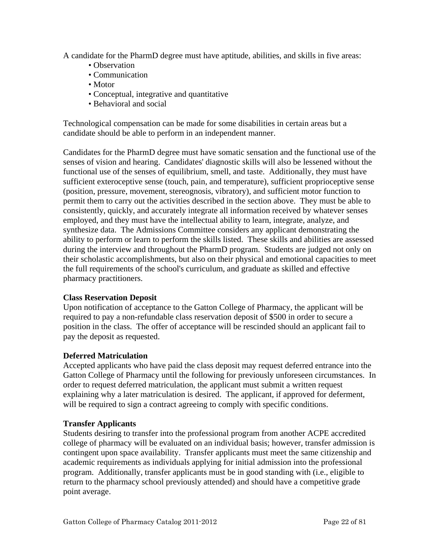<span id="page-21-0"></span>A candidate for the PharmD degree must have aptitude, abilities, and skills in five areas:

- Observation
- Communication
- Motor
- Conceptual, integrative and quantitative
- Behavioral and social

Technological compensation can be made for some disabilities in certain areas but a candidate should be able to perform in an independent manner.

Candidates for the PharmD degree must have somatic sensation and the functional use of the senses of vision and hearing. Candidates' diagnostic skills will also be lessened without the functional use of the senses of equilibrium, smell, and taste. Additionally, they must have sufficient exteroceptive sense (touch, pain, and temperature), sufficient proprioceptive sense (position, pressure, movement, stereognosis, vibratory), and sufficient motor function to permit them to carry out the activities described in the section above. They must be able to consistently, quickly, and accurately integrate all information received by whatever senses employed, and they must have the intellectual ability to learn, integrate, analyze, and synthesize data. The Admissions Committee considers any applicant demonstrating the ability to perform or learn to perform the skills listed. These skills and abilities are assessed during the interview and throughout the PharmD program. Students are judged not only on their scholastic accomplishments, but also on their physical and emotional capacities to meet the full requirements of the school's curriculum, and graduate as skilled and effective pharmacy practitioners.

#### **Class Reservation Deposit**

Upon notification of acceptance to the Gatton College of Pharmacy, the applicant will be required to pay a non-refundable class reservation deposit of \$500 in order to secure a position in the class. The offer of acceptance will be rescinded should an applicant fail to pay the deposit as requested.

#### **Deferred Matriculation**

Accepted applicants who have paid the class deposit may request deferred entrance into the Gatton College of Pharmacy until the following for previously unforeseen circumstances. In order to request deferred matriculation, the applicant must submit a written request explaining why a later matriculation is desired. The applicant, if approved for deferment, will be required to sign a contract agreeing to comply with specific conditions.

#### **Transfer Applicants**

Students desiring to transfer into the professional program from another ACPE accredited college of pharmacy will be evaluated on an individual basis; however, transfer admission is contingent upon space availability. Transfer applicants must meet the same citizenship and academic requirements as individuals applying for initial admission into the professional program. Additionally, transfer applicants must be in good standing with (i.e., eligible to return to the pharmacy school previously attended) and should have a competitive grade point average.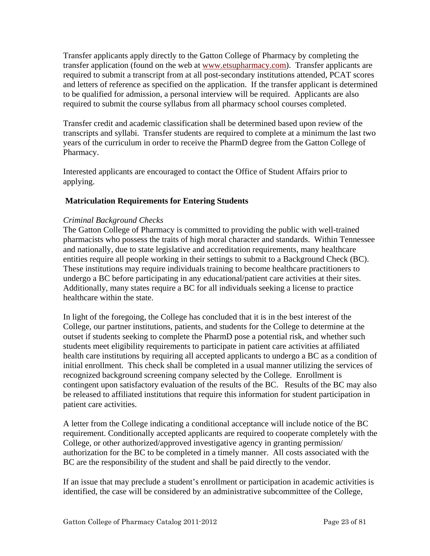<span id="page-22-0"></span>Transfer applicants apply directly to the Gatton College of Pharmacy by completing the transfer application (found on the web at [www.etsupharmacy.com\)](http://www.etsu.edu/pharmacy). Transfer applicants are required to submit a transcript from at all post-secondary institutions attended, PCAT scores and letters of reference as specified on the application. If the transfer applicant is determined to be qualified for admission, a personal interview will be required. Applicants are also required to submit the course syllabus from all pharmacy school courses completed.

Transfer credit and academic classification shall be determined based upon review of the transcripts and syllabi. Transfer students are required to complete at a minimum the last two years of the curriculum in order to receive the PharmD degree from the Gatton College of Pharmacy.

Interested applicants are encouraged to contact the Office of Student Affairs prior to applying.

#### **Matriculation Requirements for Entering Students**

#### *Criminal Background Checks*

The Gatton College of Pharmacy is committed to providing the public with well-trained pharmacists who possess the traits of high moral character and standards. Within Tennessee and nationally, due to state legislative and accreditation requirements, many healthcare entities require all people working in their settings to submit to a Background Check (BC). These institutions may require individuals training to become healthcare practitioners to undergo a BC before participating in any educational/patient care activities at their sites. Additionally, many states require a BC for all individuals seeking a license to practice healthcare within the state.

In light of the foregoing, the College has concluded that it is in the best interest of the College, our partner institutions, patients, and students for the College to determine at the outset if students seeking to complete the PharmD pose a potential risk, and whether such students meet eligibility requirements to participate in patient care activities at affiliated health care institutions by requiring all accepted applicants to undergo a BC as a condition of initial enrollment. This check shall be completed in a usual manner utilizing the services of recognized background screening company selected by the College. Enrollment is contingent upon satisfactory evaluation of the results of the BC. Results of the BC may also be released to affiliated institutions that require this information for student participation in patient care activities.

A letter from the College indicating a conditional acceptance will include notice of the BC requirement. Conditionally accepted applicants are required to cooperate completely with the College, or other authorized/approved investigative agency in granting permission/ authorization for the BC to be completed in a timely manner. All costs associated with the BC are the responsibility of the student and shall be paid directly to the vendor.

If an issue that may preclude a student's enrollment or participation in academic activities is identified, the case will be considered by an administrative subcommittee of the College,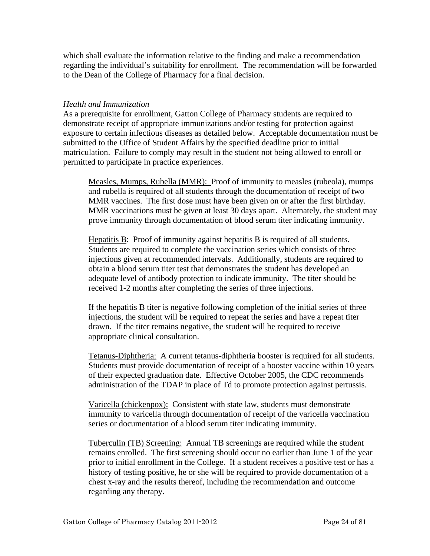which shall evaluate the information relative to the finding and make a recommendation regarding the individual's suitability for enrollment. The recommendation will be forwarded to the Dean of the College of Pharmacy for a final decision.

#### *Health and Immunization*

As a prerequisite for enrollment, Gatton College of Pharmacy students are required to demonstrate receipt of appropriate immunizations and/or testing for protection against exposure to certain infectious diseases as detailed below. Acceptable documentation must be submitted to the Office of Student Affairs by the specified deadline prior to initial matriculation. Failure to comply may result in the student not being allowed to enroll or permitted to participate in practice experiences.

Measles, Mumps, Rubella (MMR): Proof of immunity to measles (rubeola), mumps and rubella is required of all students through the documentation of receipt of two MMR vaccines. The first dose must have been given on or after the first birthday. MMR vaccinations must be given at least 30 days apart. Alternately, the student may prove immunity through documentation of blood serum titer indicating immunity.

Hepatitis B: Proof of immunity against hepatitis B is required of all students. Students are required to complete the vaccination series which consists of three injections given at recommended intervals. Additionally, students are required to obtain a blood serum titer test that demonstrates the student has developed an adequate level of antibody protection to indicate immunity. The titer should be received 1-2 months after completing the series of three injections.

If the hepatitis B titer is negative following completion of the initial series of three injections, the student will be required to repeat the series and have a repeat titer drawn. If the titer remains negative, the student will be required to receive appropriate clinical consultation.

Tetanus-Diphtheria: A current tetanus-diphtheria booster is required for all students. Students must provide documentation of receipt of a booster vaccine within 10 years of their expected graduation date. Effective October 2005, the CDC recommends administration of the TDAP in place of Td to promote protection against pertussis.

Varicella (chickenpox): Consistent with state law, students must demonstrate immunity to varicella through documentation of receipt of the varicella vaccination series or documentation of a blood serum titer indicating immunity.

Tuberculin (TB) Screening: Annual TB screenings are required while the student remains enrolled. The first screening should occur no earlier than June 1 of the year prior to initial enrollment in the College. If a student receives a positive test or has a history of testing positive, he or she will be required to provide documentation of a chest x-ray and the results thereof, including the recommendation and outcome regarding any therapy.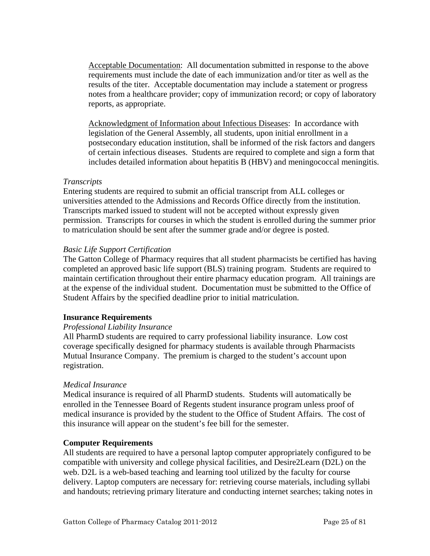<span id="page-24-0"></span>Acceptable Documentation: All documentation submitted in response to the above requirements must include the date of each immunization and/or titer as well as the results of the titer. Acceptable documentation may include a statement or progress notes from a healthcare provider; copy of immunization record; or copy of laboratory reports, as appropriate.

Acknowledgment of Information about Infectious Diseases: In accordance with legislation of the General Assembly, all students, upon initial enrollment in a postsecondary education institution, shall be informed of the risk factors and dangers of certain infectious diseases. Students are required to complete and sign a form that includes detailed information about hepatitis B (HBV) and meningococcal meningitis.

#### *Transcripts*

Entering students are required to submit an official transcript from ALL colleges or universities attended to the Admissions and Records Office directly from the institution. Transcripts marked issued to student will not be accepted without expressly given permission. Transcripts for courses in which the student is enrolled during the summer prior to matriculation should be sent after the summer grade and/or degree is posted.

#### *Basic Life Support Certification*

The Gatton College of Pharmacy requires that all student pharmacists be certified has having completed an approved basic life support (BLS) training program. Students are required to maintain certification throughout their entire pharmacy education program. All trainings are at the expense of the individual student. Documentation must be submitted to the Office of Student Affairs by the specified deadline prior to initial matriculation.

#### **Insurance Requirements**

#### *Professional Liability Insurance*

All PharmD students are required to carry professional liability insurance. Low cost coverage specifically designed for pharmacy students is available through Pharmacists Mutual Insurance Company. The premium is charged to the student's account upon registration.

#### *Medical Insurance*

Medical insurance is required of all PharmD students. Students will automatically be enrolled in the Tennessee Board of Regents student insurance program unless proof of medical insurance is provided by the student to the Office of Student Affairs. The cost of this insurance will appear on the student's fee bill for the semester.

#### **Computer Requirements**

All students are required to have a personal laptop computer appropriately configured to be compatible with university and college physical facilities, and Desire2Learn (D2L) on the web. D2L is a web-based teaching and learning tool utilized by the faculty for course delivery. Laptop computers are necessary for: retrieving course materials, including syllabi and handouts; retrieving primary literature and conducting internet searches; taking notes in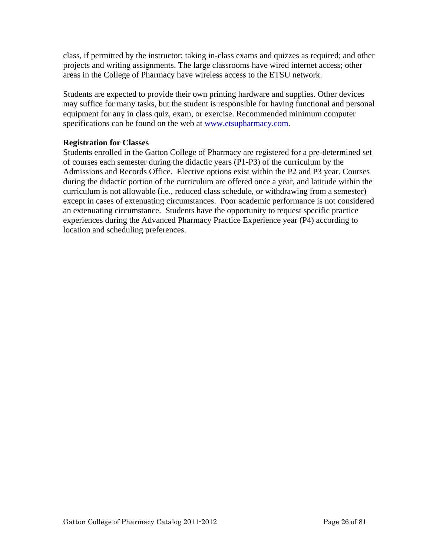<span id="page-25-0"></span>class, if permitted by the instructor; taking in-class exams and quizzes as required; and other projects and writing assignments. The large classrooms have wired internet access; other areas in the College of Pharmacy have wireless access to the ETSU network.

Students are expected to provide their own printing hardware and supplies. Other devices may suffice for many tasks, but the student is responsible for having functional and personal equipment for any in class quiz, exam, or exercise. Recommended minimum computer specifications can be found on the web at www.etsupharmacy.com.

#### **Registration for Classes**

Students enrolled in the Gatton College of Pharmacy are registered for a pre-determined set of courses each semester during the didactic years (P1-P3) of the curriculum by the Admissions and Records Office. Elective options exist within the P2 and P3 year. Courses during the didactic portion of the curriculum are offered once a year, and latitude within the curriculum is not allowable (i.e., reduced class schedule, or withdrawing from a semester) except in cases of extenuating circumstances. Poor academic performance is not considered an extenuating circumstance. Students have the opportunity to request specific practice experiences during the Advanced Pharmacy Practice Experience year (P4) according to location and scheduling preferences.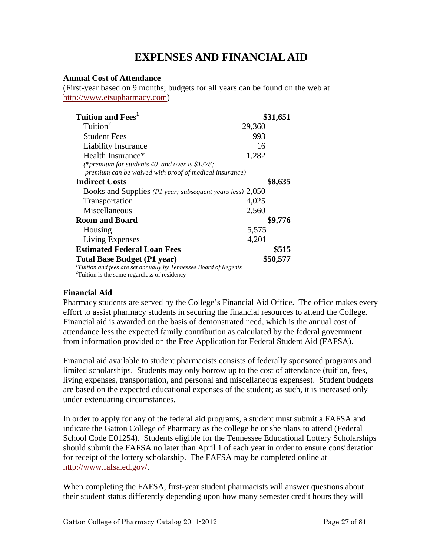# **EXPENSES AND FINANCIAL AID**

#### <span id="page-26-0"></span>**Annual Cost of Attendance**

(First-year based on 9 months; budgets for all years can be found on the web at [http://www.etsupharmacy.com\)](http://www.etsupharmacy.com/)

| Tuition and Fees <sup>1</sup>                                                                                                                                     | \$31,651 |
|-------------------------------------------------------------------------------------------------------------------------------------------------------------------|----------|
| Tuition $2$                                                                                                                                                       | 29,360   |
| <b>Student Fees</b>                                                                                                                                               | 993      |
| Liability Insurance                                                                                                                                               | 16       |
| Health Insurance*                                                                                                                                                 | 1,282    |
| (*premium for students 40 and over is \$1378;<br>premium can be waived with proof of medical insurance)                                                           |          |
| <b>Indirect Costs</b>                                                                                                                                             | \$8,635  |
| Books and Supplies (P1 year; subsequent years less) 2,050                                                                                                         |          |
| Transportation                                                                                                                                                    | 4,025    |
| Miscellaneous                                                                                                                                                     | 2,560    |
| <b>Room and Board</b>                                                                                                                                             | \$9,776  |
| Housing                                                                                                                                                           | 5,575    |
| Living Expenses                                                                                                                                                   | 4,201    |
| <b>Estimated Federal Loan Fees</b>                                                                                                                                | \$515    |
| <b>Total Base Budget (P1 year)</b><br><sup>1</sup> Tuition and fees are set annually by Tennessee Board of Regents<br>Tuition is the same regardless of residency | \$50,577 |

#### **Financial Aid**

Pharmacy students are served by the College's Financial Aid Office. The office makes every effort to assist pharmacy students in securing the financial resources to attend the College. Financial aid is awarded on the basis of demonstrated need, which is the annual cost of attendance less the expected family contribution as calculated by the federal government from information provided on the Free Application for Federal Student Aid (FAFSA).

Financial aid available to student pharmacists consists of federally sponsored programs and limited scholarships. Students may only borrow up to the cost of attendance (tuition, fees, living expenses, transportation, and personal and miscellaneous expenses). Student budgets are based on the expected educational expenses of the student; as such, it is increased only under extenuating circumstances.

In order to apply for any of the federal aid programs, a student must submit a FAFSA and indicate the Gatton College of Pharmacy as the college he or she plans to attend (Federal School Code E01254). Students eligible for the Tennessee Educational Lottery Scholarships should submit the FAFSA no later than April 1 of each year in order to ensure consideration for receipt of the lottery scholarship. The FAFSA may be completed online at [http://www.fafsa.ed.gov/.](http://www.fafsa.ed.gov/)

When completing the FAFSA, first-year student pharmacists will answer questions about their student status differently depending upon how many semester credit hours they will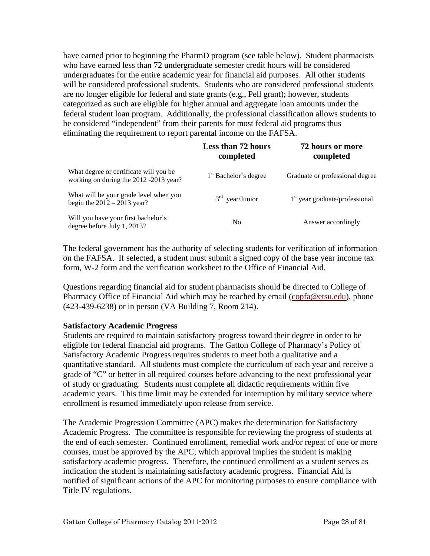<span id="page-27-0"></span>have earned prior to beginning the PharmD program (see table below). Student pharmacists who have earned less than 72 undergraduate semester credit hours will be considered undergraduates for the entire academic year for financial aid purposes. All other students will be considered professional students. Students who are considered professional students are no longer eligible for federal and state grants (e.g., Pell grant); however, students categorized as such are eligible for higher annual and aggregate loan amounts under the federal student loan program. Additionally, the professional classification allows students to be considered "independent" from their parents for most federal aid programs thus eliminating the requirement to report parental income on the FAFSA.

|                                                                                  | <b>Less than 72 hours</b><br>completed | 72 hours or more<br>completed    |
|----------------------------------------------------------------------------------|----------------------------------------|----------------------------------|
| What degree or certificate will you be<br>working on during the 2012 -2013 year? | 1 <sup>st</sup> Bachelor's degree      | Graduate or professional degree  |
| What will be your grade level when you<br>begin the $2012 - 2013$ year?          | $3rd$ year/Junior                      | $1st$ year graduate/professional |
| Will you have your first bachelor's<br>degree before July 1, 2013?               | N <sub>0</sub>                         | Answer accordingly               |

The federal government has the authority of selecting students for verification of information on the FAFSA. If selected, a student must submit a signed copy of the base year income tax form, W-2 form and the verification worksheet to the Office of Financial Aid.

Questions regarding financial aid for student pharmacists should be directed to College of Pharmacy Office of Financial Aid which may be reached by email (copfa@etsu.edu), phone (423-439-6238) or in person (VA Building 7, Room 214).

#### **Satisfactory Academic Progress**

Students are required to maintain satisfactory progress toward their degree in order to be eligible for federal financial aid programs. The Gatton College of Pharmacy's Policy of Satisfactory Academic Progress requires students to meet both a qualitative and a quantitative standard. All students must complete the curriculum of each year and receive a grade of "C" or better in all required courses before advancing to the next professional year of study or graduating. Students must complete all didactic requirements within five academic years. This time limit may be extended for interruption by military service where enrollment is resumed immediately upon release from service.

The Academic Progression Committee (APC) makes the determination for Satisfactory Academic Progress. The committee is responsible for reviewing the progress of students at the end of each semester. Continued enrollment, remedial work and/or repeat of one or more courses, must be approved by the APC; which approval implies the student is making satisfactory academic progress. Therefore, the continued enrollment as a student serves as indication the student is maintaining satisfactory academic progress. Financial Aid is notified of significant actions of the APC for monitoring purposes to ensure compliance with Title IV regulations.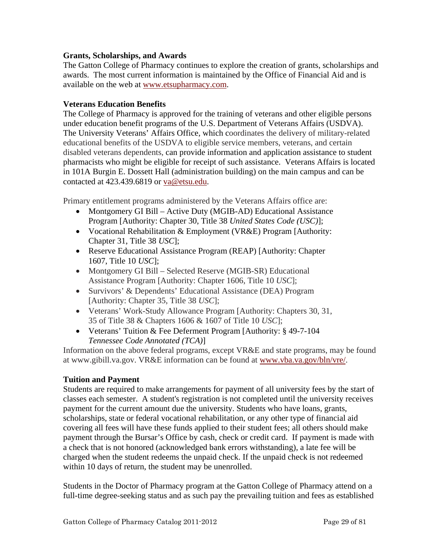#### <span id="page-28-0"></span>**Grants, Scholarships, and Awards**

The Gatton College of Pharmacy continues to explore the creation of grants, scholarships and awards. The most current information is maintained by the Office of Financial Aid and is available on the web at [www.etsupharmacy.com.](http://www.etsupharmacy.com/)

#### **Veterans Education Benefits**

The College of Pharmacy is approved for the training of veterans and other eligible persons under education benefit programs of the U.S. Department of Veterans Affairs (USDVA). The University Veterans' Affairs Office, which coordinates the delivery of military-related educational benefits of the USDVA to eligible service members, veterans, and certain disabled veterans dependents, can provide information and application assistance to student pharmacists who might be eligible for receipt of such assistance. Veterans Affairs is located in 101A Burgin E. Dossett Hall (administration building) on the main campus and can be contacted at 423.439.6819 or va@etsu.edu.

Primary entitlement programs administered by the Veterans Affairs office are:

- Montgomery GI Bill Active Duty (MGIB-AD) Educational Assistance Program [Authority: Chapter 30, Title 38 *United States Code (USC)*];
- Vocational Rehabilitation & Employment (VR&E) Program [Authority: Chapter 31, Title 38 *USC*];
- Reserve Educational Assistance Program (REAP) [Authority: Chapter 1607, Title 10 *USC*];
- Montgomery GI Bill Selected Reserve (MGIB-SR) Educational Assistance Program [Authority: Chapter 1606, Title 10 *USC*];
- Survivors' & Dependents' Educational Assistance (DEA) Program [Authority: Chapter 35, Title 38 *USC*];
- Veterans' Work-Study Allowance Program [Authority: Chapters 30, 31, 35 of Title 38 & Chapters 1606 & 1607 of Title 10 *USC*];
- Veterans' Tuition & Fee Deferment Program [Authority: § 49-7-104] *Tennessee Code Annotated (TCA)*]

Information on the above federal programs, except VR&E and state programs, may be found at www.gibill.va.gov. VR&E information can be found at [www.vba.va.gov/bln/vre/](http://www.vba.va.gov/bln/vre/).

#### **Tuition and Payment**

Students are required to make arrangements for payment of all university fees by the start of classes each semester. A student's registration is not completed until the university receives payment for the current amount due the university. Students who have loans, grants, scholarships, state or federal vocational rehabilitation, or any other type of financial aid covering all fees will have these funds applied to their student fees; all others should make payment through the Bursar's Office by cash, check or credit card. If payment is made with a check that is not honored (acknowledged bank errors withstanding), a late fee will be charged when the student redeems the unpaid check. If the unpaid check is not redeemed within 10 days of return, the student may be unenrolled.

Students in the Doctor of Pharmacy program at the Gatton College of Pharmacy attend on a full-time degree-seeking status and as such pay the prevailing tuition and fees as established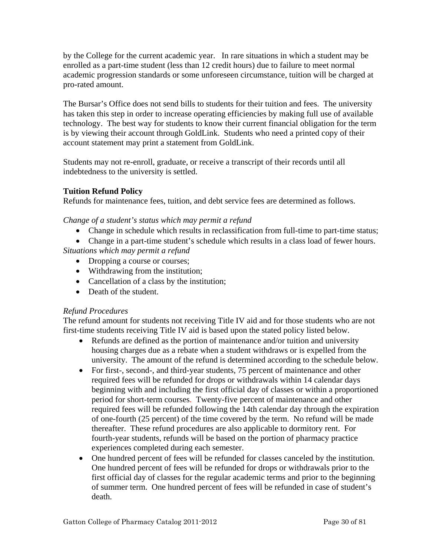<span id="page-29-0"></span>by the College for the current academic year. In rare situations in which a student may be enrolled as a part-time student (less than 12 credit hours) due to failure to meet normal academic progression standards or some unforeseen circumstance, tuition will be charged at pro-rated amount.

The Bursar's Office does not send bills to students for their [tuition and fees.](http://www.etsu.edu/comptrol/bursar_tuition_and_fees.htm) The university has taken this step in order to increase operating efficiencies by making full use of available technology. The best way for students to know their current financial obligation for the term is by viewing their account through [GoldLink](https://goldlink.etsu.edu/ahomepg.htm). Students who need a printed copy of their account statement may print a statement from [GoldLink.](https://goldlink.etsu.edu/ahomepg.htm)

Students may not re-enroll, graduate, or receive a transcript of their records until all indebtedness to the university is settled.

#### **Tuition Refund Policy**

Refunds for maintenance fees, tuition, and debt service fees are determined as follows.

*Change of a student's status which may permit a refund* 

• Change in schedule which results in reclassification from full-time to part-time status;

• Change in a part-time student's schedule which results in a class load of fewer hours.

*Situations which may permit a refund* 

- Dropping a course or courses;
- Withdrawing from the institution;
- Cancellation of a class by the institution;
- Death of the student.

#### *Refund Procedures*

The refund amount for students not receiving Title IV aid and for those students who are not first-time students receiving Title IV aid is based upon the stated policy listed below.

- Refunds are defined as the portion of maintenance and/or tuition and university housing charges due as a rebate when a student withdraws or is expelled from the university. The amount of the refund is determined according to the schedule below.
- For first-, second-, and third-year students, 75 percent of maintenance and other required fees will be refunded for drops or withdrawals within 14 calendar days beginning with and including the first official day of classes or within a proportioned period for short-term courses. Twenty-five percent of maintenance and other required fees will be refunded following the 14th calendar day through the expiration of one-fourth (25 percent) of the time covered by the term. No refund will be made thereafter. These refund procedures are also applicable to dormitory rent. For fourth-year students, refunds will be based on the portion of pharmacy practice experiences completed during each semester.
- One hundred percent of fees will be refunded for classes canceled by the institution. One hundred percent of fees will be refunded for drops or withdrawals prior to the first official day of classes for the regular academic terms and prior to the beginning of summer term. One hundred percent of fees will be refunded in case of student's death.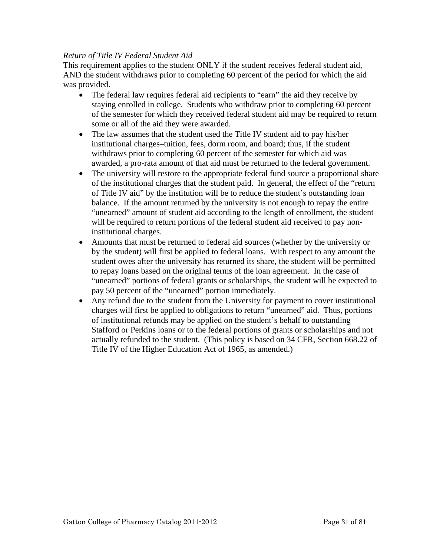#### *Return of Title IV Federal Student Aid*

This requirement applies to the student ONLY if the student receives federal student aid, AND the student withdraws prior to completing 60 percent of the period for which the aid was provided.

- The federal law requires federal aid recipients to "earn" the aid they receive by staying enrolled in college. Students who withdraw prior to completing 60 percent of the semester for which they received federal student aid may be required to return some or all of the aid they were awarded.
- The law assumes that the student used the Title IV student aid to pay his/her institutional charges–tuition, fees, dorm room, and board; thus, if the student withdraws prior to completing 60 percent of the semester for which aid was awarded, a pro-rata amount of that aid must be returned to the federal government.
- The university will restore to the appropriate federal fund source a proportional share of the institutional charges that the student paid. In general, the effect of the "return of Title IV aid" by the institution will be to reduce the student's outstanding loan balance. If the amount returned by the university is not enough to repay the entire "unearned" amount of student aid according to the length of enrollment, the student will be required to return portions of the federal student aid received to pay noninstitutional charges.
- Amounts that must be returned to federal aid sources (whether by the university or by the student) will first be applied to federal loans. With respect to any amount the student owes after the university has returned its share, the student will be permitted to repay loans based on the original terms of the loan agreement. In the case of "unearned" portions of federal grants or scholarships, the student will be expected to pay 50 percent of the "unearned" portion immediately.
- Any refund due to the student from the University for payment to cover institutional charges will first be applied to obligations to return "unearned" aid. Thus, portions of institutional refunds may be applied on the student's behalf to outstanding Stafford or Perkins loans or to the federal portions of grants or scholarships and not actually refunded to the student. (This policy is based on 34 CFR, Section 668.22 of Title IV of the Higher Education Act of 1965, as amended.)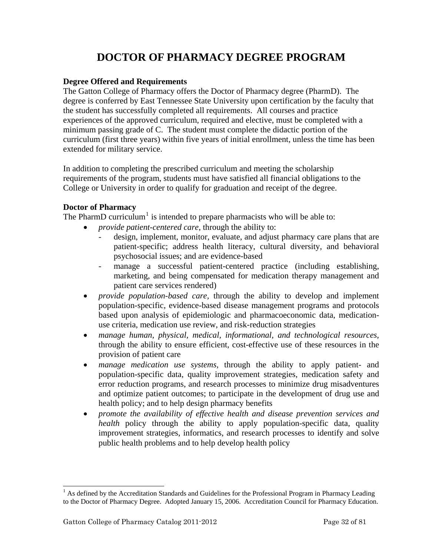# **DOCTOR OF PHARMACY DEGREE PROGRAM**

#### <span id="page-31-0"></span>**Degree Offered and Requirements**

The Gatton College of Pharmacy offers the Doctor of Pharmacy degree (PharmD). The degree is conferred by East Tennessee State University upon certification by the faculty that the student has successfully completed all requirements. All courses and practice experiences of the approved curriculum, required and elective, must be completed with a minimum passing grade of C. The student must complete the didactic portion of the curriculum (first three years) within five years of initial enrollment, unless the time has been extended for military service.

In addition to completing the prescribed curriculum and meeting the scholarship requirements of the program, students must have satisfied all financial obligations to the College or University in order to qualify for graduation and receipt of the degree.

#### **Doctor of Pharmacy**

The PharmD curriculum<sup>[1](#page-31-1)</sup> is intended to prepare pharmacists who will be able to:

- *provide patient-centered care*, through the ability to:
	- design, implement, monitor, evaluate, and adjust pharmacy care plans that are patient-specific; address health literacy, cultural diversity, and behavioral psychosocial issues; and are evidence-based
	- manage a successful patient-centered practice (including establishing, marketing, and being compensated for medication therapy management and patient care services rendered)
- *provide population-based care,* through the ability to develop and implement population-specific, evidence-based disease management programs and protocols based upon analysis of epidemiologic and pharmacoeconomic data, medicationuse criteria, medication use review, and risk-reduction strategies
- *manage human, physical, medical, informational, and technological resources,*  through the ability to ensure efficient, cost-effective use of these resources in the provision of patient care
- *manage medication use systems,* through the ability to apply patient- and population-specific data, quality improvement strategies, medication safety and error reduction programs, and research processes to minimize drug misadventures and optimize patient outcomes; to participate in the development of drug use and health policy; and to help design pharmacy benefits
- *promote the availability of effective health and disease prevention services and health* policy through the ability to apply population-specific data, quality improvement strategies, informatics, and research processes to identify and solve public health problems and to help develop health policy

l

<span id="page-31-1"></span><sup>&</sup>lt;sup>1</sup> As defined by the Accreditation Standards and Guidelines for the Professional Program in Pharmacy Leading to the Doctor of Pharmacy Degree. Adopted January 15, 2006. Accreditation Council for Pharmacy Education.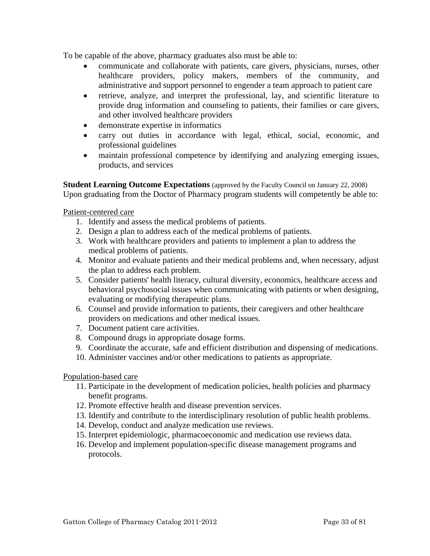<span id="page-32-0"></span>To be capable of the above, pharmacy graduates also must be able to:

- communicate and collaborate with patients, care givers, physicians, nurses, other healthcare providers, policy makers, members of the community, and administrative and support personnel to engender a team approach to patient care
- retrieve, analyze, and interpret the professional, lay, and scientific literature to provide drug information and counseling to patients, their families or care givers, and other involved healthcare providers
- demonstrate expertise in informatics
- carry out duties in accordance with legal, ethical, social, economic, and professional guidelines
- maintain professional competence by identifying and analyzing emerging issues, products, and services

**Student Learning Outcome Expectations** (approved by the Faculty Council on January 22, 2008) Upon graduating from the Doctor of Pharmacy program students will competently be able to:

Patient-centered care

- 1. Identify and assess the medical problems of patients.
- 2. Design a plan to address each of the medical problems of patients.
- 3. Work with healthcare providers and patients to implement a plan to address the medical problems of patients.
- 4. Monitor and evaluate patients and their medical problems and, when necessary, adjust the plan to address each problem.
- 5. Consider patients' health literacy, cultural diversity, economics, healthcare access and behavioral psychosocial issues when communicating with patients or when designing, evaluating or modifying therapeutic plans.
- 6. Counsel and provide information to patients, their caregivers and other healthcare providers on medications and other medical issues.
- 7. Document patient care activities.
- 8. Compound drugs in appropriate dosage forms.
- 9. Coordinate the accurate, safe and efficient distribution and dispensing of medications.
- 10. Administer vaccines and/or other medications to patients as appropriate.

#### Population-based care

- 11. Participate in the development of medication policies, health policies and pharmacy benefit programs.
- 12. Promote effective health and disease prevention services.
- 13. Identify and contribute to the interdisciplinary resolution of public health problems.
- 14. Develop, conduct and analyze medication use reviews.
- 15. Interpret epidemiologic, pharmacoeconomic and medication use reviews data.
- 16. Develop and implement population-specific disease management programs and protocols.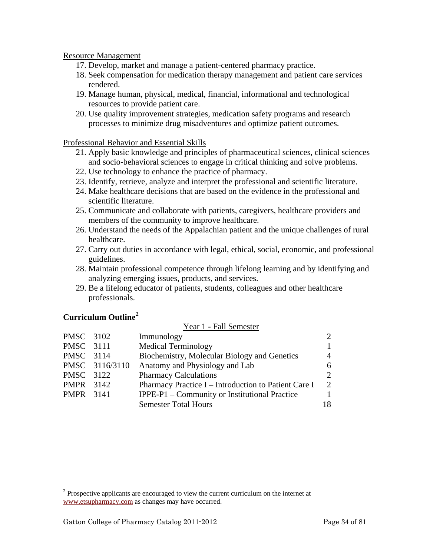#### <span id="page-33-0"></span>Resource Management

- 17. Develop, market and manage a patient-centered pharmacy practice.
- 18. Seek compensation for medication therapy management and patient care services rendered.
- 19. Manage human, physical, medical, financial, informational and technological resources to provide patient care.
- 20. Use quality improvement strategies, medication safety programs and research processes to minimize drug misadventures and optimize patient outcomes.

#### Professional Behavior and Essential Skills

- 21. Apply basic knowledge and principles of pharmaceutical sciences, clinical sciences and socio-behavioral sciences to engage in critical thinking and solve problems.
- 22. Use technology to enhance the practice of pharmacy.
- 23. Identify, retrieve, analyze and interpret the professional and scientific literature.
- 24. Make healthcare decisions that are based on the evidence in the professional and scientific literature.
- 25. Communicate and collaborate with patients, caregivers, healthcare providers and members of the community to improve healthcare.
- 26. Understand the needs of the Appalachian patient and the unique challenges of rural healthcare.
- 27. Carry out duties in accordance with legal, ethical, social, economic, and professional guidelines.
- 28. Maintain professional competence through lifelong learning and by identifying and analyzing emerging issues, products, and services.

 $V_{\text{corr}}$  1  $E_0$ ll Semester

29. Be a lifelong educator of patients, students, colleagues and other healthcare professionals.

#### **Curriculum Outline[2](#page-33-1)**

l

|                  |                | TVAL I - I AII DUIINSIUI                             |                             |
|------------------|----------------|------------------------------------------------------|-----------------------------|
| PMSC 3102        |                | Immunology                                           | $\mathcal{D}_{\cdot}$       |
| PMSC 3111        |                | <b>Medical Terminology</b>                           |                             |
| PMSC 3114        |                | Biochemistry, Molecular Biology and Genetics         | 4                           |
|                  | PMSC 3116/3110 | Anatomy and Physiology and Lab                       | 6.                          |
| PMSC 3122        |                | <b>Pharmacy Calculations</b>                         | $\mathcal{D}_{\cdot}$       |
| <b>PMPR</b> 3142 |                | Pharmacy Practice I - Introduction to Patient Care I | $\mathcal{D}_{\mathcal{L}}$ |
| <b>PMPR</b> 3141 |                | IPPE-P1 – Community or Institutional Practice        |                             |
|                  |                | <b>Semester Total Hours</b>                          | 18                          |
|                  |                |                                                      |                             |

<span id="page-33-1"></span> $2^{2}$  Prospective applicants are encouraged to view the current curriculum on the internet at [www.etsupharmacy.com](http://www.etsu.edu/pharmacy) as changes may have occurred.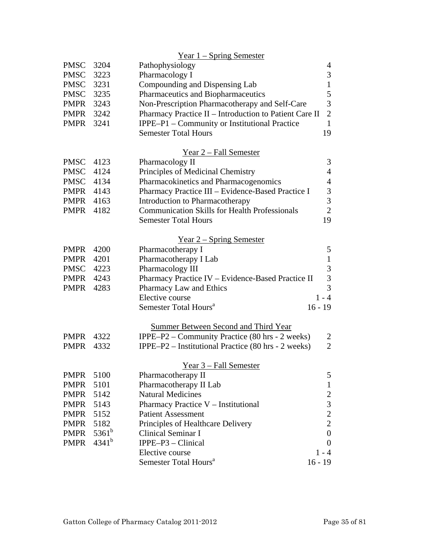|                  |            | $Year 1 - Spring Semester$                             |                                            |
|------------------|------------|--------------------------------------------------------|--------------------------------------------|
| <b>PMSC</b>      | 3204       | Pathophysiology                                        | 4                                          |
| <b>PMSC</b>      | 3223       | Pharmacology I                                         | $\mathfrak{Z}$                             |
| <b>PMSC</b>      | 3231       | Compounding and Dispensing Lab                         | $\mathbf{1}$                               |
| <b>PMSC</b>      | 3235       | Pharmaceutics and Biopharmaceutics                     | 5                                          |
| PMPR             | 3243       | Non-Prescription Pharmacotherapy and Self-Care         | 3                                          |
| PMPR             | 3242       | Pharmacy Practice II - Introduction to Patient Care II | $\sqrt{2}$                                 |
| PMPR             | 3241       | IPPE-P1 – Community or Institutional Practice          | $\mathbf{1}$                               |
|                  |            | <b>Semester Total Hours</b>                            | 19                                         |
|                  |            | Year 2 - Fall Semester                                 |                                            |
| <b>PMSC</b>      | 4123       | Pharmacology II                                        | 3                                          |
| <b>PMSC</b>      | 4124       | Principles of Medicinal Chemistry                      | $\overline{4}$                             |
| <b>PMSC</b>      | 4134       | Pharmacokinetics and Pharmacogenomics                  | $\overline{4}$                             |
| <b>PMPR</b> 4143 |            | Pharmacy Practice III - Evidence-Based Practice I      |                                            |
| <b>PMPR</b> 4163 |            | Introduction to Pharmacotherapy                        | $\frac{3}{3}$                              |
| PMPR             | 4182       | <b>Communication Skills for Health Professionals</b>   | $\overline{2}$                             |
|                  |            | <b>Semester Total Hours</b>                            | 19                                         |
|                  |            | <u>Year 2 – Spring Semester</u>                        |                                            |
| <b>PMPR</b>      | 4200       | Pharmacotherapy I                                      | 5                                          |
| <b>PMPR</b>      | 4201       | Pharmacotherapy I Lab                                  | $\mathbf{1}$                               |
| <b>PMSC</b>      | 4223       | Pharmacology III                                       | 3                                          |
| <b>PMPR</b>      | 4243       | Pharmacy Practice IV - Evidence-Based Practice II      | $\overline{3}$                             |
| <b>PMPR</b>      | 4283       | Pharmacy Law and Ethics                                | $\overline{3}$                             |
|                  |            | Elective course                                        | $1 - 4$                                    |
|                  |            | Semester Total Hours <sup>a</sup>                      | $16 - 19$                                  |
|                  |            | Summer Between Second and Third Year                   |                                            |
| <b>PMPR</b>      | 4322       | IPPE-P2 – Community Practice (80 hrs - 2 weeks)        | $\overline{2}$                             |
| <b>PMPR</b>      | 4332       | IPPE-P2 - Institutional Practice (80 hrs - 2 weeks)    | $\overline{2}$                             |
|                  |            |                                                        |                                            |
|                  |            | Year 3 - Fall Semester                                 |                                            |
| <b>PMPR</b>      | 5100       | Pharmacotherapy II                                     | 5                                          |
| <b>PMPR</b>      | 5101       | Pharmacotherapy II Lab                                 | $\mathbf{1}$                               |
| <b>PMPR</b>      | 5142       | <b>Natural Medicines</b>                               | $\begin{array}{c} 2 \\ 3 \\ 2 \end{array}$ |
| <b>PMPR</b>      | 5143       | Pharmacy Practice V - Institutional                    |                                            |
| <b>PMPR</b>      | 5152       | <b>Patient Assessment</b>                              |                                            |
| <b>PMPR</b>      | 5182       | Principles of Healthcare Delivery                      | $\overline{c}$                             |
| <b>PMPR</b>      | $5361^b$   | Clinical Seminar I                                     | $\overline{0}$                             |
| <b>PMPR</b>      | $4341^{b}$ | IPPE-P3 - Clinical                                     | $\boldsymbol{0}$                           |
|                  |            | Elective course                                        | $1 - 4$                                    |
|                  |            | Semester Total Hours <sup>a</sup>                      | $16 - 19$                                  |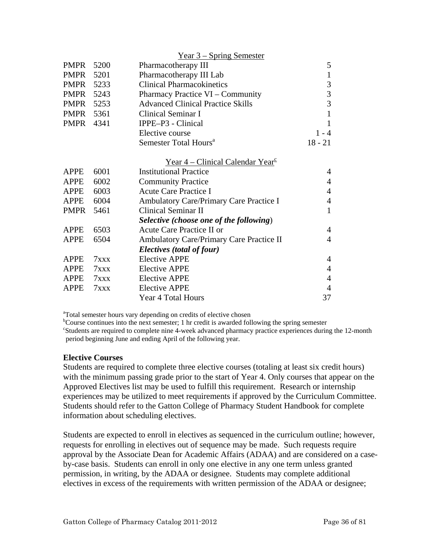<span id="page-35-0"></span>

|             |      | <u>Year 3 – Spring Semester</u>                                  |                |
|-------------|------|------------------------------------------------------------------|----------------|
| PMPR        | 5200 | Pharmacotherapy III                                              | 5              |
| PMPR        | 5201 | Pharmacotherapy III Lab                                          | $\mathbf{1}$   |
| <b>PMPR</b> | 5233 | <b>Clinical Pharmacokinetics</b>                                 | 3              |
| <b>PMPR</b> | 5243 | Pharmacy Practice VI – Community                                 | 3              |
| PMPR 5253   |      | <b>Advanced Clinical Practice Skills</b>                         | $\overline{3}$ |
| PMPR        | 5361 | Clinical Seminar I                                               | $\mathbf{1}$   |
| PMPR        | 4341 | IPPE-P3 - Clinical                                               | $\mathbf{1}$   |
|             |      | Elective course                                                  | $1 - 4$        |
|             |      | Semester Total Hours <sup>a</sup>                                | $18 - 21$      |
|             |      | <u>Year 4 – Clinical Calendar Year</u> <sup><math>c</math></sup> |                |
| <b>APPE</b> | 6001 | <b>Institutional Practice</b>                                    | $\overline{4}$ |
| <b>APPE</b> | 6002 | <b>Community Practice</b>                                        | $\overline{4}$ |
| <b>APPE</b> | 6003 | <b>Acute Care Practice I</b>                                     | $\overline{4}$ |
| <b>APPE</b> | 6004 | Ambulatory Care/Primary Care Practice I                          | $\overline{4}$ |
| <b>PMPR</b> | 5461 | <b>Clinical Seminar II</b>                                       | 1              |
|             |      | Selective (choose one of the following)                          |                |
| <b>APPE</b> | 6503 | Acute Care Practice II or                                        | $\overline{4}$ |
| <b>APPE</b> | 6504 | Ambulatory Care/Primary Care Practice II                         | $\overline{4}$ |
|             |      | Electives (total of four)                                        |                |
| <b>APPE</b> | 7xxx | <b>Elective APPE</b>                                             | $\overline{4}$ |
| <b>APPE</b> | 7xxx | <b>Elective APPE</b>                                             | $\overline{4}$ |
| <b>APPE</b> | 7xxx | <b>Elective APPE</b>                                             | $\overline{4}$ |
| <b>APPE</b> | 7xxx | <b>Elective APPE</b>                                             | $\overline{4}$ |
|             |      | Year 4 Total Hours                                               | 37             |

<sup>a</sup>Total semester hours vary depending on credits of elective chosen

<sup>b</sup>Course continues into the next semester; 1 hr credit is awarded following the spring semester <sup>c</sup>Students are required to complete nine 4-week advanced pharmacy practice experiences during the 12-month period beginning June and ending April of the following year.

#### **Elective Courses**

Students are required to complete three elective courses (totaling at least six credit hours) with the minimum passing grade prior to the start of Year 4. Only courses that appear on the Approved Electives list may be used to fulfill this requirement. Research or internship experiences may be utilized to meet requirements if approved by the Curriculum Committee. Students should refer to the Gatton College of Pharmacy Student Handbook for complete information about scheduling electives.

Students are expected to enroll in electives as sequenced in the curriculum outline; however, requests for enrolling in electives out of sequence may be made. Such requests require approval by the Associate Dean for Academic Affairs (ADAA) and are considered on a caseby-case basis. Students can enroll in only one elective in any one term unless granted permission, in writing, by the ADAA or designee. Students may complete additional electives in excess of the requirements with written permission of the ADAA or designee;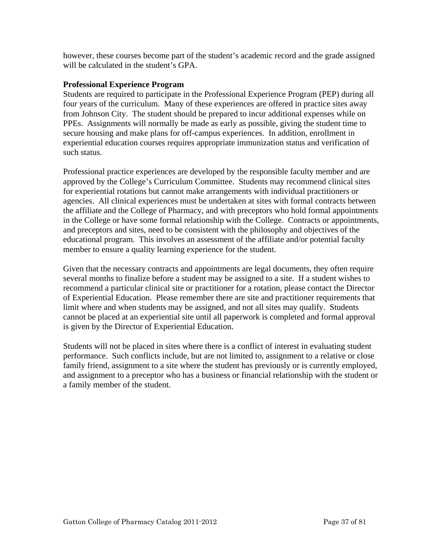however, these courses become part of the student's academic record and the grade assigned will be calculated in the student's GPA.

## **Professional Experience Program**

Students are required to participate in the Professional Experience Program (PEP) during all four years of the curriculum. Many of these experiences are offered in practice sites away from Johnson City. The student should be prepared to incur additional expenses while on PPEs. Assignments will normally be made as early as possible, giving the student time to secure housing and make plans for off-campus experiences. In addition, enrollment in experiential education courses requires appropriate immunization status and verification of such status.

Professional practice experiences are developed by the responsible faculty member and are approved by the College's Curriculum Committee. Students may recommend clinical sites for experiential rotations but cannot make arrangements with individual practitioners or agencies. All clinical experiences must be undertaken at sites with formal contracts between the affiliate and the College of Pharmacy, and with preceptors who hold formal appointments in the College or have some formal relationship with the College. Contracts or appointments, and preceptors and sites, need to be consistent with the philosophy and objectives of the educational program. This involves an assessment of the affiliate and/or potential faculty member to ensure a quality learning experience for the student.

Given that the necessary contracts and appointments are legal documents, they often require several months to finalize before a student may be assigned to a site. If a student wishes to recommend a particular clinical site or practitioner for a rotation, please contact the Director of Experiential Education. Please remember there are site and practitioner requirements that limit where and when students may be assigned, and not all sites may qualify. Students cannot be placed at an experiential site until all paperwork is completed and formal approval is given by the Director of Experiential Education.

Students will not be placed in sites where there is a conflict of interest in evaluating student performance. Such conflicts include, but are not limited to, assignment to a relative or close family friend, assignment to a site where the student has previously or is currently employed, and assignment to a preceptor who has a business or financial relationship with the student or a family member of the student.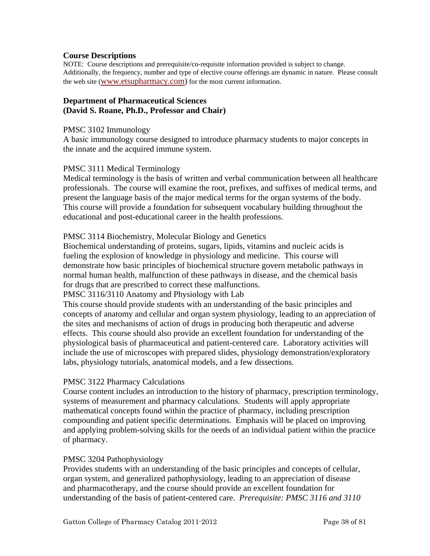#### **Course Descriptions**

NOTE: Course descriptions and prerequisite/co-requisite information provided is subject to change. Additionally, the frequency, number and type of elective course offerings are dynamic in nature. Please consult the web site ([www.etsupharmacy.com\)](http://www.etsu.edu/pharmacy) for the most current information.

#### **Department of Pharmaceutical Sciences (David S. Roane, Ph.D., Professor and Chair)**

#### PMSC 3102 Immunology

A basic immunology course designed to introduce pharmacy students to major concepts in the innate and the acquired immune system.

#### PMSC 3111 Medical Terminology

Medical terminology is the basis of written and verbal communication between all healthcare professionals. The course will examine the root, prefixes, and suffixes of medical terms, and present the language basis of the major medical terms for the organ systems of the body. This course will provide a foundation for subsequent vocabulary building throughout the educational and post-educational career in the health professions.

#### PMSC 3114 Biochemistry, Molecular Biology and Genetics

Biochemical understanding of proteins, sugars, lipids, vitamins and nucleic acids is fueling the explosion of knowledge in physiology and medicine. This course will demonstrate how basic principles of biochemical structure govern metabolic pathways in normal human health, malfunction of these pathways in disease, and the chemical basis for drugs that are prescribed to correct these malfunctions.

#### PMSC 3116/3110 Anatomy and Physiology with Lab

This course should provide students with an understanding of the basic principles and concepts of anatomy and cellular and organ system physiology, leading to an appreciation of the sites and mechanisms of action of drugs in producing both therapeutic and adverse effects. This course should also provide an excellent foundation for understanding of the physiological basis of pharmaceutical and patient-centered care. Laboratory activities will include the use of microscopes with prepared slides, physiology demonstration/exploratory labs, physiology tutorials, anatomical models, and a few dissections.

#### PMSC 3122 Pharmacy Calculations

Course content includes an introduction to the history of pharmacy, prescription terminology, systems of measurement and pharmacy calculations. Students will apply appropriate mathematical concepts found within the practice of pharmacy, including prescription compounding and patient specific determinations. Emphasis will be placed on improving and applying problem-solving skills for the needs of an individual patient within the practice of pharmacy.

#### PMSC 3204 Pathophysiology

Provides students with an understanding of the basic principles and concepts of cellular, organ system, and generalized pathophysiology, leading to an appreciation of disease and pharmacotherapy, and the course should provide an excellent foundation for understanding of the basis of patient-centered care. *Prerequisite: PMSC 3116 and 3110*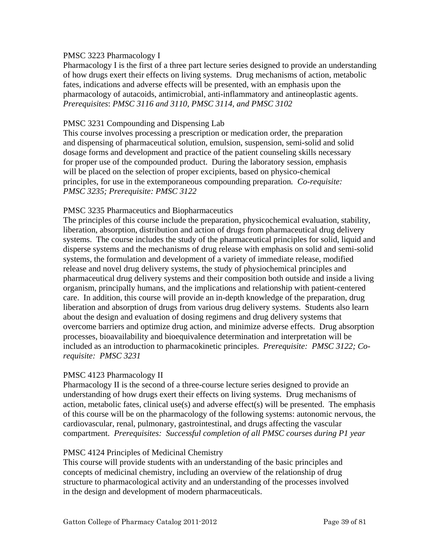#### PMSC 3223 Pharmacology I

Pharmacology I is the first of a three part lecture series designed to provide an understanding of how drugs exert their effects on living systems. Drug mechanisms of action, metabolic fates, indications and adverse effects will be presented, with an emphasis upon the pharmacology of autacoids, antimicrobial, anti-inflammatory and antineoplastic agents. *Prerequisites*: *PMSC 3116 and 3110, PMSC 3114, and PMSC 3102* 

#### PMSC 3231 Compounding and Dispensing Lab

This course involves processing a prescription or medication order, the preparation and dispensing of pharmaceutical solution, emulsion, suspension, semi-solid and solid dosage forms and development and practice of the patient counseling skills necessary for proper use of the compounded product. During the laboratory session, emphasis will be placed on the selection of proper excipients, based on physico-chemical principles, for use in the extemporaneous compounding preparation*. Co-requisite: PMSC 3235; Prerequisite: PMSC 3122* 

#### PMSC 3235 Pharmaceutics and Biopharmaceutics

The principles of this course include the preparation, physicochemical evaluation, stability, liberation, absorption, distribution and action of drugs from pharmaceutical drug delivery systems. The course includes the study of the pharmaceutical principles for solid, liquid and disperse systems and the mechanisms of drug release with emphasis on solid and semi-solid systems, the formulation and development of a variety of immediate release, modified release and novel drug delivery systems, the study of physiochemical principles and pharmaceutical drug delivery systems and their composition both outside and inside a living organism, principally humans, and the implications and relationship with patient-centered care. In addition, this course will provide an in-depth knowledge of the preparation, drug liberation and absorption of drugs from various drug delivery systems. Students also learn about the design and evaluation of dosing regimens and drug delivery systems that overcome barriers and optimize drug action, and minimize adverse effects. Drug absorption processes, bioavailability and bioequivalence determination and interpretation will be included as an introduction to pharmacokinetic principles. *Prerequisite: PMSC 3122; Corequisite: PMSC 3231* 

#### PMSC 4123 Pharmacology II

Pharmacology II is the second of a three-course lecture series designed to provide an understanding of how drugs exert their effects on living systems. Drug mechanisms of action, metabolic fates, clinical use(s) and adverse effect(s) will be presented. The emphasis of this course will be on the pharmacology of the following systems: autonomic nervous, the cardiovascular, renal, pulmonary, gastrointestinal, and drugs affecting the vascular compartment. *Prerequisites: Successful completion of all PMSC courses during P1 year* 

#### PMSC 4124 Principles of Medicinal Chemistry

This course will provide students with an understanding of the basic principles and concepts of medicinal chemistry, including an overview of the relationship of drug structure to pharmacological activity and an understanding of the processes involved in the design and development of modern pharmaceuticals.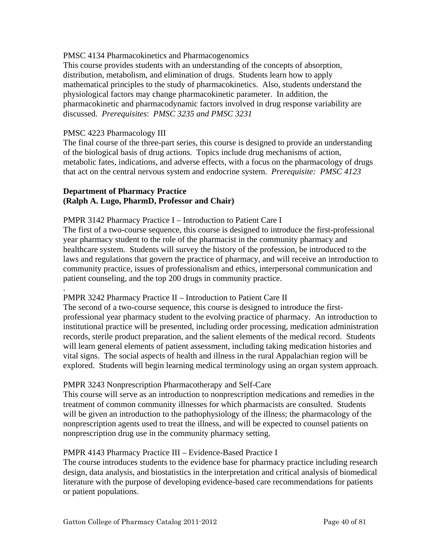#### PMSC 4134 Pharmacokinetics and Pharmacogenomics

This course provides students with an understanding of the concepts of absorption, distribution, metabolism, and elimination of drugs. Students learn how to apply mathematical principles to the study of pharmacokinetics. Also, students understand the physiological factors may change pharmacokinetic parameter. In addition, the pharmacokinetic and pharmacodynamic factors involved in drug response variability are discussed. *Prerequisites*: *PMSC 3235 and PMSC 3231* 

#### PMSC 4223 Pharmacology III

.

The final course of the three-part series, this course is designed to provide an understanding of the biological basis of drug actions. Topics include drug mechanisms of action, metabolic fates, indications, and adverse effects, with a focus on the pharmacology of drugs that act on the central nervous system and endocrine system. *Prerequisite: PMSC 4123* 

## **Department of Pharmacy Practice (Ralph A. Lugo, PharmD, Professor and Chair)**

#### PMPR 3142 Pharmacy Practice I – Introduction to Patient Care I

The first of a two-course sequence, this course is designed to introduce the first-professional year pharmacy student to the role of the pharmacist in the community pharmacy and healthcare system. Students will survey the history of the profession, be introduced to the laws and regulations that govern the practice of pharmacy, and will receive an introduction to community practice, issues of professionalism and ethics, interpersonal communication and patient counseling, and the top 200 drugs in community practice.

#### PMPR 3242 Pharmacy Practice II – Introduction to Patient Care II

The second of a two-course sequence, this course is designed to introduce the firstprofessional year pharmacy student to the evolving practice of pharmacy. An introduction to institutional practice will be presented, including order processing, medication administration records, sterile product preparation, and the salient elements of the medical record. Students will learn general elements of patient assessment, including taking medication histories and vital signs. The social aspects of health and illness in the rural Appalachian region will be explored. Students will begin learning medical terminology using an organ system approach.

#### PMPR 3243 Nonprescription Pharmacotherapy and Self-Care

This course will serve as an introduction to nonprescription medications and remedies in the treatment of common community illnesses for which pharmacists are consulted. Students will be given an introduction to the pathophysiology of the illness; the pharmacology of the nonprescription agents used to treat the illness, and will be expected to counsel patients on nonprescription drug use in the community pharmacy setting.

#### PMPR 4143 Pharmacy Practice III – Evidence-Based Practice I

The course introduces students to the evidence base for pharmacy practice including research design, data analysis, and biostatistics in the interpretation and critical analysis of biomedical literature with the purpose of developing evidence-based care recommendations for patients or patient populations.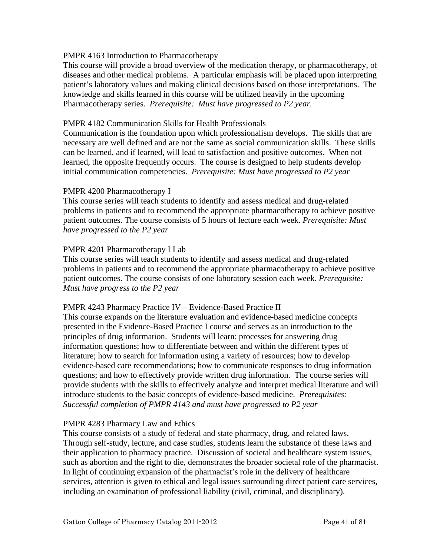## PMPR 4163 Introduction to Pharmacotherapy

This course will provide a broad overview of the medication therapy, or pharmacotherapy, of diseases and other medical problems. A particular emphasis will be placed upon interpreting patient's laboratory values and making clinical decisions based on those interpretations. The knowledge and skills learned in this course will be utilized heavily in the upcoming Pharmacotherapy series. *Prerequisite: Must have progressed to P2 year.* 

## PMPR 4182 Communication Skills for Health Professionals

Communication is the foundation upon which professionalism develops. The skills that are necessary are well defined and are not the same as social communication skills. These skills can be learned, and if learned, will lead to satisfaction and positive outcomes. When not learned, the opposite frequently occurs. The course is designed to help students develop initial communication competencies. *Prerequisite: Must have progressed to P2 year* 

#### PMPR 4200 Pharmacotherapy I

This course series will teach students to identify and assess medical and drug-related problems in patients and to recommend the appropriate pharmacotherapy to achieve positive patient outcomes. The course consists of 5 hours of lecture each week. *Prerequisite: Must have progressed to the P2 year* 

#### PMPR 4201 Pharmacotherapy I Lab

This course series will teach students to identify and assess medical and drug-related problems in patients and to recommend the appropriate pharmacotherapy to achieve positive patient outcomes. The course consists of one laboratory session each week. *Prerequisite: Must have progress to the P2 year* 

#### PMPR 4243 Pharmacy Practice IV – Evidence-Based Practice II

This course expands on the literature evaluation and evidence-based medicine concepts presented in the Evidence-Based Practice I course and serves as an introduction to the principles of drug information. Students will learn: processes for answering drug information questions; how to differentiate between and within the different types of literature; how to search for information using a variety of resources; how to develop evidence-based care recommendations; how to communicate responses to drug information questions; and how to effectively provide written drug information. The course series will provide students with the skills to effectively analyze and interpret medical literature and will introduce students to the basic concepts of evidence-based medicine. *Prerequisites: Successful completion of PMPR 4143 and must have progressed to P2 year* 

#### PMPR 4283 Pharmacy Law and Ethics

This course consists of a study of federal and state pharmacy, drug, and related laws. Through self-study, lecture, and case studies, students learn the substance of these laws and their application to pharmacy practice. Discussion of societal and healthcare system issues, such as abortion and the right to die, demonstrates the broader societal role of the pharmacist. In light of continuing expansion of the pharmacist's role in the delivery of healthcare services, attention is given to ethical and legal issues surrounding direct patient care services, including an examination of professional liability (civil, criminal, and disciplinary).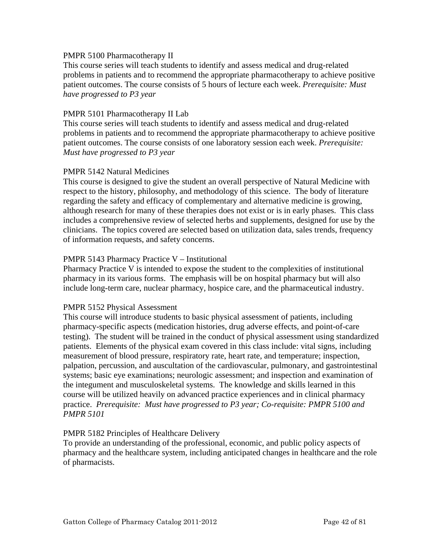#### PMPR 5100 Pharmacotherapy II

This course series will teach students to identify and assess medical and drug-related problems in patients and to recommend the appropriate pharmacotherapy to achieve positive patient outcomes. The course consists of 5 hours of lecture each week. *Prerequisite: Must have progressed to P3 year* 

#### PMPR 5101 Pharmacotherapy II Lab

This course series will teach students to identify and assess medical and drug-related problems in patients and to recommend the appropriate pharmacotherapy to achieve positive patient outcomes. The course consists of one laboratory session each week. *Prerequisite: Must have progressed to P3 year*

#### PMPR 5142 Natural Medicines

This course is designed to give the student an overall perspective of Natural Medicine with respect to the history, philosophy, and methodology of this science. The body of literature regarding the safety and efficacy of complementary and alternative medicine is growing, although research for many of these therapies does not exist or is in early phases. This class includes a comprehensive review of selected herbs and supplements, designed for use by the clinicians. The topics covered are selected based on utilization data, sales trends, frequency of information requests, and safety concerns.

#### PMPR 5143 Pharmacy Practice V – Institutional

Pharmacy Practice V is intended to expose the student to the complexities of institutional pharmacy in its various forms. The emphasis will be on hospital pharmacy but will also include long-term care, nuclear pharmacy, hospice care, and the pharmaceutical industry.

#### PMPR 5152 Physical Assessment

This course will introduce students to basic physical assessment of patients, including pharmacy-specific aspects (medication histories, drug adverse effects, and point-of-care testing). The student will be trained in the conduct of physical assessment using standardized patients. Elements of the physical exam covered in this class include: vital signs, including measurement of blood pressure, respiratory rate, heart rate, and temperature; inspection, palpation, percussion, and auscultation of the cardiovascular, pulmonary, and gastrointestinal systems; basic eye examinations; neurologic assessment; and inspection and examination of the integument and musculoskeletal systems. The knowledge and skills learned in this course will be utilized heavily on advanced practice experiences and in clinical pharmacy practice. *Prerequisite: Must have progressed to P3 year; Co-requisite: PMPR 5100 and PMPR 5101* 

#### PMPR 5182 Principles of Healthcare Delivery

To provide an understanding of the professional, economic, and public policy aspects of pharmacy and the healthcare system, including anticipated changes in healthcare and the role of pharmacists.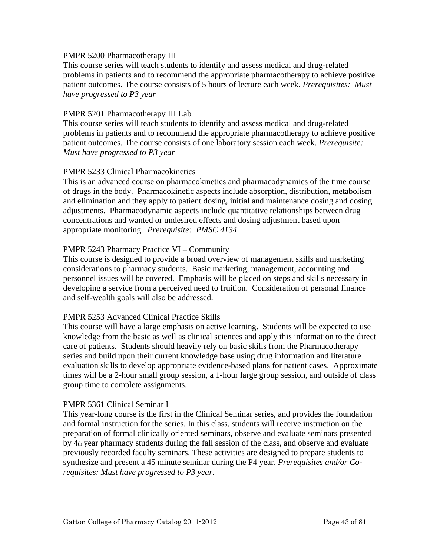#### PMPR 5200 Pharmacotherapy III

This course series will teach students to identify and assess medical and drug-related problems in patients and to recommend the appropriate pharmacotherapy to achieve positive patient outcomes. The course consists of 5 hours of lecture each week. *Prerequisites: Must have progressed to P3 year* 

#### PMPR 5201 Pharmacotherapy III Lab

This course series will teach students to identify and assess medical and drug-related problems in patients and to recommend the appropriate pharmacotherapy to achieve positive patient outcomes. The course consists of one laboratory session each week. *Prerequisite: Must have progressed to P3 year* 

#### PMPR 5233 Clinical Pharmacokinetics

This is an advanced course on pharmacokinetics and pharmacodynamics of the time course of drugs in the body. Pharmacokinetic aspects include absorption, distribution, metabolism and elimination and they apply to patient dosing, initial and maintenance dosing and dosing adjustments. Pharmacodynamic aspects include quantitative relationships between drug concentrations and wanted or undesired effects and dosing adjustment based upon appropriate monitoring. *Prerequisite: PMSC 4134* 

#### PMPR 5243 Pharmacy Practice VI – Community

This course is designed to provide a broad overview of management skills and marketing considerations to pharmacy students. Basic marketing, management, accounting and personnel issues will be covered. Emphasis will be placed on steps and skills necessary in developing a service from a perceived need to fruition. Consideration of personal finance and self-wealth goals will also be addressed.

#### PMPR 5253 Advanced Clinical Practice Skills

This course will have a large emphasis on active learning. Students will be expected to use knowledge from the basic as well as clinical sciences and apply this information to the direct care of patients. Students should heavily rely on basic skills from the Pharmacotherapy series and build upon their current knowledge base using drug information and literature evaluation skills to develop appropriate evidence-based plans for patient cases. Approximate times will be a 2-hour small group session, a 1-hour large group session, and outside of class group time to complete assignments.

#### PMPR 5361 Clinical Seminar I

This year-long course is the first in the Clinical Seminar series, and provides the foundation and formal instruction for the series. In this class, students will receive instruction on the preparation of formal clinically oriented seminars, observe and evaluate seminars presented by 4th year pharmacy students during the fall session of the class, and observe and evaluate previously recorded faculty seminars. These activities are designed to prepare students to synthesize and present a 45 minute seminar during the P4 year. *Prerequisites and/or Corequisites: Must have progressed to P3 year.*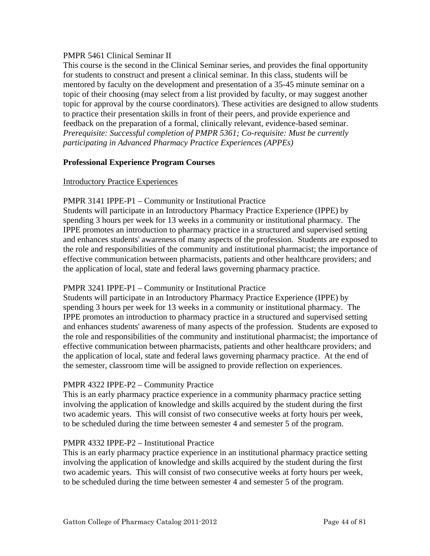## PMPR 5461 Clinical Seminar II

This course is the second in the Clinical Seminar series, and provides the final opportunity for students to construct and present a clinical seminar. In this class, students will be mentored by faculty on the development and presentation of a 35-45 minute seminar on a topic of their choosing (may select from a list provided by faculty, or may suggest another topic for approval by the course coordinators). These activities are designed to allow students to practice their presentation skills in front of their peers, and provide experience and feedback on the preparation of a formal, clinically relevant, evidence-based seminar. *Prerequisite: Successful completion of PMPR 5361; Co-requisite: Must be currently participating in Advanced Pharmacy Practice Experiences (APPEs)*

## **Professional Experience Program Courses**

## Introductory Practice Experiences

## PMPR 3141 IPPE-P1 – Community or Institutional Practice

Students will participate in an Introductory Pharmacy Practice Experience (IPPE) by spending 3 hours per week for 13 weeks in a community or institutional pharmacy. The IPPE promotes an introduction to pharmacy practice in a structured and supervised setting and enhances students' awareness of many aspects of the profession. Students are exposed to the role and responsibilities of the community and institutional pharmacist; the importance of effective communication between pharmacists, patients and other healthcare providers; and the application of local, state and federal laws governing pharmacy practice.

# PMPR 3241 IPPE-P1 – Community or Institutional Practice

Students will participate in an Introductory Pharmacy Practice Experience (IPPE) by spending 3 hours per week for 13 weeks in a community or institutional pharmacy. The IPPE promotes an introduction to pharmacy practice in a structured and supervised setting and enhances students' awareness of many aspects of the profession. Students are exposed to the role and responsibilities of the community and institutional pharmacist; the importance of effective communication between pharmacists, patients and other healthcare providers; and the application of local, state and federal laws governing pharmacy practice. At the end of the semester, classroom time will be assigned to provide reflection on experiences.

# PMPR 4322 IPPE-P2 – Community Practice

This is an early pharmacy practice experience in a community pharmacy practice setting involving the application of knowledge and skills acquired by the student during the first two academic years. This will consist of two consecutive weeks at forty hours per week, to be scheduled during the time between semester 4 and semester 5 of the program.

# PMPR 4332 IPPE-P2 – Institutional Practice

This is an early pharmacy practice experience in an institutional pharmacy practice setting involving the application of knowledge and skills acquired by the student during the first two academic years. This will consist of two consecutive weeks at forty hours per week, to be scheduled during the time between semester 4 and semester 5 of the program.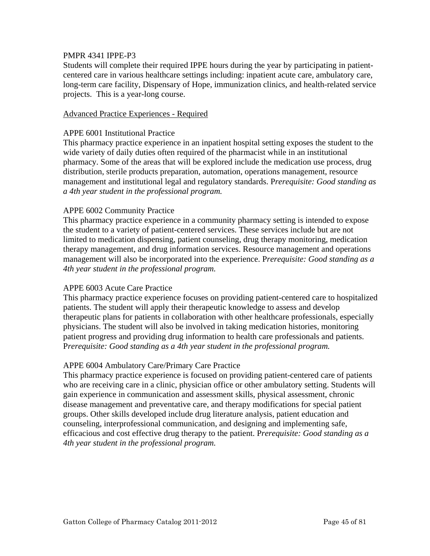#### PMPR 4341 IPPE-P3

Students will complete their required IPPE hours during the year by participating in patientcentered care in various healthcare settings including: inpatient acute care, ambulatory care, long-term care facility, Dispensary of Hope, immunization clinics, and health-related service projects. This is a year-long course.

#### Advanced Practice Experiences - Required

#### APPE 6001 Institutional Practice

This pharmacy practice experience in an inpatient hospital setting exposes the student to the wide variety of daily duties often required of the pharmacist while in an institutional pharmacy. Some of the areas that will be explored include the medication use process, drug distribution, sterile products preparation, automation, operations management, resource management and institutional legal and regulatory standards. P*rerequisite: Good standing as a 4th year student in the professional program.* 

#### APPE 6002 Community Practice

This pharmacy practice experience in a community pharmacy setting is intended to expose the student to a variety of patient-centered services. These services include but are not limited to medication dispensing, patient counseling, drug therapy monitoring, medication therapy management, and drug information services. Resource management and operations management will also be incorporated into the experience. P*rerequisite: Good standing as a 4th year student in the professional program.* 

#### APPE 6003 Acute Care Practice

This pharmacy practice experience focuses on providing patient-centered care to hospitalized patients. The student will apply their therapeutic knowledge to assess and develop therapeutic plans for patients in collaboration with other healthcare professionals, especially physicians. The student will also be involved in taking medication histories, monitoring patient progress and providing drug information to health care professionals and patients. P*rerequisite: Good standing as a 4th year student in the professional program.* 

#### APPE 6004 Ambulatory Care/Primary Care Practice

This pharmacy practice experience is focused on providing patient-centered care of patients who are receiving care in a clinic, physician office or other ambulatory setting. Students will gain experience in communication and assessment skills, physical assessment, chronic disease management and preventative care, and therapy modifications for special patient groups. Other skills developed include drug literature analysis, patient education and counseling, interprofessional communication, and designing and implementing safe, efficacious and cost effective drug therapy to the patient. P*rerequisite: Good standing as a 4th year student in the professional program.*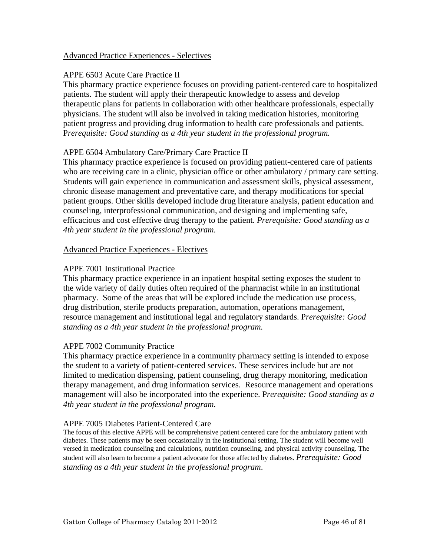## Advanced Practice Experiences - Selectives

# APPE 6503 Acute Care Practice II

This pharmacy practice experience focuses on providing patient-centered care to hospitalized patients. The student will apply their therapeutic knowledge to assess and develop therapeutic plans for patients in collaboration with other healthcare professionals, especially physicians. The student will also be involved in taking medication histories, monitoring patient progress and providing drug information to health care professionals and patients. P*rerequisite: Good standing as a 4th year student in the professional program.* 

## APPE 6504 Ambulatory Care/Primary Care Practice II

This pharmacy practice experience is focused on providing patient-centered care of patients who are receiving care in a clinic, physician office or other ambulatory / primary care setting. Students will gain experience in communication and assessment skills, physical assessment, chronic disease management and preventative care, and therapy modifications for special patient groups. Other skills developed include drug literature analysis, patient education and counseling, interprofessional communication, and designing and implementing safe, efficacious and cost effective drug therapy to the patient. *Prerequisite: Good standing as a 4th year student in the professional program.* 

#### Advanced Practice Experiences - Electives

#### APPE 7001 Institutional Practice

This pharmacy practice experience in an inpatient hospital setting exposes the student to the wide variety of daily duties often required of the pharmacist while in an institutional pharmacy. Some of the areas that will be explored include the medication use process, drug distribution, sterile products preparation, automation, operations management, resource management and institutional legal and regulatory standards. P*rerequisite: Good standing as a 4th year student in the professional program.*

#### APPE 7002 Community Practice

This pharmacy practice experience in a community pharmacy setting is intended to expose the student to a variety of patient-centered services. These services include but are not limited to medication dispensing, patient counseling, drug therapy monitoring, medication therapy management, and drug information services. Resource management and operations management will also be incorporated into the experience. P*rerequisite: Good standing as a 4th year student in the professional program.*

#### APPE 7005 Diabetes Patient-Centered Care

The focus of this elective APPE will be comprehensive patient centered care for the ambulatory patient with diabetes. These patients may be seen occasionally in the institutional setting. The student will become well versed in medication counseling and calculations, nutrition counseling, and physical activity counseling. The student will also learn to become a patient advocate for those affected by diabetes. *Prerequisite: Good standing as a 4th year student in the professional program*.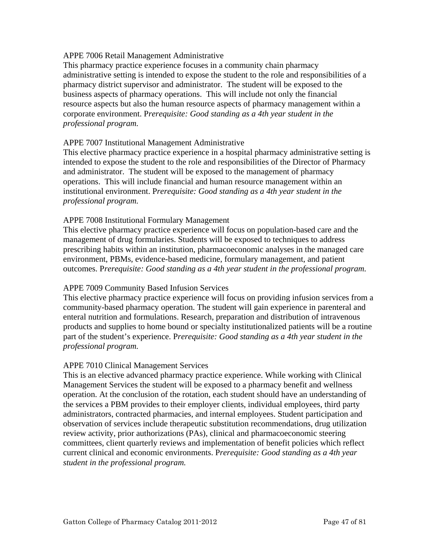#### APPE 7006 Retail Management Administrative

This pharmacy practice experience focuses in a community chain pharmacy administrative setting is intended to expose the student to the role and responsibilities of a pharmacy district supervisor and administrator. The student will be exposed to the business aspects of pharmacy operations. This will include not only the financial resource aspects but also the human resource aspects of pharmacy management within a corporate environment. P*rerequisite: Good standing as a 4th year student in the professional program.*

#### APPE 7007 Institutional Management Administrative

This elective pharmacy practice experience in a hospital pharmacy administrative setting is intended to expose the student to the role and responsibilities of the Director of Pharmacy and administrator. The student will be exposed to the management of pharmacy operations. This will include financial and human resource management within an institutional environment. P*rerequisite: Good standing as a 4th year student in the professional program.*

#### APPE 7008 Institutional Formulary Management

This elective pharmacy practice experience will focus on population-based care and the management of drug formularies. Students will be exposed to techniques to address prescribing habits within an institution, pharmacoeconomic analyses in the managed care environment, PBMs, evidence-based medicine, formulary management, and patient outcomes. P*rerequisite: Good standing as a 4th year student in the professional program.*

#### APPE 7009 Community Based Infusion Services

This elective pharmacy practice experience will focus on providing infusion services from a community-based pharmacy operation. The student will gain experience in parenteral and enteral nutrition and formulations. Research, preparation and distribution of intravenous products and supplies to home bound or specialty institutionalized patients will be a routine part of the student's experience. P*rerequisite: Good standing as a 4th year student in the professional program.*

#### APPE 7010 Clinical Management Services

This is an elective advanced pharmacy practice experience. While working with Clinical Management Services the student will be exposed to a pharmacy benefit and wellness operation. At the conclusion of the rotation, each student should have an understanding of the services a PBM provides to their employer clients, individual employees, third party administrators, contracted pharmacies, and internal employees. Student participation and observation of services include therapeutic substitution recommendations, drug utilization review activity, prior authorizations (PAs), clinical and pharmacoeconomic steering committees, client quarterly reviews and implementation of benefit policies which reflect current clinical and economic environments. P*rerequisite: Good standing as a 4th year student in the professional program.*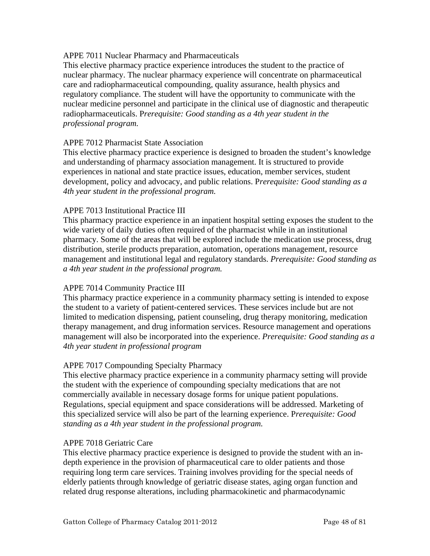## APPE 7011 Nuclear Pharmacy and Pharmaceuticals

This elective pharmacy practice experience introduces the student to the practice of nuclear pharmacy. The nuclear pharmacy experience will concentrate on pharmaceutical care and radiopharmaceutical compounding, quality assurance, health physics and regulatory compliance. The student will have the opportunity to communicate with the nuclear medicine personnel and participate in the clinical use of diagnostic and therapeutic radiopharmaceuticals. P*rerequisite: Good standing as a 4th year student in the professional program.*

## APPE 7012 Pharmacist State Association

This elective pharmacy practice experience is designed to broaden the student's knowledge and understanding of pharmacy association management. It is structured to provide experiences in national and state practice issues, education, member services, student development, policy and advocacy, and public relations. P*rerequisite: Good standing as a 4th year student in the professional program.*

## APPE 7013 Institutional Practice III

This pharmacy practice experience in an inpatient hospital setting exposes the student to the wide variety of daily duties often required of the pharmacist while in an institutional pharmacy. Some of the areas that will be explored include the medication use process, drug distribution, sterile products preparation, automation, operations management, resource management and institutional legal and regulatory standards. *Prerequisite: Good standing as a 4th year student in the professional program.* 

# APPE 7014 Community Practice III

This pharmacy practice experience in a community pharmacy setting is intended to expose the student to a variety of patient-centered services. These services include but are not limited to medication dispensing, patient counseling, drug therapy monitoring, medication therapy management, and drug information services. Resource management and operations management will also be incorporated into the experience. *Prerequisite: Good standing as a 4th year student in professional program*

# APPE 7017 Compounding Specialty Pharmacy

This elective pharmacy practice experience in a community pharmacy setting will provide the student with the experience of compounding specialty medications that are not commercially available in necessary dosage forms for unique patient populations. Regulations, special equipment and space considerations will be addressed. Marketing of this specialized service will also be part of the learning experience. P*rerequisite: Good standing as a 4th year student in the professional program.*

#### APPE 7018 Geriatric Care

This elective pharmacy practice experience is designed to provide the student with an indepth experience in the provision of pharmaceutical care to older patients and those requiring long term care services. Training involves providing for the special needs of elderly patients through knowledge of geriatric disease states, aging organ function and related drug response alterations, including pharmacokinetic and pharmacodynamic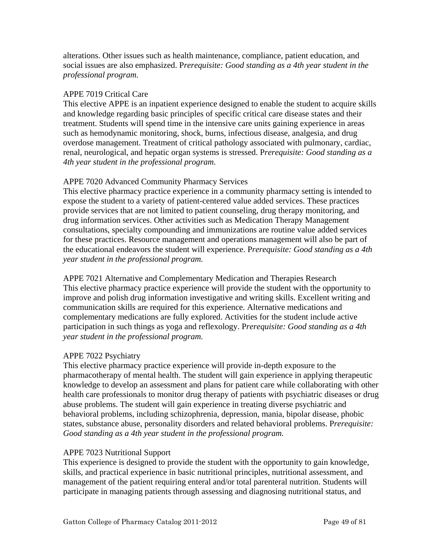alterations. Other issues such as health maintenance, compliance, patient education, and social issues are also emphasized. P*rerequisite: Good standing as a 4th year student in the professional program.*

# APPE 7019 Critical Care

This elective APPE is an inpatient experience designed to enable the student to acquire skills and knowledge regarding basic principles of specific critical care disease states and their treatment. Students will spend time in the intensive care units gaining experience in areas such as hemodynamic monitoring, shock, burns, infectious disease, analgesia, and drug overdose management. Treatment of critical pathology associated with pulmonary, cardiac, renal, neurological, and hepatic organ systems is stressed. P*rerequisite: Good standing as a 4th year student in the professional program.*

## APPE 7020 Advanced Community Pharmacy Services

This elective pharmacy practice experience in a community pharmacy setting is intended to expose the student to a variety of patient-centered value added services. These practices provide services that are not limited to patient counseling, drug therapy monitoring, and drug information services. Other activities such as Medication Therapy Management consultations, specialty compounding and immunizations are routine value added services for these practices. Resource management and operations management will also be part of the educational endeavors the student will experience. P*rerequisite: Good standing as a 4th year student in the professional program.*

APPE 7021 Alternative and Complementary Medication and Therapies Research This elective pharmacy practice experience will provide the student with the opportunity to improve and polish drug information investigative and writing skills. Excellent writing and communication skills are required for this experience. Alternative medications and complementary medications are fully explored. Activities for the student include active participation in such things as yoga and reflexology. P*rerequisite: Good standing as a 4th year student in the professional program.*

# APPE 7022 Psychiatry

This elective pharmacy practice experience will provide in-depth exposure to the pharmacotherapy of mental health. The student will gain experience in applying therapeutic knowledge to develop an assessment and plans for patient care while collaborating with other health care professionals to monitor drug therapy of patients with psychiatric diseases or drug abuse problems. The student will gain experience in treating diverse psychiatric and behavioral problems, including schizophrenia, depression, mania, bipolar disease, phobic states, substance abuse, personality disorders and related behavioral problems. P*rerequisite: Good standing as a 4th year student in the professional program.*

#### APPE 7023 Nutritional Support

This experience is designed to provide the student with the opportunity to gain knowledge, skills, and practical experience in basic nutritional principles, nutritional assessment, and management of the patient requiring enteral and/or total parenteral nutrition. Students will participate in managing patients through assessing and diagnosing nutritional status, and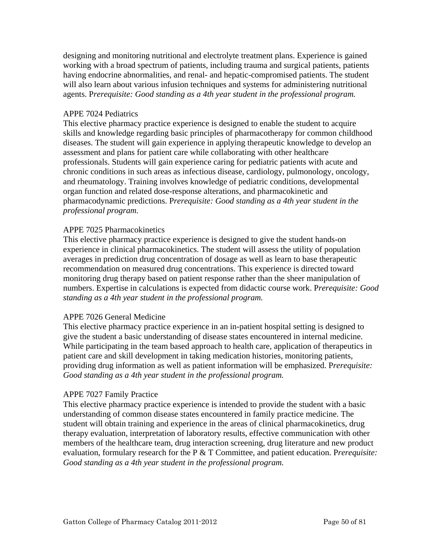designing and monitoring nutritional and electrolyte treatment plans. Experience is gained working with a broad spectrum of patients, including trauma and surgical patients, patients having endocrine abnormalities, and renal- and hepatic-compromised patients. The student will also learn about various infusion techniques and systems for administering nutritional agents. P*rerequisite: Good standing as a 4th year student in the professional program.*

#### APPE 7024 Pediatrics

This elective pharmacy practice experience is designed to enable the student to acquire skills and knowledge regarding basic principles of pharmacotherapy for common childhood diseases. The student will gain experience in applying therapeutic knowledge to develop an assessment and plans for patient care while collaborating with other healthcare professionals. Students will gain experience caring for pediatric patients with acute and chronic conditions in such areas as infectious disease, cardiology, pulmonology, oncology, and rheumatology. Training involves knowledge of pediatric conditions, developmental organ function and related dose-response alterations, and pharmacokinetic and pharmacodynamic predictions. P*rerequisite: Good standing as a 4th year student in the professional program.*

#### APPE 7025 Pharmacokinetics

This elective pharmacy practice experience is designed to give the student hands-on experience in clinical pharmacokinetics. The student will assess the utility of population averages in prediction drug concentration of dosage as well as learn to base therapeutic recommendation on measured drug concentrations. This experience is directed toward monitoring drug therapy based on patient response rather than the sheer manipulation of numbers. Expertise in calculations is expected from didactic course work. P*rerequisite: Good standing as a 4th year student in the professional program.*

#### APPE 7026 General Medicine

This elective pharmacy practice experience in an in-patient hospital setting is designed to give the student a basic understanding of disease states encountered in internal medicine. While participating in the team based approach to health care, application of therapeutics in patient care and skill development in taking medication histories, monitoring patients, providing drug information as well as patient information will be emphasized. P*rerequisite: Good standing as a 4th year student in the professional program.*

#### APPE 7027 Family Practice

This elective pharmacy practice experience is intended to provide the student with a basic understanding of common disease states encountered in family practice medicine. The student will obtain training and experience in the areas of clinical pharmacokinetics, drug therapy evaluation, interpretation of laboratory results, effective communication with other members of the healthcare team, drug interaction screening, drug literature and new product evaluation, formulary research for the P & T Committee, and patient education. P*rerequisite: Good standing as a 4th year student in the professional program.*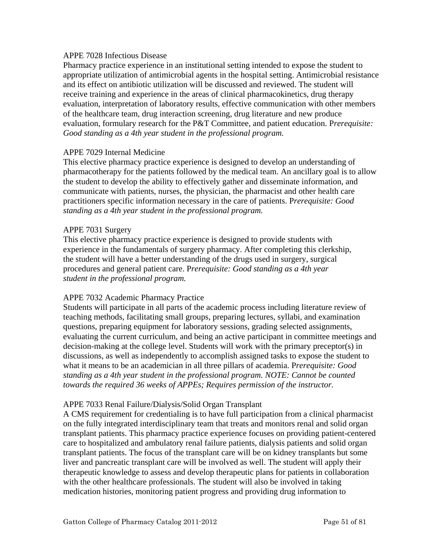#### APPE 7028 Infectious Disease

Pharmacy practice experience in an institutional setting intended to expose the student to appropriate utilization of antimicrobial agents in the hospital setting. Antimicrobial resistance and its effect on antibiotic utilization will be discussed and reviewed. The student will receive training and experience in the areas of clinical pharmacokinetics, drug therapy evaluation, interpretation of laboratory results, effective communication with other members of the healthcare team, drug interaction screening, drug literature and new produce evaluation, formulary research for the P&T Committee, and patient education. P*rerequisite: Good standing as a 4th year student in the professional program.*

#### APPE 7029 Internal Medicine

This elective pharmacy practice experience is designed to develop an understanding of pharmacotherapy for the patients followed by the medical team. An ancillary goal is to allow the student to develop the ability to effectively gather and disseminate information, and communicate with patients, nurses, the physician, the pharmacist and other health care practitioners specific information necessary in the care of patients. P*rerequisite: Good standing as a 4th year student in the professional program.*

#### APPE 7031 Surgery

This elective pharmacy practice experience is designed to provide students with experience in the fundamentals of surgery pharmacy. After completing this clerkship, the student will have a better understanding of the drugs used in surgery, surgical procedures and general patient care. P*rerequisite: Good standing as a 4th year student in the professional program.*

#### APPE 7032 Academic Pharmacy Practice

Students will participate in all parts of the academic process including literature review of teaching methods, facilitating small groups, preparing lectures, syllabi, and examination questions, preparing equipment for laboratory sessions, grading selected assignments, evaluating the current curriculum, and being an active participant in committee meetings and decision-making at the college level. Students will work with the primary preceptor(s) in discussions, as well as independently to accomplish assigned tasks to expose the student to what it means to be an academician in all three pillars of academia. P*rerequisite: Good standing as a 4th year student in the professional program. NOTE: Cannot be counted towards the required 36 weeks of APPEs; Requires permission of the instructor.* 

#### APPE 7033 Renal Failure/Dialysis/Solid Organ Transplant

A CMS requirement for credentialing is to have full participation from a clinical pharmacist on the fully integrated interdisciplinary team that treats and monitors renal and solid organ transplant patients. This pharmacy practice experience focuses on providing patient-centered care to hospitalized and ambulatory renal failure patients, dialysis patients and solid organ transplant patients. The focus of the transplant care will be on kidney transplants but some liver and pancreatic transplant care will be involved as well. The student will apply their therapeutic knowledge to assess and develop therapeutic plans for patients in collaboration with the other healthcare professionals. The student will also be involved in taking medication histories, monitoring patient progress and providing drug information to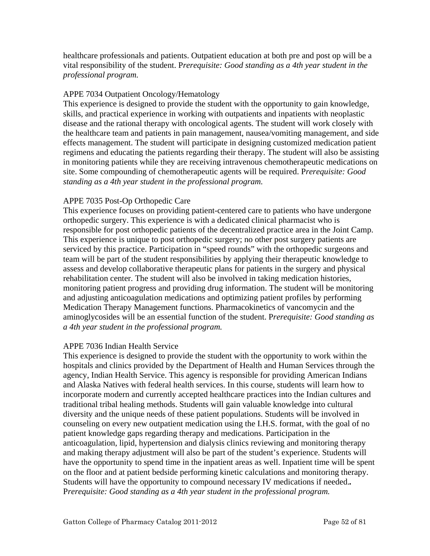healthcare professionals and patients. Outpatient education at both pre and post op will be a vital responsibility of the student. P*rerequisite: Good standing as a 4th year student in the professional program.*

# APPE 7034 Outpatient Oncology/Hematology

This experience is designed to provide the student with the opportunity to gain knowledge, skills, and practical experience in working with outpatients and inpatients with neoplastic disease and the rational therapy with oncological agents. The student will work closely with the healthcare team and patients in pain management, nausea/vomiting management, and side effects management. The student will participate in designing customized medication patient regimens and educating the patients regarding their therapy. The student will also be assisting in monitoring patients while they are receiving intravenous chemotherapeutic medications on site. Some compounding of chemotherapeutic agents will be required. P*rerequisite: Good standing as a 4th year student in the professional program.*

## APPE 7035 Post-Op Orthopedic Care

This experience focuses on providing patient-centered care to patients who have undergone orthopedic surgery. This experience is with a dedicated clinical pharmacist who is responsible for post orthopedic patients of the decentralized practice area in the Joint Camp. This experience is unique to post orthopedic surgery; no other post surgery patients are serviced by this practice. Participation in "speed rounds" with the orthopedic surgeons and team will be part of the student responsibilities by applying their therapeutic knowledge to assess and develop collaborative therapeutic plans for patients in the surgery and physical rehabilitation center. The student will also be involved in taking medication histories, monitoring patient progress and providing drug information. The student will be monitoring and adjusting anticoagulation medications and optimizing patient profiles by performing Medication Therapy Management functions. Pharmacokinetics of vancomycin and the aminoglycosides will be an essential function of the student. P*rerequisite: Good standing as a 4th year student in the professional program.*

#### APPE 7036 Indian Health Service

This experience is designed to provide the student with the opportunity to work within the hospitals and clinics provided by the Department of Health and Human Services through the agency, Indian Health Service. This agency is responsible for providing American Indians and Alaska Natives with federal health services. In this course, students will learn how to incorporate modern and currently accepted healthcare practices into the Indian cultures and traditional tribal healing methods. Students will gain valuable knowledge into cultural diversity and the unique needs of these patient populations. Students will be involved in counseling on every new outpatient medication using the I.H.S. format, with the goal of no patient knowledge gaps regarding therapy and medications. Participation in the anticoagulation, lipid, hypertension and dialysis clinics reviewing and monitoring therapy and making therapy adjustment will also be part of the student's experience. Students will have the opportunity to spend time in the inpatient areas as well. Inpatient time will be spent on the floor and at patient bedside performing kinetic calculations and monitoring therapy. Students will have the opportunity to compound necessary IV medications if needed.*.* P*rerequisite: Good standing as a 4th year student in the professional program.*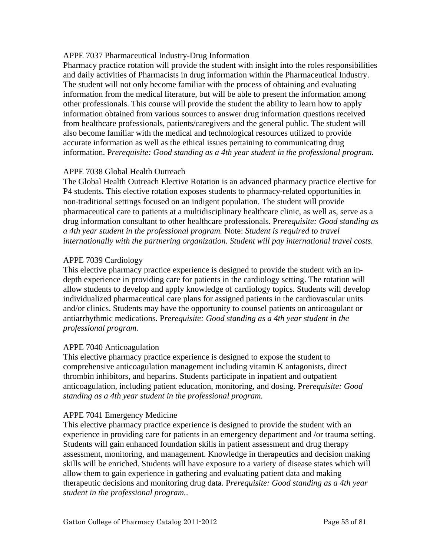## APPE 7037 Pharmaceutical Industry-Drug Information

Pharmacy practice rotation will provide the student with insight into the roles responsibilities and daily activities of Pharmacists in drug information within the Pharmaceutical Industry. The student will not only become familiar with the process of obtaining and evaluating information from the medical literature, but will be able to present the information among other professionals. This course will provide the student the ability to learn how to apply information obtained from various sources to answer drug information questions received from healthcare professionals, patients/caregivers and the general public. The student will also become familiar with the medical and technological resources utilized to provide accurate information as well as the ethical issues pertaining to communicating drug information. P*rerequisite: Good standing as a 4th year student in the professional program.*

# APPE 7038 Global Health Outreach

The Global Health Outreach Elective Rotation is an advanced pharmacy practice elective for P4 students. This elective rotation exposes students to pharmacy-related opportunities in non‐traditional settings focused on an indigent population. The student will provide pharmaceutical care to patients at a multidisciplinary healthcare clinic, as well as, serve as a drug information consultant to other healthcare professionals. P*rerequisite: Good standing as a 4th year student in the professional program.* Note: *Student is required to travel internationally with the partnering organization. Student will pay international travel costs.* 

# APPE 7039 Cardiology

This elective pharmacy practice experience is designed to provide the student with an indepth experience in providing care for patients in the cardiology setting. The rotation will allow students to develop and apply knowledge of cardiology topics. Students will develop individualized pharmaceutical care plans for assigned patients in the cardiovascular units and/or clinics. Students may have the opportunity to counsel patients on anticoagulant or antiarrhythmic medications. P*rerequisite: Good standing as a 4th year student in the professional program.*

#### APPE 7040 Anticoagulation

This elective pharmacy practice experience is designed to expose the student to comprehensive anticoagulation management including vitamin K antagonists, direct thrombin inhibitors, and heparins. Students participate in inpatient and outpatient anticoagulation, including patient education, monitoring, and dosing. P*rerequisite: Good standing as a 4th year student in the professional program.*

#### APPE 7041 Emergency Medicine

This elective pharmacy practice experience is designed to provide the student with an experience in providing care for patients in an emergency department and /or trauma setting. Students will gain enhanced foundation skills in patient assessment and drug therapy assessment, monitoring, and management. Knowledge in therapeutics and decision making skills will be enriched. Students will have exposure to a variety of disease states which will allow them to gain experience in gathering and evaluating patient data and making therapeutic decisions and monitoring drug data. P*rerequisite: Good standing as a 4th year student in the professional program.*.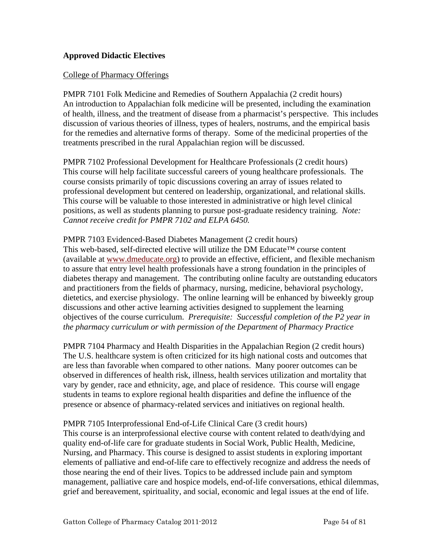# **Approved Didactic Electives**

#### College of Pharmacy Offerings

PMPR 7101 Folk Medicine and Remedies of Southern Appalachia (2 credit hours) An introduction to Appalachian folk medicine will be presented, including the examination of health, illness, and the treatment of disease from a pharmacist's perspective. This includes discussion of various theories of illness, types of healers, nostrums, and the empirical basis for the remedies and alternative forms of therapy. Some of the medicinal properties of the treatments prescribed in the rural Appalachian region will be discussed.

PMPR 7102 Professional Development for Healthcare Professionals (2 credit hours) This course will help facilitate successful careers of young healthcare professionals. The course consists primarily of topic discussions covering an array of issues related to professional development but centered on leadership, organizational, and relational skills. This course will be valuable to those interested in administrative or high level clinical positions, as well as students planning to pursue post-graduate residency training. *Note: Cannot receive credit for PMPR 7102 and ELPA 6450.* 

#### PMPR 7103 Evidenced-Based Diabetes Management (2 credit hours)

This web-based, self-directed elective will utilize the DM Educate™ course content (available at [www.dmeducate.org\)](http://www.dmeducate.org/) to provide an effective, efficient, and flexible mechanism to assure that entry level health professionals have a strong foundation in the principles of diabetes therapy and management. The contributing online faculty are outstanding educators and practitioners from the fields of pharmacy, nursing, medicine, behavioral psychology, dietetics, and exercise physiology. The online learning will be enhanced by biweekly group discussions and other active learning activities designed to supplement the learning objectives of the course curriculum. *Prerequisite: Successful completion of the P2 year in the pharmacy curriculum or with permission of the Department of Pharmacy Practice* 

PMPR 7104 Pharmacy and Health Disparities in the Appalachian Region (2 credit hours) The U.S. healthcare system is often criticized for its high national costs and outcomes that are less than favorable when compared to other nations. Many poorer outcomes can be observed in differences of health risk, illness, health services utilization and mortality that vary by gender, race and ethnicity, age, and place of residence. This course will engage students in teams to explore regional health disparities and define the influence of the presence or absence of pharmacy-related services and initiatives on regional health.

#### PMPR 7105 Interprofessional End-of-Life Clinical Care (3 credit hours)

This course is an interprofessional elective course with content related to death/dying and quality end-of-life care for graduate students in Social Work, Public Health, Medicine, Nursing, and Pharmacy. This course is designed to assist students in exploring important elements of palliative and end-of-life care to effectively recognize and address the needs of those nearing the end of their lives. Topics to be addressed include pain and symptom management, palliative care and hospice models, end-of-life conversations, ethical dilemmas, grief and bereavement, spirituality, and social, economic and legal issues at the end of life.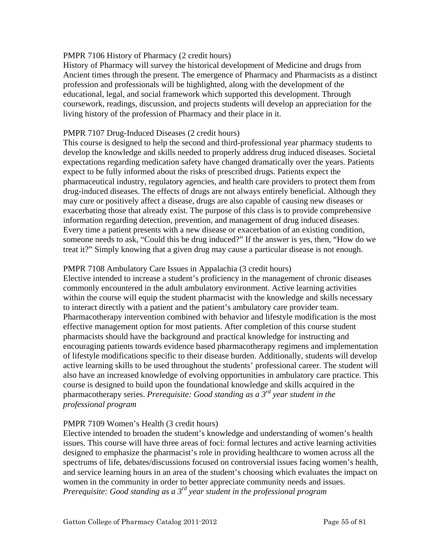## PMPR 7106 History of Pharmacy (2 credit hours)

History of Pharmacy will survey the historical development of Medicine and drugs from Ancient times through the present. The emergence of Pharmacy and Pharmacists as a distinct profession and professionals will be highlighted, along with the development of the educational, legal, and social framework which supported this development. Through coursework, readings, discussion, and projects students will develop an appreciation for the living history of the profession of Pharmacy and their place in it.

## PMPR 7107 Drug-Induced Diseases (2 credit hours)

This course is designed to help the second and third-professional year pharmacy students to develop the knowledge and skills needed to properly address drug induced diseases. Societal expectations regarding medication safety have changed dramatically over the years. Patients expect to be fully informed about the risks of prescribed drugs. Patients expect the pharmaceutical industry, regulatory agencies, and health care providers to protect them from drug-induced diseases. The effects of drugs are not always entirely beneficial. Although they may cure or positively affect a disease, drugs are also capable of causing new diseases or exacerbating those that already exist. The purpose of this class is to provide comprehensive information regarding detection, prevention, and management of drug induced diseases. Every time a patient presents with a new disease or exacerbation of an existing condition, someone needs to ask, "Could this be drug induced?" If the answer is yes, then, "How do we treat it?" Simply knowing that a given drug may cause a particular disease is not enough.

## PMPR 7108 Ambulatory Care Issues in Appalachia (3 credit hours)

Elective intended to increase a student's proficiency in the management of chronic diseases commonly encountered in the adult ambulatory environment. Active learning activities within the course will equip the student pharmacist with the knowledge and skills necessary to interact directly with a patient and the patient's ambulatory care provider team. Pharmacotherapy intervention combined with behavior and lifestyle modification is the most effective management option for most patients. After completion of this course student pharmacists should have the background and practical knowledge for instructing and encouraging patients towards evidence based pharmacotherapy regimens and implementation of lifestyle modifications specific to their disease burden. Additionally, students will develop active learning skills to be used throughout the students' professional career. The student will also have an increased knowledge of evolving opportunities in ambulatory care practice. This course is designed to build upon the foundational knowledge and skills acquired in the pharmacotherapy series. *Prerequisite: Good standing as a 3rd year student in the professional program* 

# PMPR 7109 Women's Health (3 credit hours)

Elective intended to broaden the student's knowledge and understanding of women's health issues. This course will have three areas of foci: formal lectures and active learning activities designed to emphasize the pharmacist's role in providing healthcare to women across all the spectrums of life, debates/discussions focused on controversial issues facing women's health, and service learning hours in an area of the student's choosing which evaluates the impact on women in the community in order to better appreciate community needs and issues. *Prerequisite: Good standing as a 3rd year student in the professional program*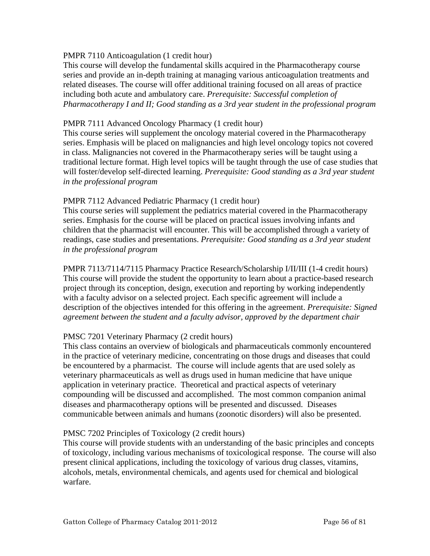## PMPR 7110 Anticoagulation (1 credit hour)

This course will develop the fundamental skills acquired in the Pharmacotherapy course series and provide an in-depth training at managing various anticoagulation treatments and related diseases. The course will offer additional training focused on all areas of practice including both acute and ambulatory care. *Prerequisite: Successful completion of Pharmacotherapy I and II; Good standing as a 3rd year student in the professional program* 

## PMPR 7111 Advanced Oncology Pharmacy (1 credit hour)

This course series will supplement the oncology material covered in the Pharmacotherapy series. Emphasis will be placed on malignancies and high level oncology topics not covered in class. Malignancies not covered in the Pharmacotherapy series will be taught using a traditional lecture format. High level topics will be taught through the use of case studies that will foster/develop self-directed learning. *Prerequisite: Good standing as a 3rd year student in the professional program* 

## PMPR 7112 Advanced Pediatric Pharmacy (1 credit hour)

This course series will supplement the pediatrics material covered in the Pharmacotherapy series. Emphasis for the course will be placed on practical issues involving infants and children that the pharmacist will encounter. This will be accomplished through a variety of readings, case studies and presentations. *Prerequisite: Good standing as a 3rd year student in the professional program* 

PMPR 7113/7114/7115 Pharmacy Practice Research/Scholarship I/II/III (1-4 credit hours) This course will provide the student the opportunity to learn about a practice-based research project through its conception, design, execution and reporting by working independently with a faculty advisor on a selected project. Each specific agreement will include a description of the objectives intended for this offering in the agreement. *Prerequisite: Signed agreement between the student and a faculty advisor, approved by the department chair* 

# PMSC 7201 Veterinary Pharmacy (2 credit hours)

This class contains an overview of biologicals and pharmaceuticals commonly encountered in the practice of veterinary medicine, concentrating on those drugs and diseases that could be encountered by a pharmacist. The course will include agents that are used solely as veterinary pharmaceuticals as well as drugs used in human medicine that have unique application in veterinary practice. Theoretical and practical aspects of veterinary compounding will be discussed and accomplished. The most common companion animal diseases and pharmacotherapy options will be presented and discussed. Diseases communicable between animals and humans (zoonotic disorders) will also be presented.

#### PMSC 7202 Principles of Toxicology (2 credit hours)

This course will provide students with an understanding of the basic principles and concepts of toxicology, including various mechanisms of toxicological response. The course will also present clinical applications, including the toxicology of various drug classes, vitamins, alcohols, metals, environmental chemicals, and agents used for chemical and biological warfare.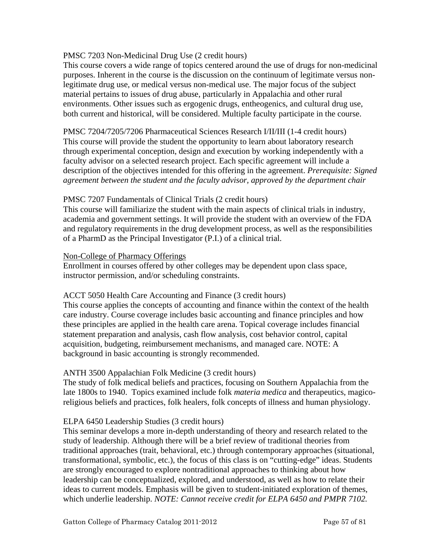## PMSC 7203 Non-Medicinal Drug Use (2 credit hours)

This course covers a wide range of topics centered around the use of drugs for non-medicinal purposes. Inherent in the course is the discussion on the continuum of legitimate versus nonlegitimate drug use, or medical versus non-medical use. The major focus of the subject material pertains to issues of drug abuse, particularly in Appalachia and other rural environments. Other issues such as ergogenic drugs, entheogenics, and cultural drug use, both current and historical, will be considered. Multiple faculty participate in the course.

PMSC 7204/7205/7206 Pharmaceutical Sciences Research I/II/III (1-4 credit hours) This course will provide the student the opportunity to learn about laboratory research through experimental conception, design and execution by working independently with a faculty advisor on a selected research project. Each specific agreement will include a description of the objectives intended for this offering in the agreement. *Prerequisite: Signed agreement between the student and the faculty advisor, approved by the department chair* 

#### PMSC 7207 Fundamentals of Clinical Trials (2 credit hours)

This course will familiarize the student with the main aspects of clinical trials in industry, academia and government settings. It will provide the student with an overview of the FDA and regulatory requirements in the drug development process, as well as the responsibilities of a PharmD as the Principal Investigator (P.I.) of a clinical trial.

#### Non-College of Pharmacy Offerings

Enrollment in courses offered by other colleges may be dependent upon class space, instructor permission, and/or scheduling constraints.

#### ACCT 5050 Health Care Accounting and Finance (3 credit hours)

This course applies the concepts of accounting and finance within the context of the health care industry. Course coverage includes basic accounting and finance principles and how these principles are applied in the health care arena. Topical coverage includes financial statement preparation and analysis, cash flow analysis, cost behavior control, capital acquisition, budgeting, reimbursement mechanisms, and managed care. NOTE: A background in basic accounting is strongly recommended.

# ANTH 3500 Appalachian Folk Medicine (3 credit hours)

The study of folk medical beliefs and practices, focusing on Southern Appalachia from the late 1800s to 1940. Topics examined include folk *materia medica* and therapeutics, magicoreligious beliefs and practices, folk healers, folk concepts of illness and human physiology.

#### ELPA 6450 Leadership Studies (3 credit hours)

This seminar develops a more in-depth understanding of theory and research related to the study of leadership. Although there will be a brief review of traditional theories from traditional approaches (trait, behavioral, etc.) through contemporary approaches (situational, transformational, symbolic, etc.), the focus of this class is on "cutting-edge" ideas. Students are strongly encouraged to explore nontraditional approaches to thinking about how leadership can be conceptualized, explored, and understood, as well as how to relate their ideas to current models. Emphasis will be given to student-initiated exploration of themes, which underlie leadership. *NOTE: Cannot receive credit for ELPA 6450 and PMPR 7102.*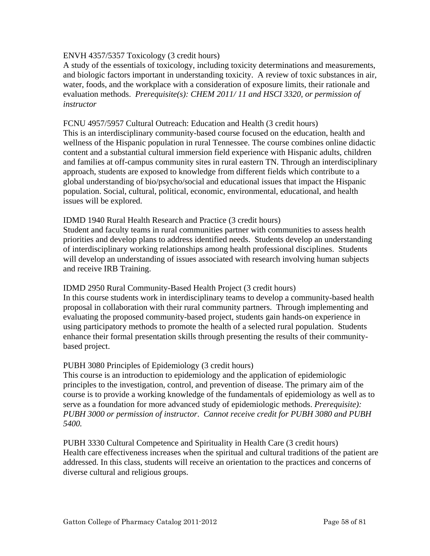## ENVH 4357/5357 Toxicology (3 credit hours)

A study of the essentials of toxicology, including toxicity determinations and measurements, and biologic factors important in understanding toxicity. A review of toxic substances in air, water, foods, and the workplace with a consideration of exposure limits, their rationale and evaluation methods. *Prerequisite(s): CHEM 2011/ 11 and HSCI 3320, or permission of instructor* 

## FCNU 4957/5957 Cultural Outreach: Education and Health (3 credit hours)

This is an interdisciplinary community-based course focused on the education, health and wellness of the Hispanic population in rural Tennessee. The course combines online didactic content and a substantial cultural immersion field experience with Hispanic adults, children and families at off-campus community sites in rural eastern TN. Through an interdisciplinary approach, students are exposed to knowledge from different fields which contribute to a global understanding of bio/psycho/social and educational issues that impact the Hispanic population. Social, cultural, political, economic, environmental, educational, and health issues will be explored.

#### IDMD 1940 Rural Health Research and Practice (3 credit hours)

Student and faculty teams in rural communities partner with communities to assess health priorities and develop plans to address identified needs. Students develop an understanding of interdisciplinary working relationships among health professional disciplines. Students will develop an understanding of issues associated with research involving human subjects and receive IRB Training.

#### IDMD 2950 Rural Community-Based Health Project (3 credit hours)

In this course students work in interdisciplinary teams to develop a community-based health proposal in collaboration with their rural community partners. Through implementing and evaluating the proposed community-based project, students gain hands-on experience in using participatory methods to promote the health of a selected rural population. Students enhance their formal presentation skills through presenting the results of their communitybased project.

#### PUBH 3080 Principles of Epidemiology (3 credit hours)

This course is an introduction to epidemiology and the application of epidemiologic principles to the investigation, control, and prevention of disease. The primary aim of the course is to provide a working knowledge of the fundamentals of epidemiology as well as to serve as a foundation for more advanced study of epidemiologic methods. *Prerequisite): PUBH 3000 or permission of instructor*. *Cannot receive credit for PUBH 3080 and PUBH 5400.* 

PUBH 3330 Cultural Competence and Spirituality in Health Care (3 credit hours) Health care effectiveness increases when the spiritual and cultural traditions of the patient are addressed. In this class, students will receive an orientation to the practices and concerns of diverse cultural and religious groups.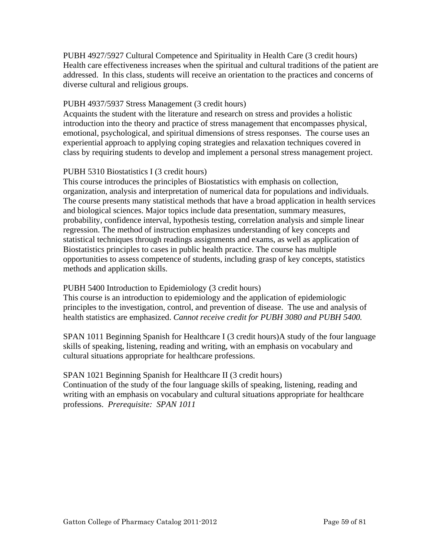PUBH 4927/5927 Cultural Competence and Spirituality in Health Care (3 credit hours) Health care effectiveness increases when the spiritual and cultural traditions of the patient are addressed. In this class, students will receive an orientation to the practices and concerns of diverse cultural and religious groups.

# PUBH 4937/5937 Stress Management (3 credit hours)

Acquaints the student with the literature and research on stress and provides a holistic introduction into the theory and practice of stress management that encompasses physical, emotional, psychological, and spiritual dimensions of stress responses. The course uses an experiential approach to applying coping strategies and relaxation techniques covered in class by requiring students to develop and implement a personal stress management project.

## PUBH 5310 Biostatistics I (3 credit hours)

This course introduces the principles of Biostatistics with emphasis on collection, organization, analysis and interpretation of numerical data for populations and individuals. The course presents many statistical methods that have a broad application in health services and biological sciences. Major topics include data presentation, summary measures, probability, confidence interval, hypothesis testing, correlation analysis and simple linear regression. The method of instruction emphasizes understanding of key concepts and statistical techniques through readings assignments and exams, as well as application of Biostatistics principles to cases in public health practice. The course has multiple opportunities to assess competence of students, including grasp of key concepts, statistics methods and application skills.

#### PUBH 5400 Introduction to Epidemiology (3 credit hours)

This course is an introduction to epidemiology and the application of epidemiologic principles to the investigation, control, and prevention of disease. The use and analysis of health statistics are emphasized. *Cannot receive credit for PUBH 3080 and PUBH 5400.*

SPAN 1011 Beginning Spanish for Healthcare I (3 credit hours)A study of the four language skills of speaking, listening, reading and writing, with an emphasis on vocabulary and cultural situations appropriate for healthcare professions.

#### SPAN 1021 Beginning Spanish for Healthcare II (3 credit hours)

Continuation of the study of the four language skills of speaking, listening, reading and writing with an emphasis on vocabulary and cultural situations appropriate for healthcare professions. *Prerequisite: SPAN 1011*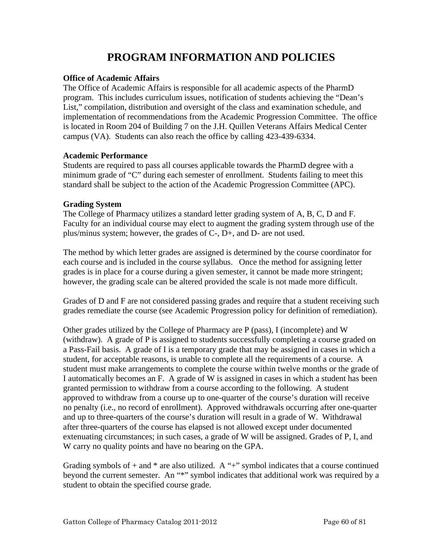# **PROGRAM INFORMATION AND POLICIES**

## **Office of Academic Affairs**

The Office of Academic Affairs is responsible for all academic aspects of the PharmD program. This includes curriculum issues, notification of students achieving the "Dean's List," compilation, distribution and oversight of the class and examination schedule, and implementation of recommendations from the Academic Progression Committee. The office is located in Room 204 of Building 7 on the J.H. Quillen Veterans Affairs Medical Center campus (VA). Students can also reach the office by calling 423-439-6334.

#### **Academic Performance**

Students are required to pass all courses applicable towards the PharmD degree with a minimum grade of "C" during each semester of enrollment. Students failing to meet this standard shall be subject to the action of the Academic Progression Committee (APC).

## **Grading System**

The College of Pharmacy utilizes a standard letter grading system of A, B, C, D and F. Faculty for an individual course may elect to augment the grading system through use of the plus/minus system; however, the grades of C-, D+, and D- are not used.

The method by which letter grades are assigned is determined by the course coordinator for each course and is included in the course syllabus. Once the method for assigning letter grades is in place for a course during a given semester, it cannot be made more stringent; however, the grading scale can be altered provided the scale is not made more difficult.

Grades of D and F are not considered passing grades and require that a student receiving such grades remediate the course (see Academic Progression policy for definition of remediation).

Other grades utilized by the College of Pharmacy are P (pass), I (incomplete) and W (withdraw). A grade of P is assigned to students successfully completing a course graded on a Pass-Fail basis. A grade of I is a temporary grade that may be assigned in cases in which a student, for acceptable reasons, is unable to complete all the requirements of a course. A student must make arrangements to complete the course within twelve months or the grade of I automatically becomes an F. A grade of W is assigned in cases in which a student has been granted permission to withdraw from a course according to the following. A student approved to withdraw from a course up to one-quarter of the course's duration will receive no penalty (i.e., no record of enrollment). Approved withdrawals occurring after one-quarter and up to three-quarters of the course's duration will result in a grade of W. Withdrawal after three-quarters of the course has elapsed is not allowed except under documented extenuating circumstances; in such cases, a grade of W will be assigned. Grades of P, I, and W carry no quality points and have no bearing on the GPA.

Grading symbols of  $+$  and  $*$  are also utilized. A " $+$ " symbol indicates that a course continued beyond the current semester. An "\*" symbol indicates that additional work was required by a student to obtain the specified course grade.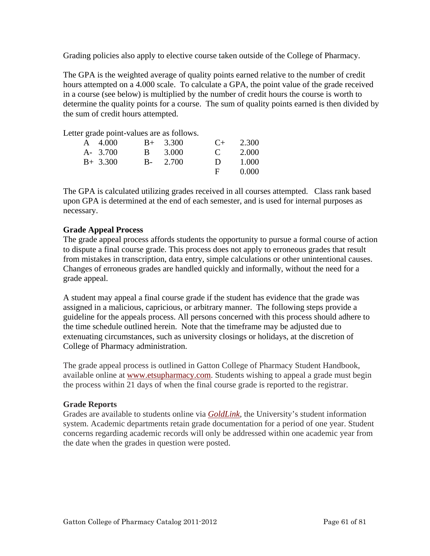Grading policies also apply to elective course taken outside of the College of Pharmacy.

The GPA is the weighted average of quality points earned relative to the number of credit hours attempted on a 4.000 scale. To calculate a GPA, the point value of the grade received in a course (see below) is multiplied by the number of credit hours the course is worth to determine the quality points for a course. The sum of quality points earned is then divided by the sum of credit hours attempted.

Letter grade point-values are as follows.

| A 4.000    | $B+ 3.300$     | $($ +        | 2.300 |
|------------|----------------|--------------|-------|
| A- 3.700   | <b>B</b> 3.000 | $\mathbf{C}$ | 2.000 |
| $B+ 3.300$ | $B - 2.700$    | $\mathbf{D}$ | 1.000 |
|            |                | Е.           | 0.000 |

The GPA is calculated utilizing grades received in all courses attempted. Class rank based upon GPA is determined at the end of each semester, and is used for internal purposes as necessary.

# **Grade Appeal Process**

The grade appeal process affords students the opportunity to pursue a formal course of action to dispute a final course grade. This process does not apply to erroneous grades that result from mistakes in transcription, data entry, simple calculations or other unintentional causes. Changes of erroneous grades are handled quickly and informally, without the need for a grade appeal.

A student may appeal a final course grade if the student has evidence that the grade was assigned in a malicious, capricious, or arbitrary manner. The following steps provide a guideline for the appeals process. All persons concerned with this process should adhere to the time schedule outlined herein. Note that the timeframe may be adjusted due to extenuating circumstances, such as university closings or holidays, at the discretion of College of Pharmacy administration.

The grade appeal process is outlined in Gatton College of Pharmacy Student Handbook, available online at [www.etsupharmacy.com](http://www.etsu.edu/pharmacy). Students wishing to appeal a grade must begin the process within 21 days of when the final course grade is reported to the registrar.

# **Grade Reports**

Grades are available to students online via *[GoldLink,](http://goldlink.etsu.edu/)* the University's student information system. Academic departments retain grade documentation for a period of one year. Student concerns regarding academic records will only be addressed within one academic year from the date when the grades in question were posted.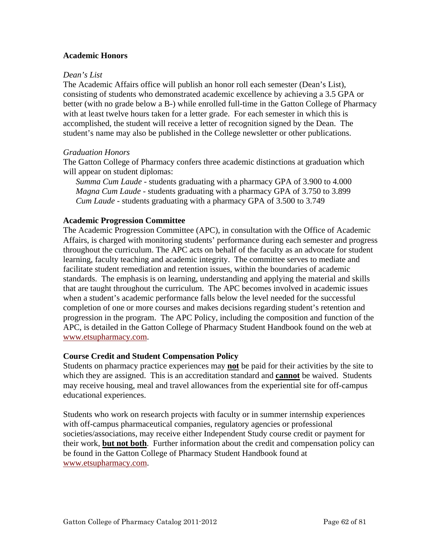## **Academic Honors**

#### *Dean's List*

The Academic Affairs office will publish an honor roll each semester (Dean's List), consisting of students who demonstrated academic excellence by achieving a 3.5 GPA or better (with no grade below a B-) while enrolled full-time in the Gatton College of Pharmacy with at least twelve hours taken for a letter grade. For each semester in which this is accomplished, the student will receive a letter of recognition signed by the Dean. The student's name may also be published in the College newsletter or other publications.

#### *Graduation Honors*

The Gatton College of Pharmacy confers three academic distinctions at graduation which will appear on student diplomas:

*Summa Cum Laude* - students graduating with a pharmacy GPA of 3.900 to 4.000 *Magna Cum Laude* - students graduating with a pharmacy GPA of 3.750 to 3.899 *Cum Laude* - students graduating with a pharmacy GPA of 3.500 to 3.749

#### **Academic Progression Committee**

The Academic Progression Committee (APC), in consultation with the Office of Academic Affairs, is charged with monitoring students' performance during each semester and progress throughout the curriculum. The APC acts on behalf of the faculty as an advocate for student learning, faculty teaching and academic integrity. The committee serves to mediate and facilitate student remediation and retention issues, within the boundaries of academic standards. The emphasis is on learning, understanding and applying the material and skills that are taught throughout the curriculum. The APC becomes involved in academic issues when a student's academic performance falls below the level needed for the successful completion of one or more courses and makes decisions regarding student's retention and progression in the program. The APC Policy, including the composition and function of the APC, is detailed in the Gatton College of Pharmacy Student Handbook found on the web at [www.etsupharmacy.com](http://www.etsu.edu/pharmacy).

#### **Course Credit and Student Compensation Policy**

Students on pharmacy practice experiences may **not** be paid for their activities by the site to which they are assigned. This is an accreditation standard and **cannot** be waived. Students may receive housing, meal and travel allowances from the experiential site for off-campus educational experiences.

Students who work on research projects with faculty or in summer internship experiences with off-campus pharmaceutical companies, regulatory agencies or professional societies/associations, may receive either Independent Study course credit or payment for their work, **but not both**. Further information about the credit and compensation policy can be found in the Gatton College of Pharmacy Student Handbook found at [www.etsupharmacy.com](http://www.etsu.edu/pharmacy).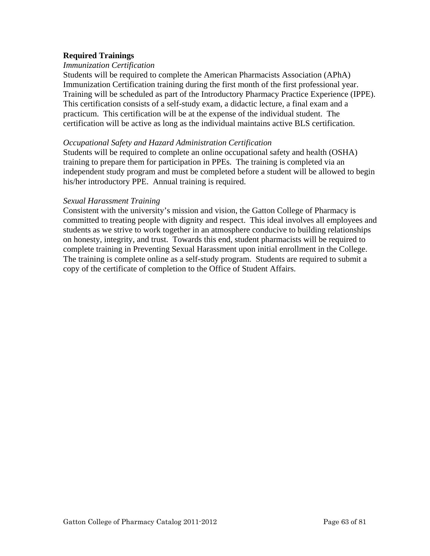## **Required Trainings**

#### *Immunization Certification*

Students will be required to complete the American Pharmacists Association (APhA) Immunization Certification training during the first month of the first professional year. Training will be scheduled as part of the Introductory Pharmacy Practice Experience (IPPE). This certification consists of a self-study exam, a didactic lecture, a final exam and a practicum. This certification will be at the expense of the individual student. The certification will be active as long as the individual maintains active BLS certification.

#### *Occupational Safety and Hazard Administration Certification*

Students will be required to complete an online occupational safety and health (OSHA) training to prepare them for participation in PPEs. The training is completed via an independent study program and must be completed before a student will be allowed to begin his/her introductory PPE. Annual training is required.

#### *Sexual Harassment Training*

Consistent with the university's mission and vision, the Gatton College of Pharmacy is committed to treating people with dignity and respect. This ideal involves all employees and students as we strive to work together in an atmosphere conducive to building relationships on honesty, integrity, and trust. Towards this end, student pharmacists will be required to complete training in Preventing Sexual Harassment upon initial enrollment in the College. The training is complete online as a self-study program. Students are required to submit a copy of the certificate of completion to the Office of Student Affairs.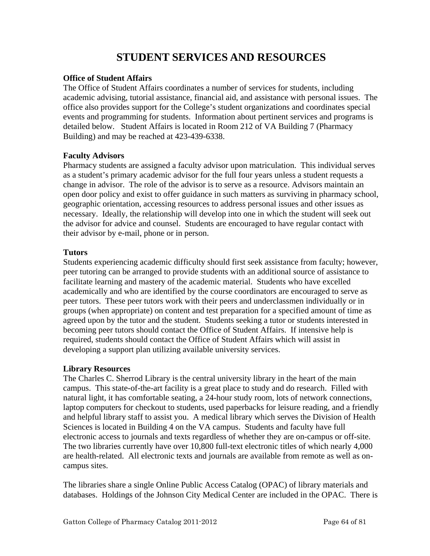# **STUDENT SERVICES AND RESOURCES**

## **Office of Student Affairs**

The Office of Student Affairs coordinates a number of services for students, including academic advising, tutorial assistance, financial aid, and assistance with personal issues. The office also provides support for the College's student organizations and coordinates special events and programming for students. Information about pertinent services and programs is detailed below. Student Affairs is located in Room 212 of VA Building 7 (Pharmacy Building) and may be reached at 423-439-6338.

## **Faculty Advisors**

Pharmacy students are assigned a faculty advisor upon matriculation. This individual serves as a student's primary academic advisor for the full four years unless a student requests a change in advisor. The role of the advisor is to serve as a resource. Advisors maintain an open door policy and exist to offer guidance in such matters as surviving in pharmacy school, geographic orientation, accessing resources to address personal issues and other issues as necessary. Ideally, the relationship will develop into one in which the student will seek out the advisor for advice and counsel. Students are encouraged to have regular contact with their advisor by e-mail, phone or in person.

# **Tutors**

Students experiencing academic difficulty should first seek assistance from faculty; however, peer tutoring can be arranged to provide students with an additional source of assistance to facilitate learning and mastery of the academic material. Students who have excelled academically and who are identified by the course coordinators are encouraged to serve as peer tutors. These peer tutors work with their peers and underclassmen individually or in groups (when appropriate) on content and test preparation for a specified amount of time as agreed upon by the tutor and the student. Students seeking a tutor or students interested in becoming peer tutors should contact the Office of Student Affairs. If intensive help is required, students should contact the Office of Student Affairs which will assist in developing a support plan utilizing available university services.

# **Library Resources**

The Charles C. Sherrod Library is the central university library in the heart of the main campus. This state-of-the-art facility is a great place to study and do research. Filled with natural light, it has comfortable seating, a 24-hour study room, lots of network connections, laptop computers for checkout to students, used paperbacks for leisure reading, and a friendly and helpful library staff to assist you. A medical library which serves the Division of Health Sciences is located in Building 4 on the VA campus. Students and faculty have full electronic access to journals and texts regardless of whether they are on-campus or off-site. The two libraries currently have over 10,800 full-text electronic titles of which nearly 4,000 are health-related. All electronic texts and journals are available from remote as well as oncampus sites.

The libraries share a single Online Public Access Catalog (OPAC) of library materials and databases. Holdings of the Johnson City Medical Center are included in the OPAC. There is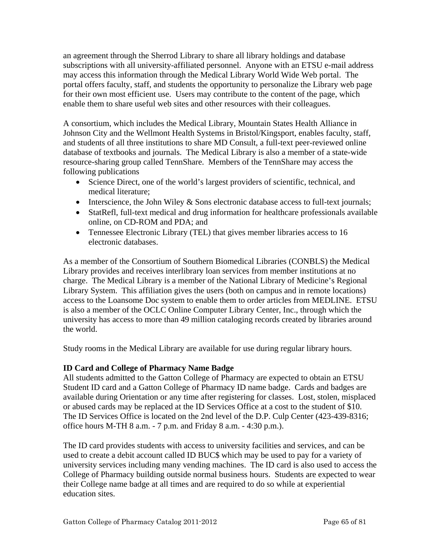an agreement through the Sherrod Library to share all library holdings and database subscriptions with all university-affiliated personnel. Anyone with an ETSU e-mail address may access this information through the Medical Library World Wide Web portal. The portal offers faculty, staff, and students the opportunity to personalize the Library web page for their own most efficient use. Users may contribute to the content of the page, which enable them to share useful web sites and other resources with their colleagues.

A consortium, which includes the Medical Library, Mountain States Health Alliance in Johnson City and the Wellmont Health Systems in Bristol/Kingsport, enables faculty, staff, and students of all three institutions to share MD Consult, a full-text peer-reviewed online database of textbooks and journals. The Medical Library is also a member of a state-wide resource-sharing group called TennShare. Members of the TennShare may access the following publications

- Science Direct, one of the world's largest providers of scientific, technical, and medical literature;
- Interscience, the John Wiley & Sons electronic database access to full-text journals;
- StatRefl, full-text medical and drug information for healthcare professionals available online, on CD-ROM and PDA; and
- Tennessee Electronic Library (TEL) that gives member libraries access to 16 electronic databases.

As a member of the Consortium of Southern Biomedical Libraries (CONBLS) the Medical Library provides and receives interlibrary loan services from member institutions at no charge. The Medical Library is a member of the National Library of Medicine's Regional Library System. This affiliation gives the users (both on campus and in remote locations) access to the Loansome Doc system to enable them to order articles from MEDLINE. ETSU is also a member of the OCLC Online Computer Library Center, Inc., through which the university has access to more than 49 million cataloging records created by libraries around the world.

Study rooms in the Medical Library are available for use during regular library hours.

# **ID Card and College of Pharmacy Name Badge**

All students admitted to the Gatton College of Pharmacy are expected to obtain an ETSU Student ID card and a Gatton College of Pharmacy ID name badge. Cards and badges are available during Orientation or any time after registering for classes. Lost, stolen, misplaced or abused cards may be replaced at the ID Services Office at a cost to the student of \$10. The ID Services Office is located on the 2nd level of the D.P. Culp Center (423-439-8316; office hours M-TH 8 a.m. - 7 p.m. and Friday 8 a.m. - 4:30 p.m.).

The ID card provides students with access to university facilities and services, and can be used to create a debit account called ID BUC\$ which may be used to pay for a variety of university services including many vending machines. The ID card is also used to access the College of Pharmacy building outside normal business hours. Students are expected to wear their College name badge at all times and are required to do so while at experiential education sites.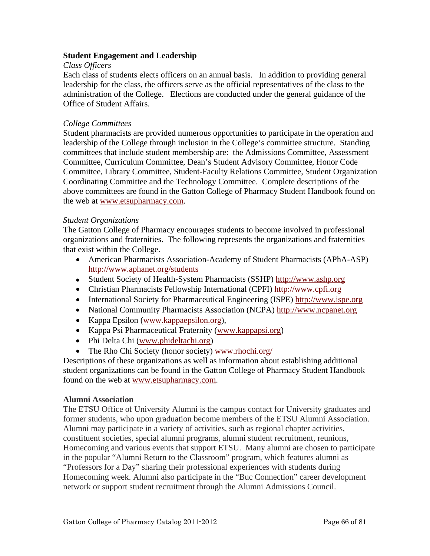## **Student Engagement and Leadership**

## *Class Officers*

Each class of students elects officers on an annual basis. In addition to providing general leadership for the class, the officers serve as the official representatives of the class to the administration of the College. Elections are conducted under the general guidance of the Office of Student Affairs.

## *College Committees*

Student pharmacists are provided numerous opportunities to participate in the operation and leadership of the College through inclusion in the College's committee structure. Standing committees that include student membership are: the Admissions Committee, Assessment Committee, Curriculum Committee, Dean's Student Advisory Committee, Honor Code Committee, Library Committee, Student-Faculty Relations Committee, Student Organization Coordinating Committee and the Technology Committee. Complete descriptions of the above committees are found in the Gatton College of Pharmacy Student Handbook found on the web at [www.etsupharmacy.com.](http://www.etsu.edu/pharmacy)

## *Student Organizations*

The Gatton College of Pharmacy encourages students to become involved in professional organizations and fraternities. The following represents the organizations and fraternities that exist within the College.

- American Pharmacists Association-Academy of Student Pharmacists (APhA-ASP) <http://www.aphanet.org/students>
- Student Society of Health-System Pharmacists (SSHP) [http://www.ashp.org](http://www.ashp.org/)
- Christian Pharmacists Fellowship International (CPFI) [http://www.cpfi.org](http://www.cpfi.org/)
- International Society for Pharmaceutical Engineering (ISPE) [http://www.ispe.org](http://www.ispe.org/)
- National Community Pharmacists Association (NCPA) [http://www.ncpanet.org](http://www.ncpanet.org/)
- Kappa Epsilon ([www.kappaepsilon.org](http://www.kappaepsilon.org/)),
- Kappa Psi Pharmaceutical Fraternity [\(www.kappapsi.org\)](http://www.kappapsi.org/)
- Phi Delta Chi [\(www.phideltachi.org\)](http://www.phideltachi.org/)
- The Rho Chi Society (honor society) [www.rhochi.org/](http://www.rhochi.org/)

Descriptions of these organizations as well as information about establishing additional student organizations can be found in the Gatton College of Pharmacy Student Handbook found on the web at [www.etsupharmacy.com.](http://www.etsu.edu/pharmacy)

# **Alumni Association**

The ETSU Office of University Alumni is the campus contact for University graduates and former students, who upon graduation become members of the ETSU Alumni Association. Alumni may participate in a variety of activities, such as regional chapter activities, constituent societies, special alumni programs, alumni student recruitment, reunions, Homecoming and various events that support ETSU. Many alumni are chosen to participate in the popular "Alumni Return to the Classroom" program, which features alumni as "Professors for a Day" sharing their professional experiences with students during Homecoming week. Alumni also participate in the "Buc Connection" career development network or support student recruitment through the Alumni Admissions Council.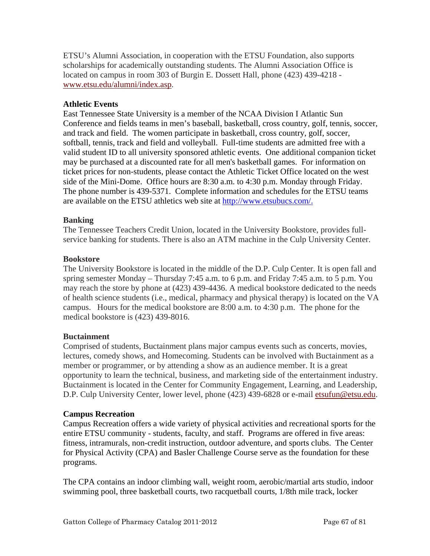ETSU's Alumni Association, in cooperation with the ETSU Foundation, also supports scholarships for academically outstanding students. The Alumni Association Office is located on campus in room 303 of Burgin E. Dossett Hall, phone (423) 439-4218 [www.etsu.edu/alumni/index.asp](http://www.etsu.edu/alumni/index.asp).

# **Athletic Events**

East Tennessee State University is a member of the NCAA Division I Atlantic Sun Conference and fields teams in men's baseball, basketball, cross country, golf, tennis, soccer, and track and field. The women participate in basketball, cross country, golf, soccer, softball, tennis, track and field and volleyball. Full-time students are admitted free with a valid student ID to all university sponsored athletic events. One additional companion ticket may be purchased at a discounted rate for all men's basketball games. For information on ticket prices for non-students, please contact the Athletic Ticket Office located on the west side of the Mini-Dome. Office hours are 8:30 a.m. to 4:30 p.m. Monday through Friday. The phone number is 439-5371. Complete information and schedules for the ETSU teams are available on the ETSU athletics web site at [http://www.etsubucs.com/.](http://www.etsubucs.com/)

## **Banking**

The Tennessee Teachers Credit Union, located in the University Bookstore, provides fullservice banking for students. There is also an ATM machine in the Culp University Center.

#### **Bookstore**

The University Bookstore is located in the middle of the D.P. Culp Center. It is open fall and spring semester Monday – Thursday 7:45 a.m. to 6 p.m. and Friday 7:45 a.m. to 5 p.m. You may reach the store by phone at (423) 439-4436. A medical bookstore dedicated to the needs of health science students (i.e., medical, pharmacy and physical therapy) is located on the VA campus. Hours for the medical bookstore are 8:00 a.m. to 4:30 p.m. The phone for the medical bookstore is (423) 439-8016.

# **Buctainment**

Comprised of students, Buctainment plans major campus events such as concerts, movies, lectures, comedy shows, and Homecoming. Students can be involved with Buctainment as a member or programmer, or by attending a show as an audience member. It is a great opportunity to learn the technical, business, and marketing side of the entertainment industry. Buctainment is located in the Center for Community Engagement, Learning, and Leadership, D.P. Culp University Center, lower level, phone (423) 439-6828 or e-mail [etsufun@etsu.edu](mailto:etsufun@etsu.edu).

#### **Campus Recreation**

Campus Recreation offers a wide variety of physical activities and recreational sports for the entire ETSU community - students, faculty, and staff. Programs are offered in five areas: fitness, intramurals, non-credit instruction, outdoor adventure, and sports clubs. The Center for Physical Activity (CPA) and Basler Challenge Course serve as the foundation for these programs.

The CPA contains an indoor climbing wall, weight room, aerobic/martial arts studio, indoor swimming pool, three basketball courts, two racquetball courts, 1/8th mile track, locker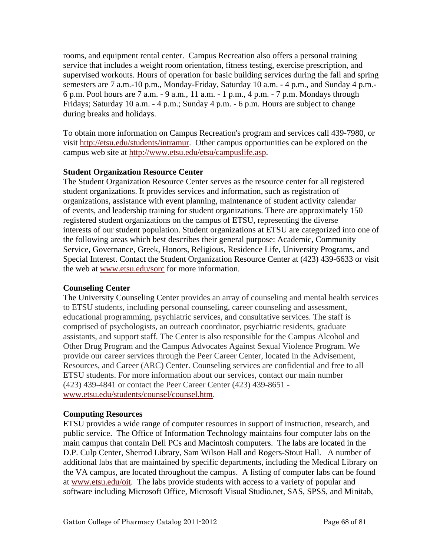rooms, and equipment rental center. Campus Recreation also offers a personal training service that includes a weight room orientation, fitness testing, exercise prescription, and supervised workouts. Hours of operation for basic building services during the fall and spring semesters are 7 a.m.-10 p.m., Monday-Friday, Saturday 10 a.m. - 4 p.m., and Sunday 4 p.m.- 6 p.m. Pool hours are 7 a.m. - 9 a.m., 11 a.m. - 1 p.m., 4 p.m. - 7 p.m. Mondays through Fridays; Saturday 10 a.m. - 4 p.m.; Sunday 4 p.m. - 6 p.m. Hours are subject to change during breaks and holidays.

To obtain more information on Campus Recreation's program and services call 439-7980, or visit <http://etsu.edu/students/intramur>. Other campus opportunities can be explored on the campus web site at [http://www.etsu.edu/etsu/campuslife.asp.](http://www.etsu.edu/etsu/campuslife.asp)

# **Student Organization Resource Center**

The Student Organization Resource Center serves as the resource center for all registered student organizations. It provides services and information, such as registration of organizations, assistance with event planning, maintenance of student activity calendar of events, and leadership training for student organizations. There are approximately 150 registered student organizations on the campus of ETSU, representing the diverse interests of our student population. Student organizations at ETSU are categorized into one of the following areas which best describes their general purpose: Academic, Community Service, Governance, Greek, Honors, Religious, Residence Life, University Programs, and Special Interest. Contact the Student Organization Resource Center at (423) 439-6633 or visit the web at [www.etsu.edu/sorc](http://www.etsu.edu/sorc) for more information.

# **Counseling Center**

The University Counseling Center provides an array of counseling and mental health services to ETSU students, including personal counseling, career counseling and assessment, educational programming, psychiatric services, and consultative services. The staff is comprised of psychologists, an outreach coordinator, psychiatric residents, graduate assistants, and support staff. The Center is also responsible for the Campus Alcohol and Other Drug Program and the Campus Advocates Against Sexual Violence Program. We provide our career services through the Peer Career Center, located in the Advisement, Resources, and Career (ARC) Center. Counseling services are confidential and free to all ETSU students. For more information about our services, contact our main number (423) 439-4841 or contact the Peer Career Center (423) 439-8651 [www.etsu.edu/students/counsel/counsel.htm.](http://www.etsu.edu/students/counsel/counsel.htm)

#### **Computing Resources**

ETSU provides a wide range of computer resources in support of instruction, research, and public service. The Office of Information Technology maintains four computer labs on the main campus that contain Dell PCs and Macintosh computers. The labs are located in the D.P. Culp Center, Sherrod Library, Sam Wilson Hall and Rogers-Stout Hall. A number of additional labs that are maintained by specific departments, including the Medical Library on the VA campus, are located throughout the campus. A listing of computer labs can be found at [www.etsu.edu/oit](http://www.etsu.edu/oit). The labs provide students with access to a variety of popular and software including Microsoft Office, Microsoft Visual Studio.net, SAS, SPSS, and Minitab,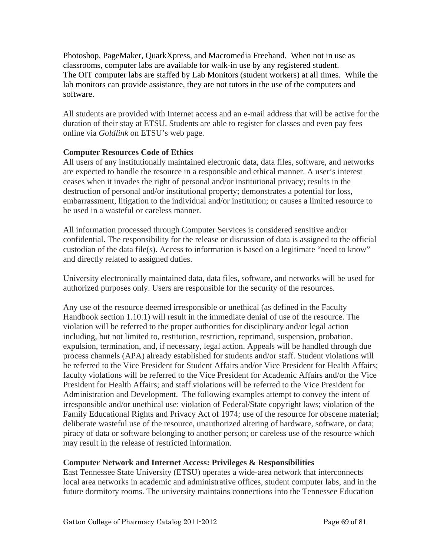Photoshop, PageMaker, QuarkXpress, and Macromedia Freehand. When not in use as classrooms, computer labs are available for walk-in use by any registered student. The OIT computer labs are staffed by Lab Monitors (student workers) at all times. While the lab monitors can provide assistance, they are not tutors in the use of the computers and software.

All students are provided with Internet access and an e-mail address that will be active for the duration of their stay at ETSU. Students are able to register for classes and even pay fees online via *Goldlink* on ETSU's web page.

# **Computer Resources Code of Ethics**

All users of any institutionally maintained electronic data, data files, software, and networks are expected to handle the resource in a responsible and ethical manner. A user's interest ceases when it invades the right of personal and/or institutional privacy; results in the destruction of personal and/or institutional property; demonstrates a potential for loss, embarrassment, litigation to the individual and/or institution; or causes a limited resource to be used in a wasteful or careless manner.

All information processed through Computer Services is considered sensitive and/or confidential. The responsibility for the release or discussion of data is assigned to the official custodian of the data file(s). Access to information is based on a legitimate "need to know" and directly related to assigned duties.

University electronically maintained data, data files, software, and networks will be used for authorized purposes only. Users are responsible for the security of the resources.

Any use of the resource deemed irresponsible or unethical (as defined in the Faculty Handbook section 1.10.1) will result in the immediate denial of use of the resource. The violation will be referred to the proper authorities for disciplinary and/or legal action including, but not limited to, restitution, restriction, reprimand, suspension, probation, expulsion, termination, and, if necessary, legal action. Appeals will be handled through due process channels (APA) already established for students and/or staff. Student violations will be referred to the Vice President for Student Affairs and/or Vice President for Health Affairs; faculty violations will be referred to the Vice President for Academic Affairs and/or the Vice President for Health Affairs; and staff violations will be referred to the Vice President for Administration and Development. The following examples attempt to convey the intent of irresponsible and/or unethical use: violation of Federal/State copyright laws; violation of the Family Educational Rights and Privacy Act of 1974; use of the resource for obscene material; deliberate wasteful use of the resource, unauthorized altering of hardware, software, or data; piracy of data or software belonging to another person; or careless use of the resource which may result in the release of restricted information.

# **Computer Network and Internet Access: Privileges & Responsibilities**

East Tennessee State University (ETSU) operates a wide-area network that interconnects local area networks in academic and administrative offices, student computer labs, and in the future dormitory rooms. The university maintains connections into the Tennessee Education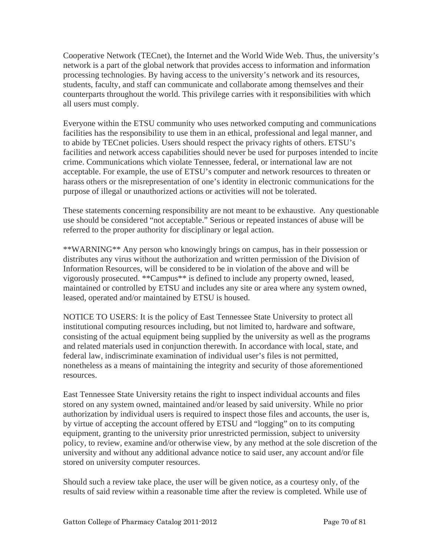Cooperative Network (TECnet), the Internet and the World Wide Web. Thus, the university's network is a part of the global network that provides access to information and information processing technologies. By having access to the university's network and its resources, students, faculty, and staff can communicate and collaborate among themselves and their counterparts throughout the world. This privilege carries with it responsibilities with which all users must comply.

Everyone within the ETSU community who uses networked computing and communications facilities has the responsibility to use them in an ethical, professional and legal manner, and to abide by TECnet policies. Users should respect the privacy rights of others. ETSU's facilities and network access capabilities should never be used for purposes intended to incite crime. Communications which violate Tennessee, federal, or international law are not acceptable. For example, the use of ETSU's computer and network resources to threaten or harass others or the misrepresentation of one's identity in electronic communications for the purpose of illegal or unauthorized actions or activities will not be tolerated.

These statements concerning responsibility are not meant to be exhaustive. Any questionable use should be considered "not acceptable." Serious or repeated instances of abuse will be referred to the proper authority for disciplinary or legal action.

\*\*WARNING\*\* Any person who knowingly brings on campus, has in their possession or distributes any virus without the authorization and written permission of the Division of Information Resources, will be considered to be in violation of the above and will be vigorously prosecuted. \*\*Campus\*\* is defined to include any property owned, leased, maintained or controlled by ETSU and includes any site or area where any system owned, leased, operated and/or maintained by ETSU is housed.

NOTICE TO USERS: It is the policy of East Tennessee State University to protect all institutional computing resources including, but not limited to, hardware and software, consisting of the actual equipment being supplied by the university as well as the programs and related materials used in conjunction therewith. In accordance with local, state, and federal law, indiscriminate examination of individual user's files is not permitted, nonetheless as a means of maintaining the integrity and security of those aforementioned resources.

East Tennessee State University retains the right to inspect individual accounts and files stored on any system owned, maintained and/or leased by said university. While no prior authorization by individual users is required to inspect those files and accounts, the user is, by virtue of accepting the account offered by ETSU and "logging" on to its computing equipment, granting to the university prior unrestricted permission, subject to university policy, to review, examine and/or otherwise view, by any method at the sole discretion of the university and without any additional advance notice to said user, any account and/or file stored on university computer resources.

Should such a review take place, the user will be given notice, as a courtesy only, of the results of said review within a reasonable time after the review is completed. While use of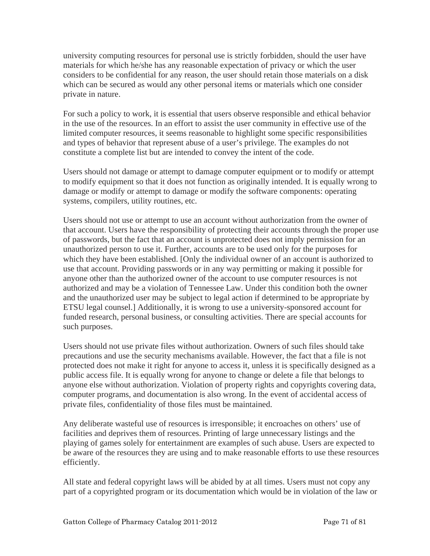university computing resources for personal use is strictly forbidden, should the user have materials for which he/she has any reasonable expectation of privacy or which the user considers to be confidential for any reason, the user should retain those materials on a disk which can be secured as would any other personal items or materials which one consider private in nature.

For such a policy to work, it is essential that users observe responsible and ethical behavior in the use of the resources. In an effort to assist the user community in effective use of the limited computer resources, it seems reasonable to highlight some specific responsibilities and types of behavior that represent abuse of a user's privilege. The examples do not constitute a complete list but are intended to convey the intent of the code.

Users should not damage or attempt to damage computer equipment or to modify or attempt to modify equipment so that it does not function as originally intended. It is equally wrong to damage or modify or attempt to damage or modify the software components: operating systems, compilers, utility routines, etc.

Users should not use or attempt to use an account without authorization from the owner of that account. Users have the responsibility of protecting their accounts through the proper use of passwords, but the fact that an account is unprotected does not imply permission for an unauthorized person to use it. Further, accounts are to be used only for the purposes for which they have been established. [Only the individual owner of an account is authorized to use that account. Providing passwords or in any way permitting or making it possible for anyone other than the authorized owner of the account to use computer resources is not authorized and may be a violation of Tennessee Law. Under this condition both the owner and the unauthorized user may be subject to legal action if determined to be appropriate by ETSU legal counsel.] Additionally, it is wrong to use a university-sponsored account for funded research, personal business, or consulting activities. There are special accounts for such purposes.

Users should not use private files without authorization. Owners of such files should take precautions and use the security mechanisms available. However, the fact that a file is not protected does not make it right for anyone to access it, unless it is specifically designed as a public access file. It is equally wrong for anyone to change or delete a file that belongs to anyone else without authorization. Violation of property rights and copyrights covering data, computer programs, and documentation is also wrong. In the event of accidental access of private files, confidentiality of those files must be maintained.

Any deliberate wasteful use of resources is irresponsible; it encroaches on others' use of facilities and deprives them of resources. Printing of large unnecessary listings and the playing of games solely for entertainment are examples of such abuse. Users are expected to be aware of the resources they are using and to make reasonable efforts to use these resources efficiently.

All state and federal copyright laws will be abided by at all times. Users must not copy any part of a copyrighted program or its documentation which would be in violation of the law or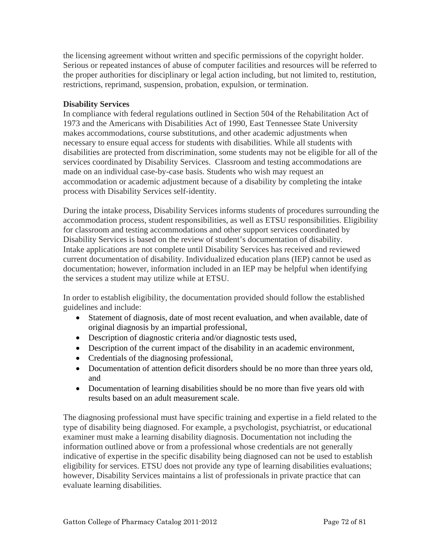the licensing agreement without written and specific permissions of the copyright holder. Serious or repeated instances of abuse of computer facilities and resources will be referred to the proper authorities for disciplinary or legal action including, but not limited to, restitution, restrictions, reprimand, suspension, probation, expulsion, or termination.

# **Disability Services**

In compliance with federal regulations outlined in Section 504 of the Rehabilitation Act of 1973 and the Americans with Disabilities Act of 1990, East Tennessee State University makes accommodations, course substitutions, and other academic adjustments when necessary to ensure equal access for students with disabilities. While all students with disabilities are protected from discrimination, some students may not be eligible for all of the services coordinated by Disability Services. Classroom and testing accommodations are made on an individual case-by-case basis. Students who wish may request an accommodation or academic adjustment because of a disability by completing the intake process with Disability Services self-identity.

During the intake process, Disability Services informs students of procedures surrounding the accommodation process, student responsibilities, as well as ETSU responsibilities. Eligibility for classroom and testing accommodations and other support services coordinated by Disability Services is based on the review of student's documentation of disability. Intake applications are not complete until Disability Services has received and reviewed current documentation of disability. Individualized education plans (IEP) cannot be used as documentation; however, information included in an IEP may be helpful when identifying the services a student may utilize while at ETSU.

In order to establish eligibility, the documentation provided should follow the established guidelines and include:

- Statement of diagnosis, date of most recent evaluation, and when available, date of original diagnosis by an impartial professional,
- Description of diagnostic criteria and/or diagnostic tests used,
- Description of the current impact of the disability in an academic environment,
- Credentials of the diagnosing professional,
- Documentation of attention deficit disorders should be no more than three years old, and
- Documentation of learning disabilities should be no more than five years old with results based on an adult measurement scale.

The diagnosing professional must have specific training and expertise in a field related to the type of disability being diagnosed. For example, a psychologist, psychiatrist, or educational examiner must make a learning disability diagnosis. Documentation not including the information outlined above or from a professional whose credentials are not generally indicative of expertise in the specific disability being diagnosed can not be used to establish eligibility for services. ETSU does not provide any type of learning disabilities evaluations; however, Disability Services maintains a list of professionals in private practice that can evaluate learning disabilities.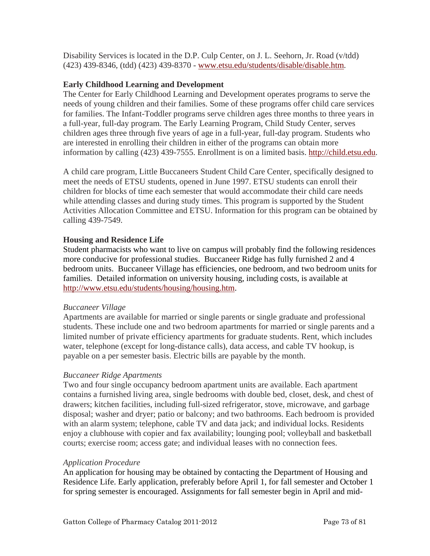Disability Services is located in the D.P. Culp Center, on J. L. Seehorn, Jr. Road (v/tdd) (423) 439-8346, (tdd) (423) 439-8370 - [www.etsu.edu/students/disable/disable.htm.](http://www.etsu.edu/students/disable/disable.htm)

## **Early Childhood Learning and Development**

The Center for Early Childhood Learning and Development operates programs to serve the needs of young children and their families. Some of these programs offer child care services for families. The Infant-Toddler programs serve children ages three months to three years in a full-year, full-day program. The Early Learning Program, Child Study Center, serves children ages three through five years of age in a full-year, full-day program. Students who are interested in enrolling their children in either of the programs can obtain more information by calling (423) 439-7555. Enrollment is on a limited basis. [http://child.etsu.edu.](http://child.etsu.edu/)

A child care program, Little Buccaneers Student Child Care Center, specifically designed to meet the needs of ETSU students, opened in June 1997. ETSU students can enroll their children for blocks of time each semester that would accommodate their child care needs while attending classes and during study times. This program is supported by the Student Activities Allocation Committee and ETSU. Information for this program can be obtained by calling 439-7549.

# **Housing and Residence Life**

Student pharmacists who want to live on campus will probably find the following residences more conducive for professional studies. Buccaneer Ridge has fully furnished 2 and 4 bedroom units. Buccaneer Village has efficiencies, one bedroom, and two bedroom units for families. Detailed information on university housing, including costs, is available at <http://www.etsu.edu/students/housing/housing.htm>.

### *Buccaneer Village*

Apartments are available for married or single parents or single graduate and professional students. These include one and two bedroom apartments for married or single parents and a limited number of private efficiency apartments for graduate students. Rent, which includes water, telephone (except for long-distance calls), data access, and cable TV hookup, is payable on a per semester basis. Electric bills are payable by the month.

# *Buccaneer Ridge Apartments*

Two and four single occupancy bedroom apartment units are available. Each apartment contains a furnished living area, single bedrooms with double bed, closet, desk, and chest of drawers; kitchen facilities, including full-sized refrigerator, stove, microwave, and garbage disposal; washer and dryer; patio or balcony; and two bathrooms. Each bedroom is provided with an alarm system; telephone, cable TV and data jack; and individual locks. Residents enjoy a clubhouse with copier and fax availability; lounging pool; volleyball and basketball courts; exercise room; access gate; and individual leases with no connection fees.

### *Application Procedure*

An application for housing may be obtained by contacting the Department of Housing and Residence Life. Early application, preferably before April 1, for fall semester and October 1 for spring semester is encouraged. Assignments for fall semester begin in April and mid-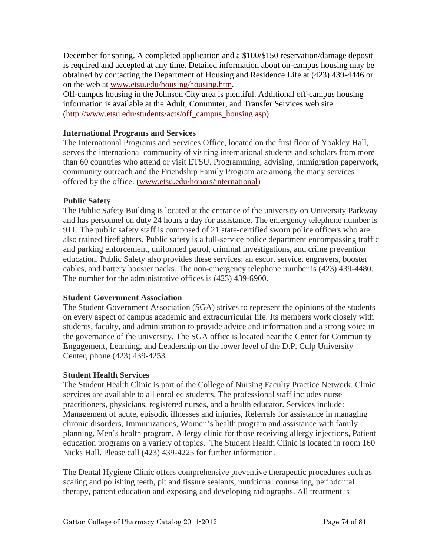December for spring. A completed application and a \$100/\$150 reservation/damage deposit is required and accepted at any time. Detailed information about on-campus housing may be obtained by contacting the Department of Housing and Residence Life at (423) 439-4446 or on the web at [www.etsu.edu/housing/housing.htm](http://www.etsu.edu/housing/housing.htm).

Off-campus housing in the Johnson City area is plentiful. Additional off-campus housing information is available at the [Adult, Commuter, and Transfer Services web site](http://www.etsu.edu/students/acts/off_campus_housing.asp). ([http://www.etsu.edu/students/acts/off\\_campus\\_housing.asp](http://www.etsu.edu/students/acts/off_campus_housing.asp))

### **International Programs and Services**

The International Programs and Services Office, located on the first floor of Yoakley Hall, serves the international community of visiting international students and scholars from more than 60 countries who attend or visit ETSU. Programming, advising, immigration paperwork, community outreach and the Friendship Family Program are among the many services offered by the office. [\(www.etsu.edu/honors/international\)](http://www.etsu.edu/honors/international)

### **Public Safety**

The Public Safety Building is located at the entrance of the university on University Parkway and has personnel on duty 24 hours a day for assistance. The emergency telephone number is 911. The public safety staff is composed of 21 state-certified sworn police officers who are also trained firefighters. Public safety is a full-service police department encompassing traffic and parking enforcement, uniformed patrol, criminal investigations, and crime prevention education. Public Safety also provides these services: an escort service, engravers, booster cables, and battery booster packs. The non-emergency telephone number is (423) 439-4480. The number for the administrative offices is (423) 439-6900.

# **Student Government Association**

The Student Government Association (SGA) strives to represent the opinions of the students on every aspect of campus academic and extracurricular life. Its members work closely with students, faculty, and administration to provide advice and information and a strong voice in the governance of the university. The SGA office is located near the Center for Community Engagement, Learning, and Leadership on the lower level of the D.P. Culp University Center, phone (423) 439-4253.

### **Student Health Services**

The Student Health Clinic is part of the College of Nursing Faculty Practice Network. Clinic services are available to all enrolled students. The professional staff includes nurse practitioners, physicians, registered nurses, and a health educator. Services include: Management of acute, episodic illnesses and injuries, Referrals for assistance in managing chronic disorders, Immunizations, Women's health program and assistance with family planning, Men's health program, Allergy clinic for those receiving allergy injections, Patient education programs on a variety of topics. The Student Health Clinic is located in room 160 Nicks Hall. Please call (423) 439-4225 for further information.

The Dental Hygiene Clinic offers comprehensive preventive therapeutic procedures such as scaling and polishing teeth, pit and fissure sealants, nutritional counseling, periodontal therapy, patient education and exposing and developing radiographs. All treatment is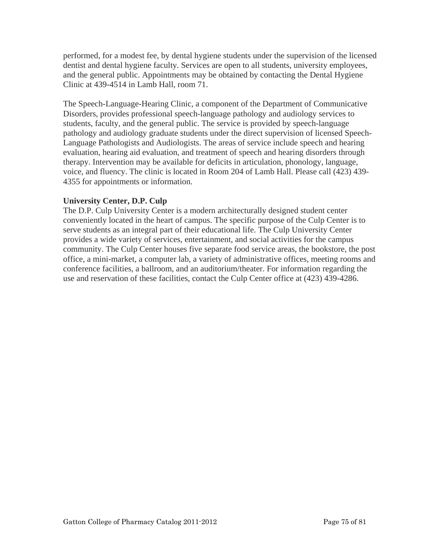performed, for a modest fee, by dental hygiene students under the supervision of the licensed dentist and dental hygiene faculty. Services are open to all students, university employees, and the general public. Appointments may be obtained by contacting the Dental Hygiene Clinic at 439-4514 in Lamb Hall, room 71.

The Speech-Language-Hearing Clinic, a component of the Department of Communicative Disorders, provides professional speech-language pathology and audiology services to students, faculty, and the general public. The service is provided by speech-language pathology and audiology graduate students under the direct supervision of licensed Speech-Language Pathologists and Audiologists. The areas of service include speech and hearing evaluation, hearing aid evaluation, and treatment of speech and hearing disorders through therapy. Intervention may be available for deficits in articulation, phonology, language, voice, and fluency. The clinic is located in Room 204 of Lamb Hall. Please call (423) 439- 4355 for appointments or information.

# **University Center, D.P. Culp**

The D.P. Culp University Center is a modern architecturally designed student center conveniently located in the heart of campus. The specific purpose of the Culp Center is to serve students as an integral part of their educational life. The Culp University Center provides a wide variety of services, entertainment, and social activities for the campus community. The Culp Center houses five separate food service areas, the bookstore, the post office, a mini-market, a computer lab, a variety of administrative offices, meeting rooms and conference facilities, a ballroom, and an auditorium/theater. For information regarding the use and reservation of these facilities, contact the Culp Center office at (423) 439-4286.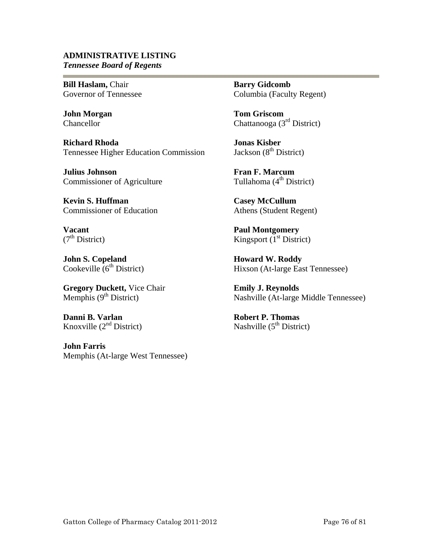### **ADMINISTRATIVE LISTING** *Tennessee Board of Regents*

**Bill Haslam,** Chair Governor of Tennessee

**John Morgan**  Chancellor

**Richard Rhoda**  Tennessee Higher Education Commission

**Julius Johnson**  Commissioner of Agriculture

**Kevin S. Huffman**  Commissioner of Education

**Vacant**   $(7<sup>th</sup> District)$ 

**John S. Copeland**  Cookeville  $6<sup>th</sup>$  District)

**Gregory Duckett,** Vice Chair Memphis  $(9<sup>th</sup> District)$ 

**Danni B. Varlan**  Knoxville  $(2<sup>nd</sup> District)$ 

**John Farris**  Memphis (At-large West Tennessee) **Barry Gidcomb**  Columbia (Faculty Regent)

**Tom Griscom**  Chattanooga (3rd District)

**Jonas Kisber**  Jackson  $(8<sup>th</sup> District)$ 

**Fran F. Marcum**  Tullahoma  $(4<sup>th</sup> District)$ 

**Casey McCullum**  Athens (Student Regent)

**Paul Montgomery**  Kingsport  $(1<sup>st</sup> District)$ 

**Howard W. Roddy**  Hixson (At-large East Tennessee)

**Emily J. Reynolds**  Nashville (At-large Middle Tennessee)

**Robert P. Thomas** Nashville  $(5<sup>th</sup> District)$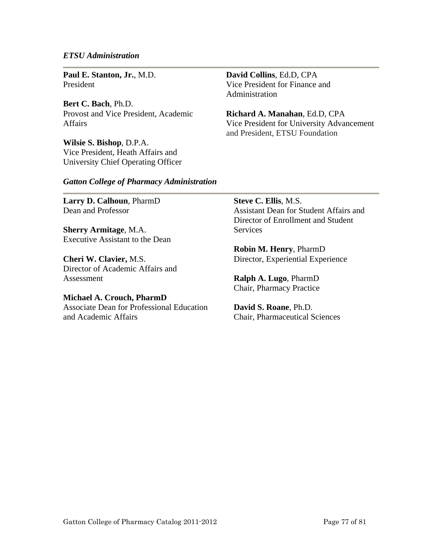#### *ETSU Administration*

**Paul E. Stanton, Jr.**, M.D. President

**Bert C. Bach**, Ph.D. Provost and Vice President, Academic Affairs

**Wilsie S. Bishop**, D.P.A. Vice President, Heath Affairs and University Chief Operating Officer **David Collins**, Ed.D, CPA Vice President for Finance and Administration

**Richard A. Manahan**, Ed.D, CPA Vice President for University Advancement and President, ETSU Foundation

#### *Gatton College of Pharmacy Administration*

**Larry D. Calhoun**, PharmD Dean and Professor

**Sherry Armitage**, M.A. Executive Assistant to the Dean

**Cheri W. Clavier,** M.S. Director of Academic Affairs and Assessment

**Michael A. Crouch, PharmD**  Associate Dean for Professional Education and Academic Affairs

**Steve C. Ellis**, M.S. Assistant Dean for Student Affairs and Director of Enrollment and Student **Services** 

**Robin M. Henry**, PharmD Director, Experiential Experience

**Ralph A. Lugo**, PharmD Chair, Pharmacy Practice

**David S. Roane**, Ph.D. Chair, Pharmaceutical Sciences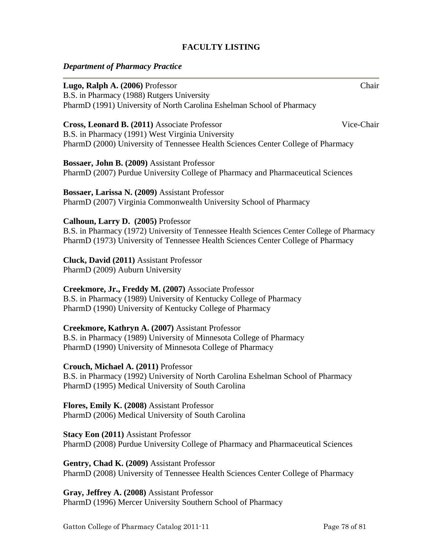### **FACULTY LISTING**

### *Department of Pharmacy Practice*

**Lugo, Ralph A. (2006)** Professor Chair B.S. in Pharmacy (1988) Rutgers University PharmD (1991) University of North Carolina Eshelman School of Pharmacy **Cross, Leonard B. (2011)** Associate Professor Vice-Chair B.S. in Pharmacy (1991) West Virginia University PharmD (2000) University of Tennessee Health Sciences Center College of Pharmacy **Bossaer, John B. (2009)** Assistant Professor PharmD (2007) Purdue University College of Pharmacy and Pharmaceutical Sciences **Bossaer, Larissa N. (2009)** Assistant Professor PharmD (2007) Virginia Commonwealth University School of Pharmacy **Calhoun, Larry D. (2005)** Professor B.S. in Pharmacy (1972) University of Tennessee Health Sciences Center College of Pharmacy PharmD (1973) University of Tennessee Health Sciences Center College of Pharmacy **Cluck, David (2011)** Assistant Professor PharmD (2009) Auburn University **Creekmore, Jr., Freddy M. (2007)** Associate Professor B.S. in Pharmacy (1989) University of Kentucky College of Pharmacy PharmD (1990) University of Kentucky College of Pharmacy **Creekmore, Kathryn A. (2007)** Assistant Professor B.S. in Pharmacy (1989) University of Minnesota College of Pharmacy PharmD (1990) University of Minnesota College of Pharmacy **Crouch, Michael A. (2011)** Professor

B.S. in Pharmacy (1992) University of North Carolina Eshelman School of Pharmacy PharmD (1995) Medical University of South Carolina

**Flores, Emily K. (2008)** Assistant Professor PharmD (2006) Medical University of South Carolina

**Stacy Eon (2011)** Assistant Professor PharmD (2008) Purdue University College of Pharmacy and Pharmaceutical Sciences

**Gentry, Chad K. (2009)** Assistant Professor PharmD (2008) University of Tennessee Health Sciences Center College of Pharmacy

**Gray, Jeffrey A. (2008)** Assistant Professor PharmD (1996) Mercer University Southern School of Pharmacy

Gatton College of Pharmacy Catalog 2011-11 Page 78 of 81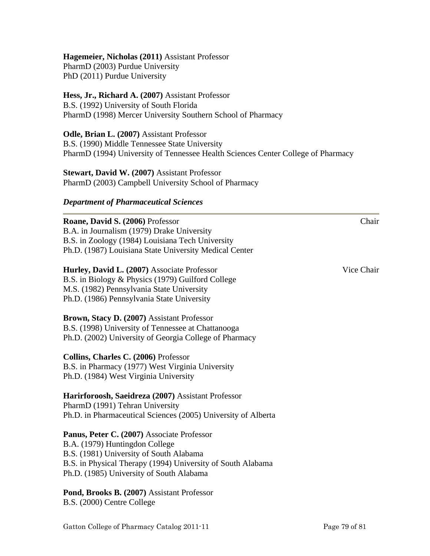# **Hagemeier, Nicholas (2011)** Assistant Professor

PharmD (2003) Purdue University PhD (2011) Purdue University

## **Hess, Jr., Richard A. (2007)** Assistant Professor

B.S. (1992) University of South Florida PharmD (1998) Mercer University Southern School of Pharmacy

### **Odle, Brian L. (2007)** Assistant Professor

B.S. (1990) Middle Tennessee State University PharmD (1994) University of Tennessee Health Sciences Center College of Pharmacy

**Stewart, David W. (2007)** Assistant Professor PharmD (2003) Campbell University School of Pharmacy

### *Department of Pharmaceutical Sciences*

**Roane, David S. (2006)** Professor Chair B.A. in Journalism (1979) Drake University B.S. in Zoology (1984) Louisiana Tech University Ph.D. (1987) Louisiana State University Medical Center

**Hurley, David L. (2007)** Associate Professor Vice Chair B.S. in Biology & Physics (1979) Guilford College M.S. (1982) Pennsylvania State University Ph.D. (1986) Pennsylvania State University

**Brown, Stacy D. (2007)** Assistant Professor B.S. (1998) University of Tennessee at Chattanooga Ph.D. (2002) University of Georgia College of Pharmacy

**Collins, Charles C. (2006)** Professor B.S. in Pharmacy (1977) West Virginia University Ph.D. (1984) West Virginia University

**Harirforoosh, Saeidreza (2007)** Assistant Professor PharmD (1991) Tehran University Ph.D. in Pharmaceutical Sciences (2005) University of Alberta

**Panus, Peter C. (2007)** Associate Professor B.A. (1979) Huntingdon College B.S. (1981) University of South Alabama B.S. in Physical Therapy (1994) University of South Alabama Ph.D. (1985) University of South Alabama

**Pond, Brooks B. (2007)** Assistant Professor B.S. (2000) Centre College

Gatton College of Pharmacy Catalog 2011-11 Page 79 of 81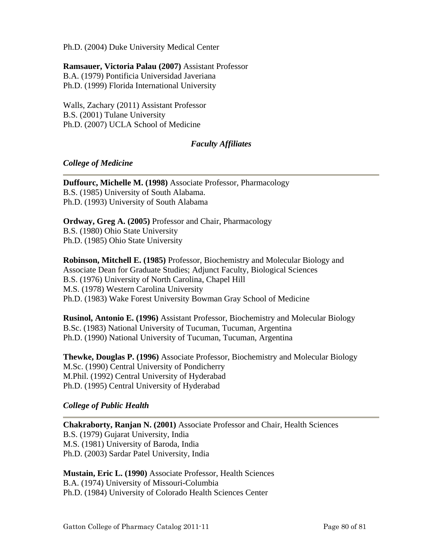Ph.D. (2004) Duke University Medical Center

**Ramsauer, Victoria Palau (2007)** Assistant Professor B.A. (1979) Pontificia Universidad Javeriana Ph.D. (1999) Florida International University

Walls, Zachary (2011) Assistant Professor B.S. (2001) Tulane University Ph.D. (2007) UCLA School of Medicine

# *Faculty Affiliates*

# *College of Medicine*

**Duffourc, Michelle M. (1998)** Associate Professor, Pharmacology B.S. (1985) University of South Alabama. Ph.D. (1993) University of South Alabama

**Ordway, Greg A. (2005)** Professor and Chair, Pharmacology B.S. (1980) Ohio State University Ph.D. (1985) Ohio State University

**Robinson, Mitchell E. (1985)** Professor, Biochemistry and Molecular Biology and Associate Dean for Graduate Studies; Adjunct Faculty, Biological Sciences B.S. (1976) University of North Carolina, Chapel Hill M.S. (1978) Western Carolina University Ph.D. (1983) Wake Forest University Bowman Gray School of Medicine

**Rusinol, Antonio E. (1996)** Assistant Professor, Biochemistry and Molecular Biology B.Sc. (1983) National University of Tucuman, Tucuman, Argentina Ph.D. (1990) National University of Tucuman, Tucuman, Argentina

**Thewke, Douglas P. (1996)** Associate Professor, Biochemistry and Molecular Biology M.Sc. (1990) Central University of Pondicherry M.Phil. (1992) Central University of Hyderabad Ph.D. (1995) Central University of Hyderabad

# *College of Public Health*

**Chakraborty, Ranjan N. (2001)** Associate Professor and Chair, Health Sciences B.S. (1979) Gujarat University, India M.S. (1981) University of Baroda, India Ph.D. (2003) Sardar Patel University, India

**Mustain, Eric L. (1990)** Associate Professor, Health Sciences B.A. (1974) University of Missouri-Columbia Ph.D. (1984) University of Colorado Health Sciences Center